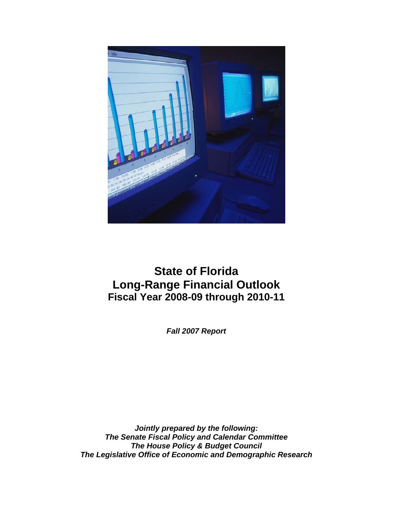

# **State of Florida Long-Range Financial Outlook Fiscal Year 2008-09 through 2010-11**

*Fall 2007 Report* 

*Jointly prepared by the following: The Senate Fiscal Policy and Calendar Committee The House Policy & Budget Council The Legislative Office of Economic and Demographic Research*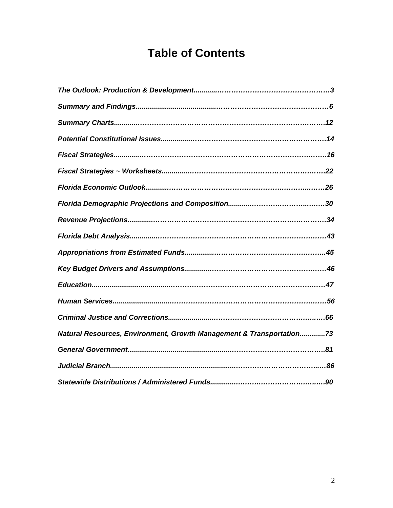# **Table of Contents**

| Natural Resources, Environment, Growth Management & Transportation73 |
|----------------------------------------------------------------------|
|                                                                      |
|                                                                      |
|                                                                      |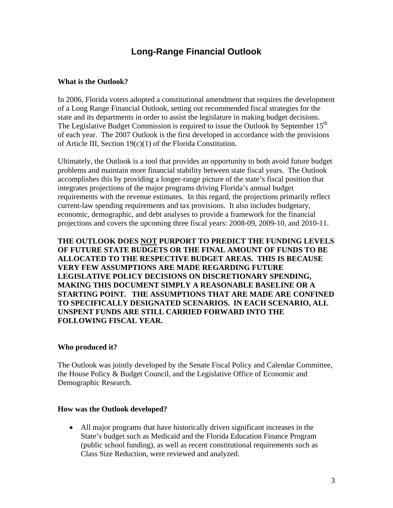# **Long-Range Financial Outlook**

#### **What is the Outlook?**

In 2006, Florida voters adopted a constitutional amendment that requires the development of a Long Range Financial Outlook, setting out recommended fiscal strategies for the state and its departments in order to assist the legislature in making budget decisions. The Legislative Budget Commission is required to issue the Outlook by September 15<sup>th</sup> of each year. The 2007 Outlook is the first developed in accordance with the provisions of Article III, Section 19(c)(1) of the Florida Constitution.

Ultimately, the Outlook is a tool that provides an opportunity to both avoid future budget problems and maintain more financial stability between state fiscal years. The Outlook accomplishes this by providing a longer-range picture of the state's fiscal position that integrates projections of the major programs driving Florida's annual budget requirements with the revenue estimates. In this regard, the projections primarily reflect current-law spending requirements and tax provisions. It also includes budgetary, economic, demographic, and debt analyses to provide a framework for the financial projections and covers the upcoming three fiscal years: 2008-09, 2009-10, and 2010-11.

**THE OUTLOOK DOES NOT PURPORT TO PREDICT THE FUNDING LEVELS OF FUTURE STATE BUDGETS OR THE FINAL AMOUNT OF FUNDS TO BE ALLOCATED TO THE RESPECTIVE BUDGET AREAS. THIS IS BECAUSE VERY FEW ASSUMPTIONS ARE MADE REGARDING FUTURE LEGISLATIVE POLICY DECISIONS ON DISCRETIONARY SPENDING, MAKING THIS DOCUMENT SIMPLY A REASONABLE BASELINE OR A STARTING POINT. THE ASSUMPTIONS THAT ARE MADE ARE CONFINED TO SPECIFICALLY DESIGNATED SCENARIOS. IN EACH SCENARIO, ALL UNSPENT FUNDS ARE STILL CARRIED FORWARD INTO THE FOLLOWING FISCAL YEAR.** 

#### **Who produced it?**

The Outlook was jointly developed by the Senate Fiscal Policy and Calendar Committee, the House Policy & Budget Council, and the Legislative Office of Economic and Demographic Research.

#### **How was the Outlook developed?**

• All major programs that have historically driven significant increases in the State's budget such as Medicaid and the Florida Education Finance Program (public school funding), as well as recent constitutional requirements such as Class Size Reduction, were reviewed and analyzed.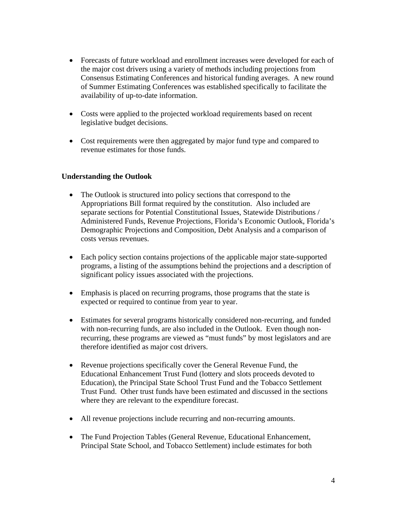- Forecasts of future workload and enrollment increases were developed for each of the major cost drivers using a variety of methods including projections from Consensus Estimating Conferences and historical funding averages. A new round of Summer Estimating Conferences was established specifically to facilitate the availability of up-to-date information.
- Costs were applied to the projected workload requirements based on recent legislative budget decisions.
- Cost requirements were then aggregated by major fund type and compared to revenue estimates for those funds.

#### **Understanding the Outlook**

- The Outlook is structured into policy sections that correspond to the Appropriations Bill format required by the constitution. Also included are separate sections for Potential Constitutional Issues, Statewide Distributions / Administered Funds, Revenue Projections, Florida's Economic Outlook, Florida's Demographic Projections and Composition, Debt Analysis and a comparison of costs versus revenues.
- Each policy section contains projections of the applicable major state-supported programs, a listing of the assumptions behind the projections and a description of significant policy issues associated with the projections.
- Emphasis is placed on recurring programs, those programs that the state is expected or required to continue from year to year.
- Estimates for several programs historically considered non-recurring, and funded with non-recurring funds, are also included in the Outlook. Even though nonrecurring, these programs are viewed as "must funds" by most legislators and are therefore identified as major cost drivers.
- Revenue projections specifically cover the General Revenue Fund, the Educational Enhancement Trust Fund (lottery and slots proceeds devoted to Education), the Principal State School Trust Fund and the Tobacco Settlement Trust Fund. Other trust funds have been estimated and discussed in the sections where they are relevant to the expenditure forecast.
- All revenue projections include recurring and non-recurring amounts.
- The Fund Projection Tables (General Revenue, Educational Enhancement, Principal State School, and Tobacco Settlement) include estimates for both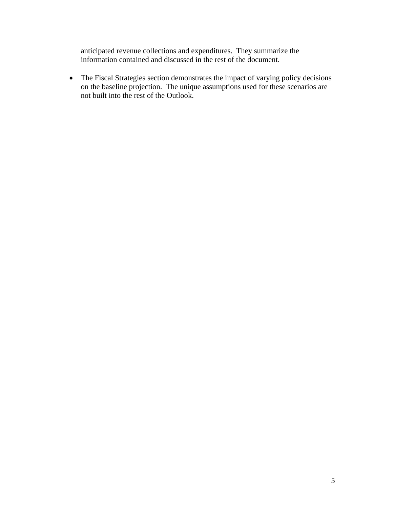anticipated revenue collections and expenditures. They summarize the information contained and discussed in the rest of the document.

• The Fiscal Strategies section demonstrates the impact of varying policy decisions on the baseline projection. The unique assumptions used for these scenarios are not built into the rest of the Outlook.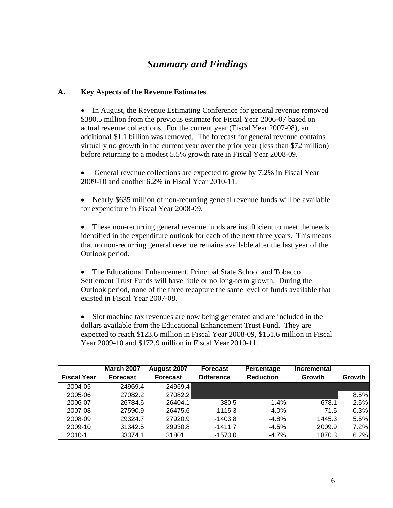# *Summary and Findings*

#### **A. Key Aspects of the Revenue Estimates**

• In August, the Revenue Estimating Conference for general revenue removed \$380.5 million from the previous estimate for Fiscal Year 2006-07 based on actual revenue collections. For the current year (Fiscal Year 2007-08), an additional \$1.1 billion was removed. The forecast for general revenue contains virtually no growth in the current year over the prior year (less than \$72 million) before returning to a modest 5.5% growth rate in Fiscal Year 2008-09.

General revenue collections are expected to grow by 7.2% in Fiscal Year 2009-10 and another 6.2% in Fiscal Year 2010-11.

• Nearly \$635 million of non-recurring general revenue funds will be available for expenditure in Fiscal Year 2008-09.

• These non-recurring general revenue funds are insufficient to meet the needs identified in the expenditure outlook for each of the next three years. This means that no non-recurring general revenue remains available after the last year of the Outlook period.

• The Educational Enhancement, Principal State School and Tobacco Settlement Trust Funds will have little or no long-term growth. During the Outlook period, none of the three recapture the same level of funds available that existed in Fiscal Year 2007-08.

• Slot machine tax revenues are now being generated and are included in the dollars available from the Educational Enhancement Trust Fund. They are expected to reach \$123.6 million in Fiscal Year 2008-09, \$151.6 million in Fiscal Year 2009-10 and \$172.9 million in Fiscal Year 2010-11.

|                    | <b>March 2007</b> | August 2007     | <b>Forecast</b>   | Percentage       | Incremental |         |
|--------------------|-------------------|-----------------|-------------------|------------------|-------------|---------|
| <b>Fiscal Year</b> | <b>Forecast</b>   | <b>Forecast</b> | <b>Difference</b> | <b>Reduction</b> | Growth      | Growth  |
| 2004-05            | 24969.4           | 24969.4         |                   |                  |             |         |
| 2005-06            | 27082.2           | 27082.2         |                   |                  |             | 8.5%    |
| 2006-07            | 26784.6           | 26404.1         | $-380.5$          | $-1.4%$          | $-678.1$    | $-2.5%$ |
| 2007-08            | 27590.9           | 26475.6         | $-1115.3$         | $-4.0%$          | 71.5        | 0.3%    |
| 2008-09            | 29324.7           | 27920.9         | $-1403.8$         | $-4.8%$          | 1445.3      | 5.5%    |
| 2009-10            | 31342.5           | 29930.8         | $-1411.7$         | $-4.5%$          | 2009.9      | 7.2%    |
| 2010-11            | 33374.1           | 31801.1         | $-1573.0$         | $-4.7%$          | 1870.3      | 6.2%    |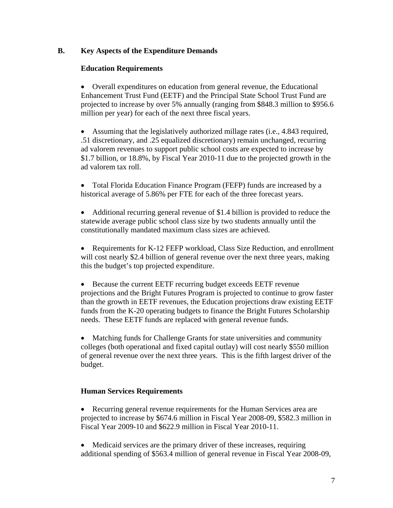### **B. Key Aspects of the Expenditure Demands**

### **Education Requirements**

• Overall expenditures on education from general revenue, the Educational Enhancement Trust Fund (EETF) and the Principal State School Trust Fund are projected to increase by over 5% annually (ranging from \$848.3 million to \$956.6 million per year) for each of the next three fiscal years.

• Assuming that the legislatively authorized millage rates (i.e., 4.843 required, .51 discretionary, and .25 equalized discretionary) remain unchanged, recurring ad valorem revenues to support public school costs are expected to increase by \$1.7 billion, or 18.8%, by Fiscal Year 2010-11 due to the projected growth in the ad valorem tax roll.

• Total Florida Education Finance Program (FEFP) funds are increased by a historical average of 5.86% per FTE for each of the three forecast years.

• Additional recurring general revenue of \$1.4 billion is provided to reduce the statewide average public school class size by two students annually until the constitutionally mandated maximum class sizes are achieved.

• Requirements for K-12 FEFP workload, Class Size Reduction, and enrollment will cost nearly \$2.4 billion of general revenue over the next three years, making this the budget's top projected expenditure.

• Because the current EETF recurring budget exceeds EETF revenue projections and the Bright Futures Program is projected to continue to grow faster than the growth in EETF revenues, the Education projections draw existing EETF funds from the K-20 operating budgets to finance the Bright Futures Scholarship needs. These EETF funds are replaced with general revenue funds.

• Matching funds for Challenge Grants for state universities and community colleges (both operational and fixed capital outlay) will cost nearly \$550 million of general revenue over the next three years. This is the fifth largest driver of the budget.

### **Human Services Requirements**

• Recurring general revenue requirements for the Human Services area are projected to increase by \$674.6 million in Fiscal Year 2008-09, \$582.3 million in Fiscal Year 2009-10 and \$622.9 million in Fiscal Year 2010-11.

• Medicaid services are the primary driver of these increases, requiring additional spending of \$563.4 million of general revenue in Fiscal Year 2008-09,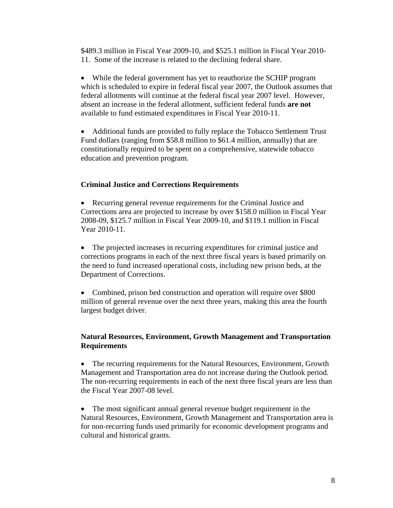\$489.3 million in Fiscal Year 2009-10, and \$525.1 million in Fiscal Year 2010- 11. Some of the increase is related to the declining federal share.

• While the federal government has yet to reauthorize the SCHIP program which is scheduled to expire in federal fiscal year 2007, the Outlook assumes that federal allotments will continue at the federal fiscal year 2007 level. However, absent an increase in the federal allotment, sufficient federal funds **are not** available to fund estimated expenditures in Fiscal Year 2010-11.

• Additional funds are provided to fully replace the Tobacco Settlement Trust Fund dollars (ranging from \$58.8 million to \$61.4 million, annually) that are constitutionally required to be spent on a comprehensive, statewide tobacco education and prevention program.

#### **Criminal Justice and Corrections Requirements**

• Recurring general revenue requirements for the Criminal Justice and Corrections area are projected to increase by over \$158.0 million in Fiscal Year 2008-09, \$125.7 million in Fiscal Year 2009-10, and \$119.1 million in Fiscal Year 2010-11.

• The projected increases in recurring expenditures for criminal justice and corrections programs in each of the next three fiscal years is based primarily on the need to fund increased operational costs, including new prison beds, at the Department of Corrections.

• Combined, prison bed construction and operation will require over \$800 million of general revenue over the next three years, making this area the fourth largest budget driver.

### **Natural Resources, Environment, Growth Management and Transportation Requirements**

• The recurring requirements for the Natural Resources, Environment, Growth Management and Transportation area do not increase during the Outlook period. The non-recurring requirements in each of the next three fiscal years are less than the Fiscal Year 2007-08 level.

• The most significant annual general revenue budget requirement in the Natural Resources, Environment, Growth Management and Transportation area is for non-recurring funds used primarily for economic development programs and cultural and historical grants.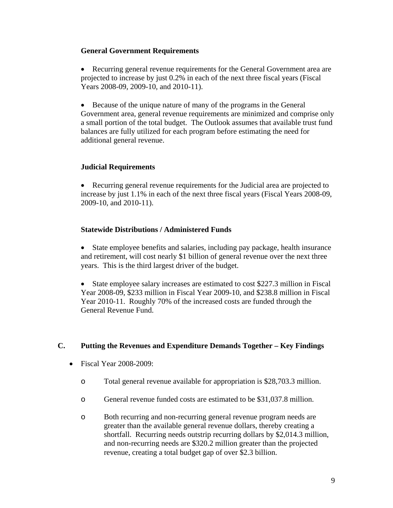#### **General Government Requirements**

• Recurring general revenue requirements for the General Government area are projected to increase by just 0.2% in each of the next three fiscal years (Fiscal Years 2008-09, 2009-10, and 2010-11).

• Because of the unique nature of many of the programs in the General Government area, general revenue requirements are minimized and comprise only a small portion of the total budget. The Outlook assumes that available trust fund balances are fully utilized for each program before estimating the need for additional general revenue.

#### **Judicial Requirements**

• Recurring general revenue requirements for the Judicial area are projected to increase by just 1.1% in each of the next three fiscal years (Fiscal Years 2008-09, 2009-10, and 2010-11).

### **Statewide Distributions / Administered Funds**

• State employee benefits and salaries, including pay package, health insurance and retirement, will cost nearly \$1 billion of general revenue over the next three years. This is the third largest driver of the budget.

• State employee salary increases are estimated to cost \$227.3 million in Fiscal Year 2008-09, \$233 million in Fiscal Year 2009-10, and \$238.8 million in Fiscal Year 2010-11. Roughly 70% of the increased costs are funded through the General Revenue Fund.

### **C. Putting the Revenues and Expenditure Demands Together – Key Findings**

- Fiscal Year 2008-2009:
	- o Total general revenue available for appropriation is \$28,703.3 million.
	- o General revenue funded costs are estimated to be \$31,037.8 million.
	- o Both recurring and non-recurring general revenue program needs are greater than the available general revenue dollars, thereby creating a shortfall. Recurring needs outstrip recurring dollars by \$2,014.3 million, and non-recurring needs are \$320.2 million greater than the projected revenue, creating a total budget gap of over \$2.3 billion.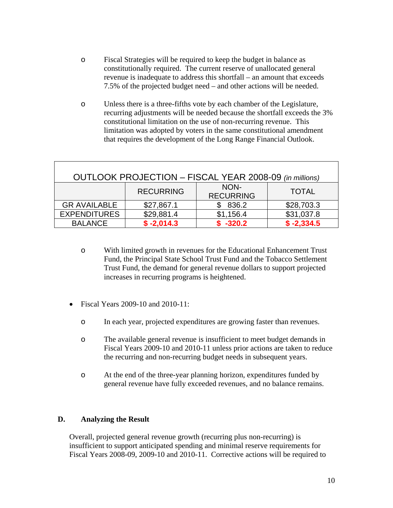- o Fiscal Strategies will be required to keep the budget in balance as constitutionally required. The current reserve of unallocated general revenue is inadequate to address this shortfall – an amount that exceeds 7.5% of the projected budget need – and other actions will be needed.
- o Unless there is a three-fifths vote by each chamber of the Legislature, recurring adjustments will be needed because the shortfall exceeds the 3% constitutional limitation on the use of non-recurring revenue. This limitation was adopted by voters in the same constitutional amendment that requires the development of the Long Range Financial Outlook.

| OUTLOOK PROJECTION - FISCAL YEAR 2008-09 (in millions)       |              |            |              |  |  |  |  |  |
|--------------------------------------------------------------|--------------|------------|--------------|--|--|--|--|--|
| NON-<br><b>RECURRING</b><br><b>TOTAL</b><br><b>RECURRING</b> |              |            |              |  |  |  |  |  |
| <b>GR AVAILABLE</b>                                          | \$27,867.1   | \$836.2    | \$28,703.3   |  |  |  |  |  |
| <b>EXPENDITURES</b>                                          | \$29,881.4   | \$1,156.4  | \$31,037.8   |  |  |  |  |  |
| <b>BALANCE</b>                                               | $$ -2,014.3$ | $$ -320.2$ | $$ -2,334.5$ |  |  |  |  |  |

- o With limited growth in revenues for the Educational Enhancement Trust Fund, the Principal State School Trust Fund and the Tobacco Settlement Trust Fund, the demand for general revenue dollars to support projected increases in recurring programs is heightened.
- Fiscal Years 2009-10 and 2010-11:
	- o In each year, projected expenditures are growing faster than revenues.
	- o The available general revenue is insufficient to meet budget demands in Fiscal Years 2009-10 and 2010-11 unless prior actions are taken to reduce the recurring and non-recurring budget needs in subsequent years.
	- o At the end of the three-year planning horizon, expenditures funded by general revenue have fully exceeded revenues, and no balance remains.

### **D. Analyzing the Result**

 Overall, projected general revenue growth (recurring plus non-recurring) is insufficient to support anticipated spending and minimal reserve requirements for Fiscal Years 2008-09, 2009-10 and 2010-11. Corrective actions will be required to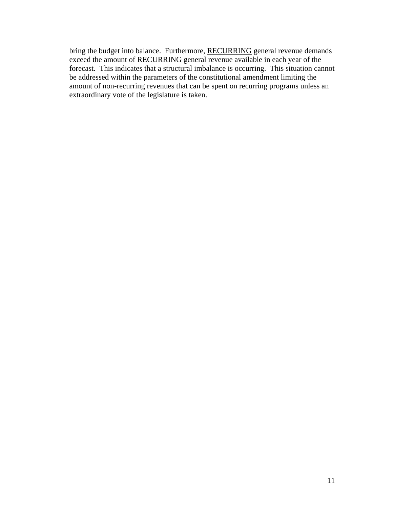bring the budget into balance. Furthermore, RECURRING general revenue demands exceed the amount of RECURRING general revenue available in each year of the forecast. This indicates that a structural imbalance is occurring. This situation cannot be addressed within the parameters of the constitutional amendment limiting the amount of non-recurring revenues that can be spent on recurring programs unless an extraordinary vote of the legislature is taken.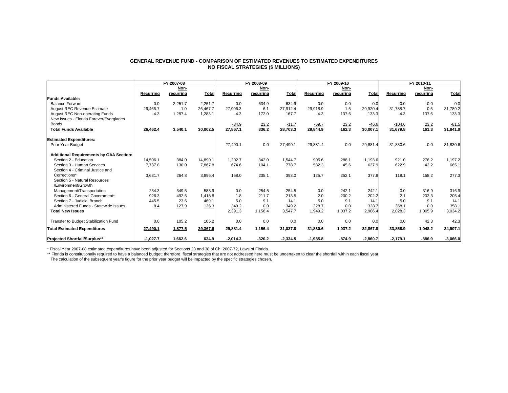#### **GENERAL REVENUE FUND - COMPARISON OF ESTIMATED REVENUES TO ESTIMATED EXPENDITURESNO FISCAL STRATEGIES (\$ MILLIONS)**

|                                                |            | FY 2007-08 |              |            | FY 2008-09 |              |            | FY 2009-10 |            |            | FY 2010-11 |              |
|------------------------------------------------|------------|------------|--------------|------------|------------|--------------|------------|------------|------------|------------|------------|--------------|
|                                                |            | Non-       |              |            | Non-       |              |            | Non-       |            |            | Non-       |              |
|                                                | Recurrina  | recurring  | <b>Total</b> | Recurring  | recurring  | <b>Total</b> | Recurrina  | recurring  | Total      | Recurring  | recurrina  | <b>Total</b> |
| <b>Funds Available:</b>                        |            |            |              |            |            |              |            |            |            |            |            |              |
| <b>Balance Forward</b>                         | 0.0        | 2.251.7    | 2.251.7      | 0.0        | 634.9      | 634.9        | 0.0        | 0.0        | 0.0        | 0.0        | 0.0        | 0.0          |
| <b>August REC Revenue Estimate</b>             | 26,466.7   | 1.0        | 26.467.7     | 27,906.3   | 6.1        | 27,912.4     | 29.918.9   | 1.5        | 29,920.4   | 31,788.7   | 0.5        | 31,789.2     |
| <b>August REC Non-operating Funds</b>          | $-4.3$     | 1,287.4    | 1,283.1      | $-4.3$     | 172.0      | 167.7        | $-4.3$     | 137.6      | 133.3      | $-4.3$     | 137.6      | 133.3        |
| New Issues - Florida Forever/Everglades        |            |            |              |            |            |              |            |            |            |            |            |              |
| <b>Bonds</b>                                   |            |            |              | $-34.9$    | 23.2       | $-11.7$      | $-69.7$    | 23.2       | $-46.6$    | $-104.6$   | 23.2       | $-81.5$      |
| <b>Total Funds Available</b>                   | 26,462.4   | 3,540.1    | 30,002.5     | 27,867.1   | 836.2      | 28,703.3     | 29,844.9   | 162.3      | 30,007.1   | 31,679.8   | 161.3      | 31,841.0     |
| <b>Estimated Expenditures:</b>                 |            |            |              |            |            |              |            |            |            |            |            |              |
| <b>Prior Year Budget</b>                       |            |            |              | 27,490.1   | 0.0        | 27,490.1     | 29,881.4   | 0.0        | 29,881.4   | 31,830.6   | 0.0        | 31,830.6     |
| <b>Additional Requirements by GAA Section:</b> |            |            |              |            |            |              |            |            |            |            |            |              |
| Section 2 - Education                          | 14,506.1   | 384.0      | 14.890.1     | 1,202.7    | 342.0      | 1,544.7      | 905.6      | 288.1      | 1.193.6    | 921.0      | 276.2      | 1,197.2      |
| Section 3 - Human Services                     | 7,737.8    | 130.0      | 7,867.8      | 674.6      | 104.1      | 778.7        | 582.3      | 45.6       | 627.9      | 622.9      | 42.2       | 665.1        |
| Section 4 - Criminal Justice and               |            |            |              |            |            |              |            |            |            |            |            |              |
| Corrections*                                   | 3.631.7    | 264.8      | 3,896.4      | 158.0      | 235.1      | 393.0        | 125.7      | 252.1      | 377.8      | 119.1      | 158.2      | 277.3        |
| Section 5 - Natural Resources                  |            |            |              |            |            |              |            |            |            |            |            |              |
| /Environment/Growth                            |            |            |              |            |            |              |            |            |            |            |            |              |
| Management/Transportation                      | 234.3      | 349.5      | 583.9        | 0.0        | 254.5      | 254.5        | 0.0        | 242.1      | 242.1      | 0.0        | 316.9      | 316.9        |
| Section 6 - General Government*                | 926.3      | 492.5      | 1,418.8      | 1.8        | 211.7      | 213.5        | 2.0        | 200.2      | 202.2      | 2.1        | 203.3      | 205.4        |
| Section 7 - Judicial Branch                    | 445.5      | 23.6       | 469.1        | 5.0        | 9.1        | 14.1         | 5.0        | 9.1        | 14.1       | 5.0        | 9.1        | 14.1         |
| Administered Funds - Statewide Issues          | 8.4        | 127.9      | 136.3        | 349.2      | 0.0        | 349.2        | 328.7      | 0.0        | 328.7      | 358.1      | 0.0        | 358.1        |
| <b>Total New Issues</b>                        |            |            |              | 2,391.3    | 1,156.4    | 3,547.7      | 1,949.2    | 1,037.2    | 2,986.4    | 2,028.3    | 1,005.9    | 3,034.2      |
| Transfer to Budget Stabilization Fund          | 0.0        | 105.2      | 105.2        | 0.0        | 0.0        | 0.0          | 0.0        | 0.0        | 0.0        | 0.0        | 42.3       | 42.3         |
| <b>Total Estimated Expenditures</b>            | 27,490.1   | 1,877.5    | 29,367.6     | 29,881.4   | 1,156.4    | 31,037.8     | 31,830.6   | 1,037.2    | 32,867.8   | 33,858.9   | 1,048.2    | 34,907.1     |
| <b>Projected Shortfall/Surplus**</b>           | $-1.027.7$ | 1.662.6    | 634.9        | $-2.014.3$ | $-320.2$   | $-2,334.5$   | $-1.985.8$ | $-874.9$   | $-2.860.7$ | $-2.179.1$ | $-886.9$   | $-3,066.0$   |

\* Fiscal Year 2007-08 estimated expenditures have been adjusted for Sections 23 and 38 of Ch. 2007-72, Laws of Florida.

\*\* Florida is constitutionally required to have a balanced budget; therefore, fiscal strategies that are not addressed here must be undertaken to clear the shortfall within each fiscal year.

The calculation of the subsequent year's figure for the prior year budget will be impacted by the specific strategies chosen.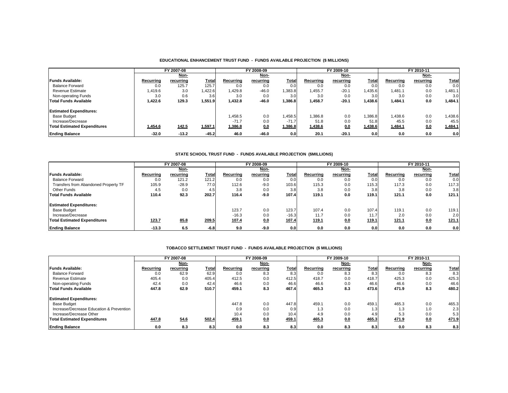#### **EDUCATIONAL ENHANCEMENT TRUST FUND - FUNDS AVAILABLE PROJECTION (\$ MILLIONS)**

|                                     |           | FY 2007-08   |         |           | FY 2008-09 |              |           | FY 2009-10  |                  |           | FY 2010-11 |              |
|-------------------------------------|-----------|--------------|---------|-----------|------------|--------------|-----------|-------------|------------------|-----------|------------|--------------|
|                                     |           | Non-         |         |           | Non-       |              |           | <u>Non-</u> |                  |           | Non-       |              |
| <b>Funds Available:</b>             | Recurrina | recurring    | Total   | Recurring | recurring  | <b>Total</b> | Recurring | recurring   | Total            | Recurrina | recurring  | <b>Total</b> |
| <b>Balance Forward</b>              | 0.0       | 125.7        | 125.7   | 0.0       | 0.0        | 0.0          | 0.0       | 0.0         | 0.0              | 0.0       | 0.0        | 0.0          |
| <b>Revenue Estimate</b>             | 1,419.6   | 3.0          | ,422.6  | 1,429.8   | $-46.0$    | 1,383.8      | 1.455.7   | $-20.1$     | ,435.6           | 1.481.1   | 0.0        | 1,481.1      |
| Non-operating Funds                 | 3.0       | 0.6          | 3.6     | 3.0       | 0.0        | 3.0          | 3.0       | 0.0         | 3.0              | 3.0       | 0.0        | 3.0          |
| Total Funds Available               | 1.422.6   | 129.3        | 1,551.9 | 1.432.8   | $-46.0$    | 1.386.81     | 1.458.7   | $-20.1$     | 1.438.61         | 1,484.1   | 0.0        | 1,484.1      |
| <b>Estimated Expenditures:</b>      |           |              |         |           |            |              |           |             |                  |           |            |              |
| <b>Base Budget</b>                  |           |              |         | 1,458.5   | 0.0        | 1,458.5      | 1.386.8   | 0.0         | .386.8           | 1.438.6   | 0.0        | A38.6        |
| Increase/Decrease                   |           |              |         | $-71.7$   | 0.0        | $-71.7'$     | 51.8      | 0.0         | 51.8             | 45.5      | 0.0        | 45.5         |
| <b>Total Estimated Expenditures</b> | 1,454.6   | <u>142.5</u> | 1,597.1 | 1,386.8   | 0.0        | 1,386.8      | 1,438.6   | 0.0         | 1,438.6          | 1,484.1   | 0.0        | 1,484.1      |
| <b>Ending Balance</b>               | $-32.0$   | $-13.2$      | $-45.2$ | 46.0      | $-46.0$    | 0.0          | 20.1      | $-20.1$     | 0.0 <sub>l</sub> | 0.0       | 0.0        | 0.0          |

#### **STATE SCHOOL TRUST FUND - FUNDS AVAILABLE PROJECTION (\$MILLIONS)**

|                                      |           | FY 2007-08 |        |           | FY 2008-09 |              |              | FY 2009-10 |       |           | FY 2010-11 |              |
|--------------------------------------|-----------|------------|--------|-----------|------------|--------------|--------------|------------|-------|-----------|------------|--------------|
|                                      |           | Non-       |        |           | Non-       |              |              | Non-       |       |           | Non-       |              |
| <b>Funds Available:</b>              | Recurrina | recurring  | Total  | Recurrina | recurring  | <b>Total</b> | Recurrina    | recurring  | Total | Recurrina | recurring  | <b>Total</b> |
| Balance Forward                      | 0.0       | 121.2      | 121.2  | 0.0       | 0.0        | 0.0          | 0.0          | 0.0        | 0.0   | 0.0       | 0.0        | 0.0          |
| Transfers from Abandoned Property TF | 105.9     | $-28.9$    | 77.0   | 112.6     | $-9.0$     | 103.6        | 115.3        | 0.0        | 115.3 | 117.3     | 0.0        | 117.3        |
| Other Funds                          | 4.5       | 0.0        | 4.5    | 3.8       | 0.0        | 3.8          | 3.8          | 0.0        | 3.8   | 3.8       | 0.0        | 3.8          |
| <b>Total Funds Available</b>         | 110.4     | 92.3       | 202.7  | 116.4     | $-9.0$     | 107.4        | 119.1        | 0.0        | 119.1 | 121.1     | 0.0        | 121.1        |
| <b>Estimated Expenditures:</b>       |           |            |        |           |            |              |              |            |       |           |            |              |
| <b>Base Budget</b>                   |           |            |        | 123.7     | 0.0        | 123.7        | 107.4        | 0.0        | 107.4 | 119.1     | 0.0        | 119.1        |
| Increase/Decrease                    |           |            |        | $-16.3$   | 0.0        | $-16.3$      | 11.7         | 0.0        | 11.7  | 2.0       | 0.0        | 2.0          |
| Total Estimated Expenditures         | 123.7     | 85.8       | 209.5  | 107.4     | <u>0.0</u> | 107.4        | <u>119.1</u> | 0.0        | 119.1 | 121.1     | 0.0        | <u>121.1</u> |
| <b>Ending Balance</b>                | $-13.3$   | 6.5        | $-6.8$ | 9.0       | $-9.0$     | 0.0          | 0.0          | 0.0        | 0.0   | 0.0       | 0.0        | 0.0          |

#### **TOBACCO SETTLEMENT TRUST FUND - FUNDS AVAILABLE PROJECTION (\$ MILLIONS)**

|                                          |           | FY 2007-08 |       |           | FY 2008-09 |              |           | FY 2009-10 |       |           | FY 2010-11 |              |
|------------------------------------------|-----------|------------|-------|-----------|------------|--------------|-----------|------------|-------|-----------|------------|--------------|
|                                          |           | Non-       |       |           | Non-       |              |           | Non-       |       |           | Non-       |              |
| <b>Funds Available:</b>                  | Recurrina | recurring  | Total | Recurring | recurring  | <b>Total</b> | Recurring | recurring  | Total | Recurring | recurring  | <b>Total</b> |
| <b>Balance Forward</b>                   | 0.0       | 62.9       | 62.9  | 0.0       | 8.3        | 8.3          | 0.0       | 8.3        | 8.3   | 0.0       | 8.3        | 8.3          |
| <b>Revenue Estimate</b>                  | 405.4     | 0.0        | 405.4 | 412.5     | 0.0        | 412.5        | 418.7     | 0.0        | 418.7 | 425.3     | 0.0        | 425.3        |
| Non-operating Funds                      | 42.4      | 0.0        | 42.4  | 46.6      | 0.0        | 46.6         | 46.6      | 0.0        | 46.6  | 46.6      | 0.0        | 46.6         |
| <b>Total Funds Available</b>             | 447.8     | 62.9       | 510.7 | 459.1     | 8.3        | 467.4        | 465.3     | 8.3        | 473.6 | 471.9     | 8.3        | 480.2        |
| <b>Estimated Expenditures:</b>           |           |            |       |           |            |              |           |            |       |           |            |              |
| <b>Base Budget</b>                       |           |            |       | 447.8     | 0.0        | 447.8        | 459.1     | 0.0        | 459.1 | 465.3     | 0.0        | 465.3        |
| Increase/Decrease Education & Prevention |           |            |       | 0.9       | 0.0        | 0.9          | 1.3       | 0.0        | 1.3   | 1.3       | 1.0        | 2.3          |
| Increase/Decrease Other                  |           |            |       | 10.4      | 0.0        | 10.4         | 4.9       | 0.0        | 4.9   | 5.3       | 0.0        | 5.3          |
| <b>Total Estimated Expenditures</b>      | 447.8     | 54.6       | 502.4 | 459.1     | 0.0        | 459.1        | 465.3     | 0.0        | 465.3 | 471.9     | 0.0        | 471.9        |
| <b>Ending Balance</b>                    | 0.0       | 8.3        | 8.3   | 0.0       | 8.3        | 8.3          | 0.0       | 8.3        | 8.3   | 0.0       | 8.3        | 8.3          |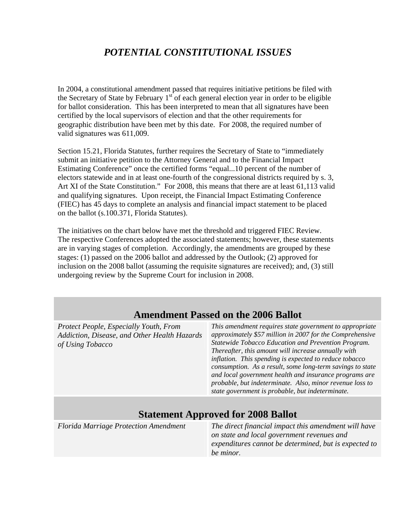# *POTENTIAL CONSTITUTIONAL ISSUES*

In 2004, a constitutional amendment passed that requires initiative petitions be filed with the Secretary of State by February  $1<sup>st</sup>$  of each general election year in order to be eligible for ballot consideration. This has been interpreted to mean that all signatures have been certified by the local supervisors of election and that the other requirements for geographic distribution have been met by this date. For 2008, the required number of valid signatures was 611,009.

Section 15.21, Florida Statutes, further requires the Secretary of State to "immediately submit an initiative petition to the Attorney General and to the Financial Impact Estimating Conference" once the certified forms "equal...10 percent of the number of electors statewide and in at least one-fourth of the congressional districts required by s. 3, Art XI of the State Constitution." For 2008, this means that there are at least 61,113 valid and qualifying signatures. Upon receipt, the Financial Impact Estimating Conference (FIEC) has 45 days to complete an analysis and financial impact statement to be placed on the ballot (s.100.371, Florida Statutes).

The initiatives on the chart below have met the threshold and triggered FIEC Review. The respective Conferences adopted the associated statements; however, these statements are in varying stages of completion. Accordingly, the amendments are grouped by these stages: (1) passed on the 2006 ballot and addressed by the Outlook; (2) approved for inclusion on the 2008 ballot (assuming the requisite signatures are received); and, (3) still undergoing review by the Supreme Court for inclusion in 2008.

# **Amendment Passed on the 2006 Ballot**

*Protect People, Especially Youth, From Addiction, Disease, and Other Health Hazards of Using Tobacco* 

*This amendment requires state government to appropriate approximately \$57 million in 2007 for the Comprehensive Statewide Tobacco Education and Prevention Program. Thereafter, this amount will increase annually with inflation. This spending is expected to reduce tobacco consumption. As a result, some long-term savings to state and local government health and insurance programs are probable, but indeterminate. Also, minor revenue loss to state government is probable, but indeterminate.* 

## **Statement Approved for 2008 Ballot**

*Florida Marriage Protection Amendment The direct financial impact this amendment will have on state and local government revenues and expenditures cannot be determined, but is expected to be minor.*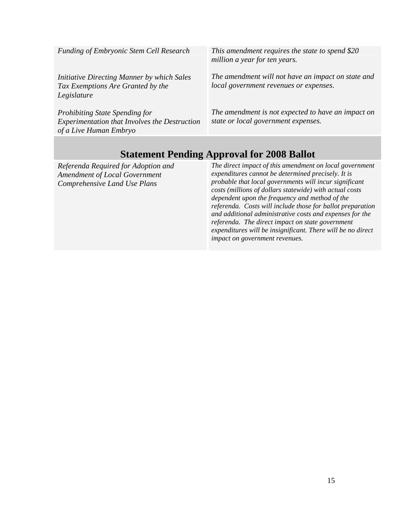| Funding of Embryonic Stem Cell Research                                                                                 | This amendment requires the state to spend \$20<br>million a year for ten years.             |
|-------------------------------------------------------------------------------------------------------------------------|----------------------------------------------------------------------------------------------|
| Initiative Directing Manner by which Sales<br>Tax Exemptions Are Granted by the<br>Legislature                          | The amendment will not have an impact on state and<br>local government revenues or expenses. |
| <b>Prohibiting State Spending for</b><br><b>Experimentation that Involves the Destruction</b><br>of a Live Human Embryo | The amendment is not expected to have an impact on<br>state or local government expenses.    |

# **Statement Pending Approval for 2008 Ballot**

*Referenda Required for Adoption and Amendment of Local Government Comprehensive Land Use Plans* 

*The direct impact of this amendment on local government expenditures cannot be determined precisely. It is probable that local governments will incur significant costs (millions of dollars statewide) with actual costs dependent upon the frequency and method of the referenda. Costs will include those for ballot preparation and additional administrative costs and expenses for the referenda. The direct impact on state government expenditures will be insignificant. There will be no direct impact on government revenues.*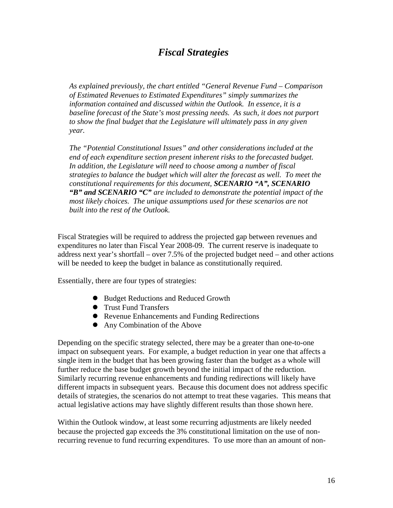# *Fiscal Strategies*

*As explained previously, the chart entitled "General Revenue Fund – Comparison of Estimated Revenues to Estimated Expenditures" simply summarizes the information contained and discussed within the Outlook. In essence, it is a baseline forecast of the State's most pressing needs. As such, it does not purport to show the final budget that the Legislature will ultimately pass in any given year.* 

*The "Potential Constitutional Issues" and other considerations included at the end of each expenditure section present inherent risks to the forecasted budget. In addition, the Legislature will need to choose among a number of fiscal strategies to balance the budget which will alter the forecast as well. To meet the constitutional requirements for this document, SCENARIO "A", SCENARIO "B" and SCENARIO "C" are included to demonstrate the potential impact of the most likely choices. The unique assumptions used for these scenarios are not built into the rest of the Outlook.* 

Fiscal Strategies will be required to address the projected gap between revenues and expenditures no later than Fiscal Year 2008-09. The current reserve is inadequate to address next year's shortfall – over 7.5% of the projected budget need – and other actions will be needed to keep the budget in balance as constitutionally required.

Essentially, there are four types of strategies:

- Budget Reductions and Reduced Growth
- **•** Trust Fund Transfers
- Revenue Enhancements and Funding Redirections
- Any Combination of the Above

Depending on the specific strategy selected, there may be a greater than one-to-one impact on subsequent years. For example, a budget reduction in year one that affects a single item in the budget that has been growing faster than the budget as a whole will further reduce the base budget growth beyond the initial impact of the reduction. Similarly recurring revenue enhancements and funding redirections will likely have different impacts in subsequent years. Because this document does not address specific details of strategies, the scenarios do not attempt to treat these vagaries. This means that actual legislative actions may have slightly different results than those shown here.

Within the Outlook window, at least some recurring adjustments are likely needed because the projected gap exceeds the 3% constitutional limitation on the use of nonrecurring revenue to fund recurring expenditures. To use more than an amount of non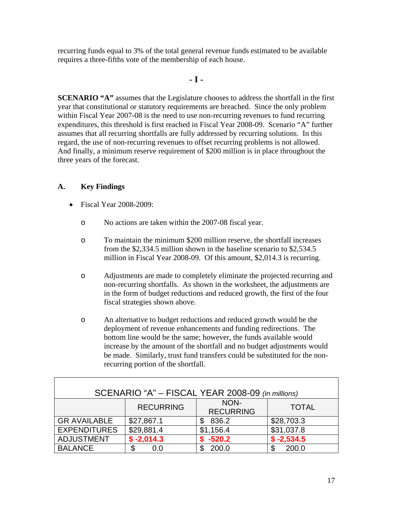recurring funds equal to 3% of the total general revenue funds estimated to be available requires a three-fifths vote of the membership of each house.

#### **- I -**

**SCENARIO "A"** assumes that the Legislature chooses to address the shortfall in the first year that constitutional or statutory requirements are breached. Since the only problem within Fiscal Year 2007-08 is the need to use non-recurring revenues to fund recurring expenditures, this threshold is first reached in Fiscal Year 2008-09. Scenario "A" further assumes that all recurring shortfalls are fully addressed by recurring solutions. In this regard, the use of non-recurring revenues to offset recurring problems is not allowed. And finally, a minimum reserve requirement of \$200 million is in place throughout the three years of the forecast.

### **A. Key Findings**

- Fiscal Year 2008-2009:
	- o No actions are taken within the 2007-08 fiscal year.
	- o To maintain the minimum \$200 million reserve, the shortfall increases from the \$2,334.5 million shown in the baseline scenario to \$2,534.5 million in Fiscal Year 2008-09. Of this amount, \$2,014.3 is recurring.
	- o Adjustments are made to completely eliminate the projected recurring and non-recurring shortfalls. As shown in the worksheet, the adjustments are in the form of budget reductions and reduced growth, the first of the four fiscal strategies shown above.
	- o An alternative to budget reductions and reduced growth would be the deployment of revenue enhancements and funding redirections. The bottom line would be the same; however, the funds available would increase by the amount of the shortfall and no budget adjustments would be made. Similarly, trust fund transfers could be substituted for the nonrecurring portion of the shortfall.

| SCENARIO "A" - FISCAL YEAR 2008-09 (in millions) |                  |                          |              |  |  |  |  |  |
|--------------------------------------------------|------------------|--------------------------|--------------|--|--|--|--|--|
|                                                  | <b>RECURRING</b> | NON-<br><b>RECURRING</b> | <b>TOTAL</b> |  |  |  |  |  |
| <b>GR AVAILABLE</b>                              | \$27,867.1       | 836.2                    | \$28,703.3   |  |  |  |  |  |
| <b>EXPENDITURES</b>                              | \$29,881.4       | \$1,156.4                | \$31,037.8   |  |  |  |  |  |
| <b>ADJUSTMENT</b>                                | $$ -2,014.3$     | $$ -520.2$               | $$ -2,534.5$ |  |  |  |  |  |
| <b>BALANCE</b>                                   | \$<br>0.O        | 200.0                    | 200.0        |  |  |  |  |  |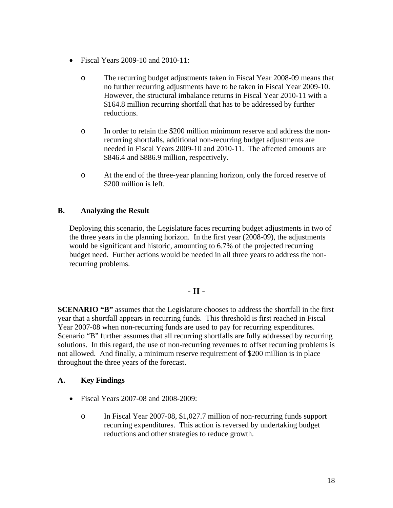- Fiscal Years 2009-10 and 2010-11:
	- o The recurring budget adjustments taken in Fiscal Year 2008-09 means that no further recurring adjustments have to be taken in Fiscal Year 2009-10. However, the structural imbalance returns in Fiscal Year 2010-11 with a \$164.8 million recurring shortfall that has to be addressed by further reductions.
	- o In order to retain the \$200 million minimum reserve and address the nonrecurring shortfalls, additional non-recurring budget adjustments are needed in Fiscal Years 2009-10 and 2010-11. The affected amounts are \$846.4 and \$886.9 million, respectively.
	- o At the end of the three-year planning horizon, only the forced reserve of \$200 million is left.

### **B. Analyzing the Result**

Deploying this scenario, the Legislature faces recurring budget adjustments in two of the three years in the planning horizon. In the first year (2008-09), the adjustments would be significant and historic, amounting to 6.7% of the projected recurring budget need. Further actions would be needed in all three years to address the nonrecurring problems.

### **- II -**

**SCENARIO "B"** assumes that the Legislature chooses to address the shortfall in the first year that a shortfall appears in recurring funds. This threshold is first reached in Fiscal Year 2007-08 when non-recurring funds are used to pay for recurring expenditures. Scenario "B" further assumes that all recurring shortfalls are fully addressed by recurring solutions. In this regard, the use of non-recurring revenues to offset recurring problems is not allowed. And finally, a minimum reserve requirement of \$200 million is in place throughout the three years of the forecast.

### **A. Key Findings**

- Fiscal Years 2007-08 and 2008-2009:
	- o In Fiscal Year 2007-08, \$1,027.7 million of non-recurring funds support recurring expenditures. This action is reversed by undertaking budget reductions and other strategies to reduce growth.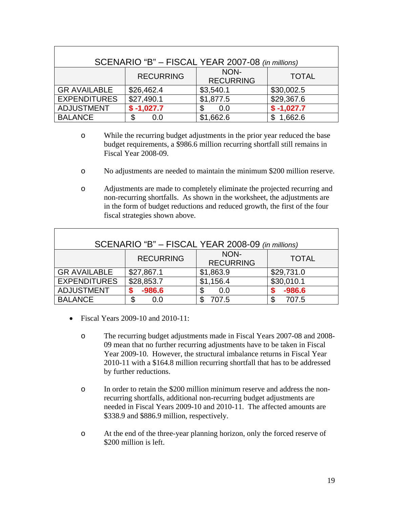| SCENARIO "B" - FISCAL YEAR 2007-08 (in millions) |                  |                          |              |  |  |  |  |  |
|--------------------------------------------------|------------------|--------------------------|--------------|--|--|--|--|--|
|                                                  | <b>RECURRING</b> | NON-<br><b>RECURRING</b> | <b>TOTAL</b> |  |  |  |  |  |
| <b>GR AVAILABLE</b>                              | \$26,462.4       | \$3,540.1                | \$30,002.5   |  |  |  |  |  |
| <b>EXPENDITURES</b>                              | \$27,490.1       | \$1,877.5                | \$29,367.6   |  |  |  |  |  |
| <b>ADJUSTMENT</b>                                | $$ -1,027.7$     | 0.0                      | $$ -1,027.7$ |  |  |  |  |  |
| <b>BALANCE</b>                                   | \$<br>0.0        | \$1,662.6                | 1,662.6      |  |  |  |  |  |

- o While the recurring budget adjustments in the prior year reduced the base budget requirements, a \$986.6 million recurring shortfall still remains in Fiscal Year 2008-09.
- o No adjustments are needed to maintain the minimum \$200 million reserve.
- o Adjustments are made to completely eliminate the projected recurring and non-recurring shortfalls. As shown in the worksheet, the adjustments are in the form of budget reductions and reduced growth, the first of the four fiscal strategies shown above.

| SCENARIO "B" - FISCAL YEAR 2008-09 (in millions) |                  |                          |              |  |  |  |  |  |
|--------------------------------------------------|------------------|--------------------------|--------------|--|--|--|--|--|
|                                                  | <b>RECURRING</b> | NON-<br><b>RECURRING</b> | <b>TOTAL</b> |  |  |  |  |  |
| <b>GR AVAILABLE</b>                              | \$27,867.1       | \$1,863.9                | \$29,731.0   |  |  |  |  |  |
| <b>EXPENDITURES</b>                              | \$28,853.7       | \$1,156.4                | \$30,010.1   |  |  |  |  |  |
| <b>ADJUSTMENT</b>                                | $-986.6$         | S<br>0.0                 | $-986.6$     |  |  |  |  |  |
| <b>BALANCE</b>                                   | \$<br>0.0        | 707.5                    | 707.5        |  |  |  |  |  |

- Fiscal Years 2009-10 and 2010-11:
	- o The recurring budget adjustments made in Fiscal Years 2007-08 and 2008- 09 mean that no further recurring adjustments have to be taken in Fiscal Year 2009-10. However, the structural imbalance returns in Fiscal Year 2010-11 with a \$164.8 million recurring shortfall that has to be addressed by further reductions.
	- o In order to retain the \$200 million minimum reserve and address the nonrecurring shortfalls, additional non-recurring budget adjustments are needed in Fiscal Years 2009-10 and 2010-11. The affected amounts are \$338.9 and \$886.9 million, respectively.
	- o At the end of the three-year planning horizon, only the forced reserve of \$200 million is left.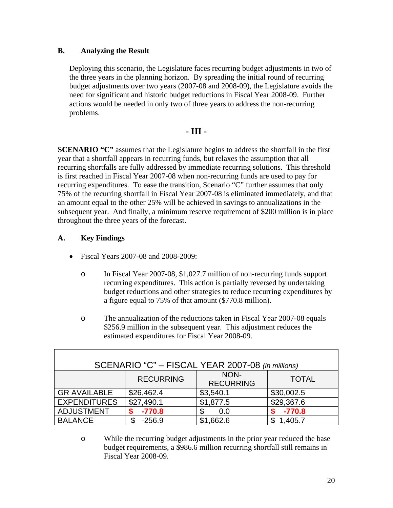#### **B. Analyzing the Result**

Deploying this scenario, the Legislature faces recurring budget adjustments in two of the three years in the planning horizon. By spreading the initial round of recurring budget adjustments over two years (2007-08 and 2008-09), the Legislature avoids the need for significant and historic budget reductions in Fiscal Year 2008-09. Further actions would be needed in only two of three years to address the non-recurring problems.

### **- III -**

**SCENARIO "C"** assumes that the Legislature begins to address the shortfall in the first year that a shortfall appears in recurring funds, but relaxes the assumption that all recurring shortfalls are fully addressed by immediate recurring solutions. This threshold is first reached in Fiscal Year 2007-08 when non-recurring funds are used to pay for recurring expenditures. To ease the transition, Scenario "C" further assumes that only 75% of the recurring shortfall in Fiscal Year 2007-08 is eliminated immediately, and that an amount equal to the other 25% will be achieved in savings to annualizations in the subsequent year. And finally, a minimum reserve requirement of \$200 million is in place throughout the three years of the forecast.

### **A. Key Findings**

 $\mathbf I$ 

- Fiscal Years 2007-08 and 2008-2009:
	- o In Fiscal Year 2007-08, \$1,027.7 million of non-recurring funds support recurring expenditures. This action is partially reversed by undertaking budget reductions and other strategies to reduce recurring expenditures by a figure equal to 75% of that amount (\$770.8 million).
	- o The annualization of the reductions taken in Fiscal Year 2007-08 equals \$256.9 million in the subsequent year. This adjustment reduces the estimated expenditures for Fiscal Year 2008-09.

| SCENARIO "C" - FISCAL YEAR 2007-08 (in millions) |                  |                          |              |  |  |  |  |  |  |
|--------------------------------------------------|------------------|--------------------------|--------------|--|--|--|--|--|--|
|                                                  | <b>RECURRING</b> | NON-<br><b>RECURRING</b> | <b>TOTAL</b> |  |  |  |  |  |  |
| <b>GR AVAILABLE</b>                              | \$26,462.4       | \$3,540.1                | \$30,002.5   |  |  |  |  |  |  |
| <b>EXPENDITURES</b>                              | \$27,490.1       | \$1,877.5                | \$29,367.6   |  |  |  |  |  |  |
| <b>ADJUSTMENT</b>                                | $-770.8$         | \$<br>0.0                | $-770.8$     |  |  |  |  |  |  |
| <b>BALANCE</b>                                   | $-256.9$         | \$1,662.6                | 1,405.7      |  |  |  |  |  |  |

o While the recurring budget adjustments in the prior year reduced the base budget requirements, a \$986.6 million recurring shortfall still remains in Fiscal Year 2008-09.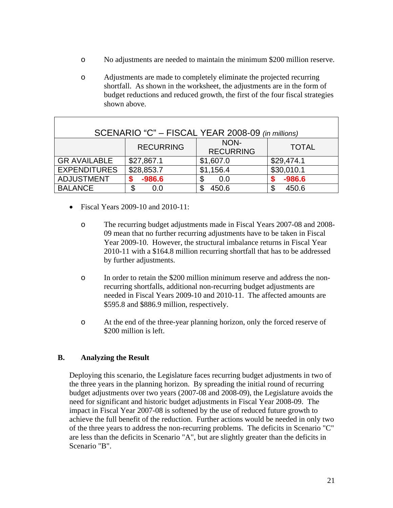- o No adjustments are needed to maintain the minimum \$200 million reserve.
- o Adjustments are made to completely eliminate the projected recurring shortfall. As shown in the worksheet, the adjustments are in the form of budget reductions and reduced growth, the first of the four fiscal strategies shown above.

| SCENARIO "C" - FISCAL YEAR 2008-09 (in millions) |                  |                          |              |  |  |  |  |  |
|--------------------------------------------------|------------------|--------------------------|--------------|--|--|--|--|--|
|                                                  | <b>RECURRING</b> | NON-<br><b>RECURRING</b> | <b>TOTAL</b> |  |  |  |  |  |
| <b>GR AVAILABLE</b>                              | \$27,867.1       | \$1,607.0                | \$29,474.1   |  |  |  |  |  |
| <b>EXPENDITURES</b>                              | \$28,853.7       | \$1,156.4                | \$30,010.1   |  |  |  |  |  |
| <b>ADJUSTMENT</b>                                | $-986.6$         | 0.0                      | $-986.6$     |  |  |  |  |  |
| <b>BALANCE</b>                                   | \$<br>0.0        | 450.6                    | 450.6<br>\$  |  |  |  |  |  |

- Fiscal Years 2009-10 and 2010-11:
	- o The recurring budget adjustments made in Fiscal Years 2007-08 and 2008- 09 mean that no further recurring adjustments have to be taken in Fiscal Year 2009-10. However, the structural imbalance returns in Fiscal Year 2010-11 with a \$164.8 million recurring shortfall that has to be addressed by further adjustments.
	- o In order to retain the \$200 million minimum reserve and address the nonrecurring shortfalls, additional non-recurring budget adjustments are needed in Fiscal Years 2009-10 and 2010-11. The affected amounts are \$595.8 and \$886.9 million, respectively.
	- o At the end of the three-year planning horizon, only the forced reserve of \$200 million is left.

### **B. Analyzing the Result**

Deploying this scenario, the Legislature faces recurring budget adjustments in two of the three years in the planning horizon. By spreading the initial round of recurring budget adjustments over two years (2007-08 and 2008-09), the Legislature avoids the need for significant and historic budget adjustments in Fiscal Year 2008-09. The impact in Fiscal Year 2007-08 is softened by the use of reduced future growth to achieve the full benefit of the reduction. Further actions would be needed in only two of the three years to address the non-recurring problems. The deficits in Scenario "C" are less than the deficits in Scenario "A", but are slightly greater than the deficits in Scenario "B".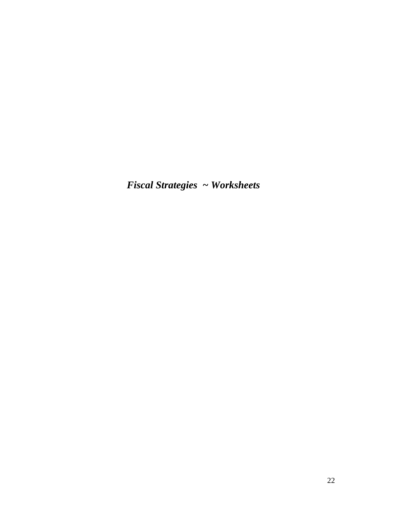*Fiscal Strategies ~ Worksheets*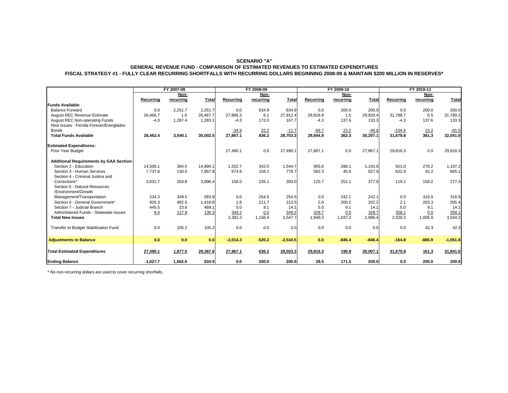#### **SCENARIO "A" GENERAL REVENUE FUND - COMPARISON OF ESTIMATED REVENUES TO ESTIMATED EXPENDITURES FISCAL STRATEGY #1 - FULLY CLEAR RECURRING SHORTFALLS WITH RECURRING DOLLARS BEGINNING 2008-09 & MAINTAIN \$200 MILLION IN RESERVES\***

|                                                | FY 2007-08 |           |          | FY 2008-09 |           |              |           | FY 2009-10 |          | FY 2010-11 |           |              |
|------------------------------------------------|------------|-----------|----------|------------|-----------|--------------|-----------|------------|----------|------------|-----------|--------------|
|                                                |            | Non-      |          |            | Non-      |              |           | Non-       |          |            | Non-      |              |
|                                                | Recurring  | recurring | Total    | Recurring  | recurring | <b>Total</b> | Recurring | recurring  | Total    | Recurring  | recurring | <b>Total</b> |
| <b>Funds Available:</b>                        |            |           |          |            |           |              |           |            |          |            |           |              |
| <b>Balance Forward</b>                         | 0.0        | 2.251.7   | 2,251.7  | 0.0        | 634.9     | 634.9        | 0.0       | 200.0      | 200.0    | 0.0        | 200.0     | 200.0        |
| <b>August REC Revenue Estimate</b>             | 26.466.7   | 1.0       | 26.467.7 | 27.906.3   | 6.1       | 27,912.4     | 29.918.9  | 1.5        | 29.920.4 | 31.788.7   | 0.5       | 31,789.2     |
| August REC Non-operating Funds                 | $-4.3$     | 1,287.4   | 1,283.1  | $-4.3$     | 172.0     | 167.7        | $-4.3$    | 137.6      | 133.3    | $-4.3$     | 137.6     | 133.3        |
| New Issues - Florida Forever/Everglades        |            |           |          |            |           |              |           |            |          |            |           |              |
| <b>Bonds</b>                                   |            |           |          | $-34.9$    | 23.2      | $-11.7$      | $-69.7$   | 23.2       | $-46.6$  | $-104.6$   | 23.2      | $-81.5$      |
| <b>Total Funds Available</b>                   | 26,462.4   | 3,540.1   | 30,002.5 | 27,867.1   | 836.2     | 28,703.3     | 29,844.9  | 362.3      | 30,207.1 | 31,679.8   | 361.3     | 32,041.0     |
| <b>Estimated Expenditures:</b>                 |            |           |          |            |           |              |           |            |          |            |           |              |
| Prior Year Budget                              |            |           |          | 27,490.1   | 0.0       | 27.490.1     | 27.867.1  | 0.0        | 27,867.1 | 29,816.3   | 0.0       | 29,816.3     |
| <b>Additional Requirements by GAA Section:</b> |            |           |          |            |           |              |           |            |          |            |           |              |
| Section 2 - Education                          | 14,506.1   | 384.0     | 14,890.1 | 1,202.7    | 342.0     | 1,544.7      | 905.6     | 288.1      | 1,193.6  | 921.0      | 276.2     | 1,197.2      |
| Section 3 - Human Services                     | 7,737.8    | 130.0     | 7,867.8  | 674.6      | 104.1     | 778.7        | 582.3     | 45.6       | 627.9    | 622.9      | 42.2      | 665.1        |
| Section 4 - Criminal Justice and               |            |           |          |            |           |              |           |            |          |            |           |              |
| Corrections*                                   | 3,631.7    | 264.8     | 3,896.4  | 158.0      | 235.1     | 393.0        | 125.7     | 252.1      | 377.8    | 119.1      | 158.2     | 277.3        |
| Section 5 - Natural Resources                  |            |           |          |            |           |              |           |            |          |            |           |              |
| /Environment/Growth                            |            |           |          |            |           |              |           |            |          |            |           |              |
| Management/Transportation                      | 234.3      | 349.5     | 583.9    | 0.0        | 254.5     | 254.5        | 0.0       | 242.1      | 242.1    | 0.0        | 316.9     | 316.9        |
| Section 6 - General Government*                | 926.3      | 492.5     | 1,418.8  | 1.8        | 211.7     | 213.5        | 2.0       | 200.2      | 202.2    | 2.1        | 203.3     | 205.4        |
| Section 7 - Judicial Branch                    | 445.5      | 23.6      | 469.1    | 5.0        | 9.1       | 14.1         | 5.0       | 9.1        | 14.1     | 5.0        | 9.1       | 14.1         |
| Administered Funds - Statewide Issues          | 8.4        | 127.9     | 136.3    | 349.2      | 0.0       | 349.2        | 328.7     | 0.0        | 328.7    | 358.1      | 0.0       | 358.1        |
| <b>Total New Issues</b>                        |            |           |          | 2,391.3    | 1,156.4   | 3,547.7      | 1,949.2   | 1,037.2    | 2,986.4  | 2,028.3    | 1,005.9   | 3,034.2      |
| Transfer to Budget Stabilization Fund          | 0.0        | 105.2     | 105.2    | 0.0        | 0.0       | 0.0          | 0.0       | 0.0        | 0.0      | 0.0        | 42.3      | 42.3         |
| <b>Adjustments to Balance</b>                  | 0.0        | 0.0       | 0.0      | $-2.014.3$ | $-520.2$  | $-2,534.5$   | 0.0       | $-846.4$   | $-846.4$ | $-164.8$   | $-886.9$  | $-1,051.8$   |
| <b>Total Estimated Expenditures</b>            | 27,490.1   | 1,877.5   | 29,367.6 | 27,867.1   | 636.2     | 28,503.3     | 29,816.3  | 190.8      | 30,007.1 | 31,679.8   | 161.3     | 31,841.0     |
| <b>Ending Balance</b>                          | $-1.027.7$ | 1.662.6   | 634.9    | 0.0        | 200.0     | 200.0        | 28.5      | 171.5      | 200.0    | 0.0        | 200.0     | 200.0        |

\* No non-recurring dollars are used to cover recurring shortfalls.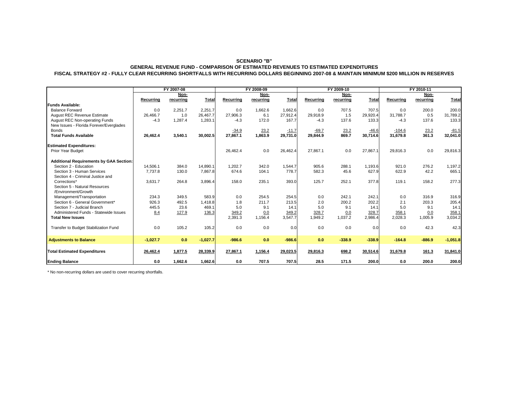#### **SCENARIO "B"**

#### **GENERAL REVENUE FUND - COMPARISON OF ESTIMATED REVENUES TO ESTIMATED EXPENDITURES FISCAL STRATEGY #2 - FULLY CLEAR RECURRING SHORTFALLS WITH RECURRING DOLLARS BEGINNING 2007-08 & MAINTAIN MINIMUM \$200 MILLION IN RESERVES**

|                                                | FY 2007-08 |           |            | FY 2008-09 |           |              | FY 2009-10 |           |              | FY 2010-11 |           |            |
|------------------------------------------------|------------|-----------|------------|------------|-----------|--------------|------------|-----------|--------------|------------|-----------|------------|
|                                                | Non-       |           |            | Non-       |           | Non-         |            |           | Non-         |            |           |            |
|                                                | Recurring  | recurring | Total      | Recurring  | recurring | <b>Total</b> | Recurring  | recurring | <b>Total</b> | Recurring  | recurring | Total      |
| <b>Funds Available:</b>                        |            |           |            |            |           |              |            |           |              |            |           |            |
| <b>Balance Forward</b>                         | 0.0        | 2,251.7   | 2,251.7    | 0.0        | 1,662.6   | 1,662.6      | 0.0        | 707.5     | 707.5        | 0.0        | 200.0     | 200.0      |
| <b>August REC Revenue Estimate</b>             | 26,466.7   | 1.0       | 26,467.7   | 27,906.3   | 6.1       | 27,912.4     | 29,918.9   | 1.5       | 29,920.4     | 31,788.7   | 0.5       | 31,789.2   |
| August REC Non-operating Funds                 | $-4.3$     | 1,287.4   | 1,283.1    | $-4.3$     | 172.0     | 167.7        | $-4.3$     | 137.6     | 133.3        | $-4.3$     | 137.6     | 133.3      |
| New Issues - Florida Forever/Everglades        |            |           |            |            |           |              |            |           |              |            |           |            |
| <b>Bonds</b>                                   |            |           |            | $-34.9$    | 23.2      | $-11.7$      | $-69.7$    | 23.2      | $-46.6$      | $-104.6$   | 23.2      | $-81.5$    |
| <b>Total Funds Available</b>                   | 26,462.4   | 3,540.1   | 30,002.5   | 27,867.1   | 1,863.9   | 29,731.0     | 29,844.9   | 869.7     | 30,714.6     | 31,679.8   | 361.3     | 32,041.0   |
| <b>Estimated Expenditures:</b>                 |            |           |            |            |           |              |            |           |              |            |           |            |
| Prior Year Budget                              |            |           |            | 26,462.4   | 0.0       | 26.462.4     | 27.867.1   | 0.0       | 27,867.1     | 29,816.3   | 0.0       | 29,816.3   |
| <b>Additional Requirements by GAA Section:</b> |            |           |            |            |           |              |            |           |              |            |           |            |
| Section 2 - Education                          | 14,506.1   | 384.0     | 14.890.1   | 1,202.7    | 342.0     | 1.544.7      | 905.6      | 288.1     | 1.193.6      | 921.0      | 276.2     | 1,197.2    |
| Section 3 - Human Services                     | 7,737.8    | 130.0     | 7,867.8    | 674.6      | 104.1     | 778.7        | 582.3      | 45.6      | 627.9        | 622.9      | 42.2      | 665.1      |
| Section 4 - Criminal Justice and               |            |           |            |            |           |              |            |           |              |            |           |            |
| Corrections*                                   | 3.631.7    | 264.8     | 3,896.4    | 158.0      | 235.1     | 393.0        | 125.7      | 252.1     | 377.8        | 119.1      | 158.2     | 277.3      |
| Section 5 - Natural Resources                  |            |           |            |            |           |              |            |           |              |            |           |            |
| /Environment/Growth                            |            |           |            |            |           |              |            |           |              |            |           |            |
| Management/Transportation                      | 234.3      | 349.5     | 583.9      | 0.0        | 254.5     | 254.5        | 0.0        | 242.1     | 242.1        | 0.0        | 316.9     | 316.9      |
| Section 6 - General Government*                | 926.3      | 492.5     | 1,418.8    | 1.8        | 211.7     | 213.5        | 2.0        | 200.2     | 202.2        | 2.1        | 203.3     | 205.4      |
| Section 7 - Judicial Branch                    | 445.5      | 23.6      | 469.1      | 5.0        | 9.1       | 14.1         | 5.0        | 9.1       | 14.1         | 5.0        | 9.1       | 14.1       |
| Administered Funds - Statewide Issues          | 8.4        | 127.9     | 136.3      | 349.2      | 0.0       | 349.2        | 328.7      | 0.0       | 328.7        | 358.1      | 0.0       | 358.1      |
| <b>Total New Issues</b>                        |            |           |            | 2,391.3    | 1,156.4   | 3,547.7      | 1,949.2    | 1,037.2   | 2,986.4      | 2,028.3    | 1,005.9   | 3,034.2    |
| Transfer to Budget Stabilization Fund          | 0.0        | 105.2     | 105.2      | 0.0        | 0.0       | 0.0          | 0.0        | 0.0       | 0.0          | 0.0        | 42.3      | 42.3       |
| <b>Adjustments to Balance</b>                  | $-1,027.7$ | 0.0       | $-1,027.7$ | $-986.6$   | 0.0       | $-986.6$     | 0.0        | $-338.9$  | $-338.9$     | $-164.8$   | $-886.9$  | $-1,051.8$ |
| <b>Total Estimated Expenditures</b>            | 26,462.4   | 1,877.5   | 28,339.9   | 27,867.1   | 1,156.4   | 29,023.5     | 29,816.3   | 698.2     | 30,514.6     | 31,679.8   | 161.3     | 31,841.0   |
| <b>Ending Balance</b>                          | 0.0        | 1,662.6   | 1,662.6    | 0.0        | 707.5     | 707.5        | 28.5       | 171.5     | 200.0        | 0.0        | 200.0     | 200.0      |

\* No non-recurring dollars are used to cover recurring shortfalls.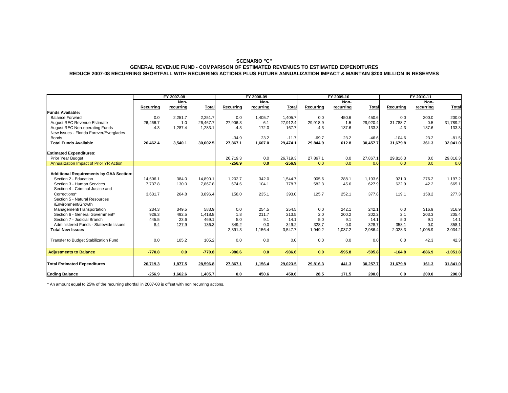#### **SCENARIO "C" GENERAL REVENUE FUND - COMPARISON OF ESTIMATED REVENUES TO ESTIMATED EXPENDITURES REDUCE 2007-08 RECURRING SHORTFALL WITH RECURRING ACTIONS PLUS FUTURE ANNUALIZATION IMPACT & MAINTAIN \$200 MILLION IN RESERVES**

|                                                | FY 2007-08 |           | FY 2008-09 |           |           | FY 2009-10 |           |           | FY 2010-11   |           |           |              |
|------------------------------------------------|------------|-----------|------------|-----------|-----------|------------|-----------|-----------|--------------|-----------|-----------|--------------|
|                                                |            | Non-      |            |           | Non-      |            |           | Non-      |              |           | Non-      |              |
|                                                | Recurrina  | recurring | Total      | Recurrina | recurring | Total      | Recurrina | recurring | <b>Total</b> | Recurring | recurring | <b>Total</b> |
| <b>Funds Available:</b>                        |            |           |            |           |           |            |           |           |              |           |           |              |
| <b>Balance Forward</b>                         | 0.0        | 2.251.7   | 2.251.7    | 0.0       | 1.405.7   | 1.405.7    | 0.0       | 450.6     | 450.6        | 0.0       | 200.0     | 200.0        |
| <b>August REC Revenue Estimate</b>             | 26,466.7   | 1.0       | 26,467.7   | 27,906.3  | 6.1       | 27,912.4   | 29,918.9  | 1.5       | 29,920.4     | 31.788.7  | 0.5       | 31,789.2     |
| <b>August REC Non-operating Funds</b>          | $-4.3$     | 1,287.4   | 1,283.1    | $-4.3$    | 172.0     | 167.7      | $-4.3$    | 137.6     | 133.3        | $-4.3$    | 137.6     | 133.3        |
| New Issues - Florida Forever/Everglades        |            |           |            |           |           |            |           |           |              |           |           |              |
| <b>Bonds</b>                                   |            |           |            | $-34.9$   | 23.2      | $-11.7$    | $-69.7$   | 23.2      | $-46.6$      | $-104.6$  | 23.2      | $-81.5$      |
| <b>Total Funds Available</b>                   | 26,462.4   | 3.540.1   | 30,002.5   | 27,867.1  | 1,607.0   | 29.474.1   | 29.844.9  | 612.8     | 30.457.7     | 31,679.8  | 361.3     | 32,041.0     |
| <b>Estimated Expenditures:</b>                 |            |           |            |           |           |            |           |           |              |           |           |              |
| Prior Year Budget                              |            |           |            | 26.719.3  | 0.0       | 26,719.3   | 27.867.1  | 0.0       | 27,867.1     | 29,816.3  | 0.0       | 29,816.3     |
| Annualization Impact of Prior YR Action        |            |           |            | $-256.9$  | 0.0       | $-256.9$   | 0.0       | 0.0       | 0.0          | 0.0       | 0.0       | 0.0          |
|                                                |            |           |            |           |           |            |           |           |              |           |           |              |
| <b>Additional Requirements by GAA Section:</b> |            |           |            |           |           |            |           |           |              |           |           |              |
| Section 2 - Education                          | 14,506.1   | 384.0     | 14,890.1   | 1,202.7   | 342.0     | 1,544.7    | 905.6     | 288.1     | 1,193.6      | 921.0     | 276.2     | 1,197.2      |
| Section 3 - Human Services                     | 7,737.8    | 130.0     | 7,867.8    | 674.6     | 104.1     | 778.7      | 582.3     | 45.6      | 627.9        | 622.9     | 42.2      | 665.1        |
| Section 4 - Criminal Justice and               |            |           |            |           |           |            |           |           |              |           |           |              |
| Corrections*                                   | 3,631.7    | 264.8     | 3,896.4    | 158.0     | 235.1     | 393.0      | 125.7     | 252.1     | 377.8        | 119.1     | 158.2     | 277.3        |
| Section 5 - Natural Resources                  |            |           |            |           |           |            |           |           |              |           |           |              |
| /Environment/Growth                            |            |           |            |           |           |            |           |           |              |           |           |              |
| Management/Transportation                      | 234.3      | 349.5     | 583.9      | 0.0       | 254.5     | 254.5      | 0.0       | 242.1     | 242.1        | 0.0       | 316.9     | 316.9        |
| Section 6 - General Government*                | 926.3      | 492.5     | 1,418.8    | 1.8       | 211.7     | 213.5      | 2.0       | 200.2     | 202.2        | 2.1       | 203.3     | 205.4        |
| Section 7 - Judicial Branch                    | 445.5      | 23.6      | 469.1      | 5.0       | 9.1       | 14.1       | 5.0       | 9.1       | 14.1         | 5.0       | 9.1       | 14.1         |
| Administered Funds - Statewide Issues          | 8.4        | 127.9     | 136.3      | 349.2     | 0.0       | 349.2      | 328.7     | 0.0       | 328.7        | 358.1     | 0.0       | 358.1        |
| <b>Total New Issues</b>                        |            |           |            | 2,391.3   | 1,156.4   | 3,547.7    | 1,949.2   | 1,037.2   | 2,986.4      | 2,028.3   | 1,005.9   | 3,034.2      |
| Transfer to Budget Stabilization Fund          | 0.0        | 105.2     | 105.2      | 0.0       | 0.0       | 0.0        | 0.0       | 0.0       | 0.0          | 0.0       | 42.3      | 42.3         |
| <b>Adjustments to Balance</b>                  | $-770.8$   | 0.0       | $-770.8$   | $-986.6$  | 0.0       | $-986.6$   | 0.0       | $-595.8$  | $-595.8$     | $-164.8$  | $-886.9$  | $-1,051.8$   |
| <b>Total Estimated Expenditures</b>            | 26,719.3   | 1,877.5   | 28,596.8   | 27,867.1  | 1,156.4   | 29,023.5   | 29,816.3  | 441.3     | 30,257.7     | 31,679.8  | 161.3     | 31,841.0     |
| <b>Ending Balance</b>                          | $-256.9$   | 1,662.6   | 1,405.7    | 0.0       | 450.6     | 450.6      | 28.5      | 171.5     | 200.0        | 0.0       | 200.0     | 200.0        |

\* An amount equal to 25% of the recurring shortfall in 2007-08 is offset with non recurring actions.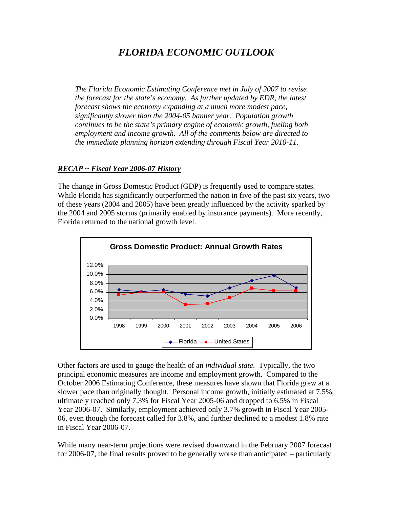# *FLORIDA ECONOMIC OUTLOOK*

*The Florida Economic Estimating Conference met in July of 2007 to revise the forecast for the state's economy. As further updated by EDR, the latest forecast shows the economy expanding at a much more modest pace, significantly slower than the 2004-05 banner year. Population growth continues to be the state's primary engine of economic growth, fueling both employment and income growth. All of the comments below are directed to the immediate planning horizon extending through Fiscal Year 2010-11.* 

#### *RECAP ~ Fiscal Year 2006-07 History*

The change in Gross Domestic Product (GDP) is frequently used to compare states. While Florida has significantly outperformed the nation in five of the past six years, two of these years (2004 and 2005) have been greatly influenced by the activity sparked by the 2004 and 2005 storms (primarily enabled by insurance payments). More recently, Florida returned to the national growth level.



Other factors are used to gauge the health of an *individual state*. Typically, the two principal economic measures are income and employment growth. Compared to the October 2006 Estimating Conference, these measures have shown that Florida grew at a slower pace than originally thought. Personal income growth, initially estimated at 7.5%, ultimately reached only 7.3% for Fiscal Year 2005-06 and dropped to 6.5% in Fiscal Year 2006-07. Similarly, employment achieved only 3.7% growth in Fiscal Year 2005- 06, even though the forecast called for 3.8%, and further declined to a modest 1.8% rate in Fiscal Year 2006-07.

While many near-term projections were revised downward in the February 2007 forecast for 2006-07, the final results proved to be generally worse than anticipated – particularly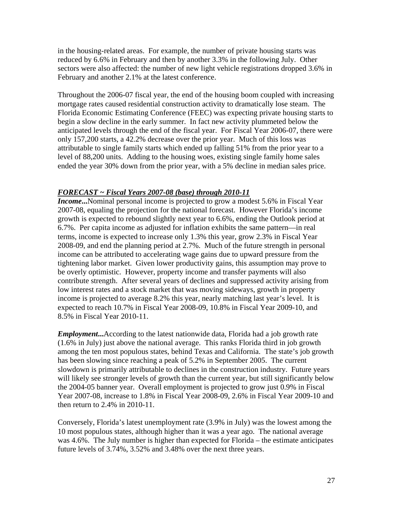in the housing-related areas. For example, the number of private housing starts was reduced by 6.6% in February and then by another 3.3% in the following July. Other sectors were also affected: the number of new light vehicle registrations dropped 3.6% in February and another 2.1% at the latest conference.

Throughout the 2006-07 fiscal year, the end of the housing boom coupled with increasing mortgage rates caused residential construction activity to dramatically lose steam. The Florida Economic Estimating Conference (FEEC) was expecting private housing starts to begin a slow decline in the early summer. In fact new activity plummeted below the anticipated levels through the end of the fiscal year. For Fiscal Year 2006-07, there were only 157,200 starts, a 42.2% decrease over the prior year. Much of this loss was attributable to single family starts which ended up falling 51% from the prior year to a level of 88,200 units. Adding to the housing woes, existing single family home sales ended the year 30% down from the prior year, with a 5% decline in median sales price.

### *FORECAST ~ Fiscal Years 2007-08 (base) through 2010-11*

*Income***...**Nominal personal income is projected to grow a modest 5.6% in Fiscal Year 2007-08, equaling the projection for the national forecast. However Florida's income growth is expected to rebound slightly next year to 6.6%, ending the Outlook period at 6.7%. Per capita income as adjusted for inflation exhibits the same pattern—in real terms, income is expected to increase only 1.3% this year, grow 2.3% in Fiscal Year 2008-09, and end the planning period at 2.7%. Much of the future strength in personal income can be attributed to accelerating wage gains due to upward pressure from the tightening labor market. Given lower productivity gains, this assumption may prove to be overly optimistic. However, property income and transfer payments will also contribute strength. After several years of declines and suppressed activity arising from low interest rates and a stock market that was moving sideways, growth in property income is projected to average 8.2% this year, nearly matching last year's level. It is expected to reach 10.7% in Fiscal Year 2008-09, 10.8% in Fiscal Year 2009-10, and 8.5% in Fiscal Year 2010-11.

*Employment***...**According to the latest nationwide data, Florida had a job growth rate (1.6% in July) just above the national average. This ranks Florida third in job growth among the ten most populous states, behind Texas and California. The state's job growth has been slowing since reaching a peak of 5.2% in September 2005. The current slowdown is primarily attributable to declines in the construction industry. Future years will likely see stronger levels of growth than the current year, but still significantly below the 2004-05 banner year. Overall employment is projected to grow just 0.9% in Fiscal Year 2007-08, increase to 1.8% in Fiscal Year 2008-09, 2.6% in Fiscal Year 2009-10 and then return to 2.4% in 2010-11.

Conversely, Florida's latest unemployment rate (3.9% in July) was the lowest among the 10 most populous states, although higher than it was a year ago. The national average was 4.6%. The July number is higher than expected for Florida – the estimate anticipates future levels of 3.74%, 3.52% and 3.48% over the next three years.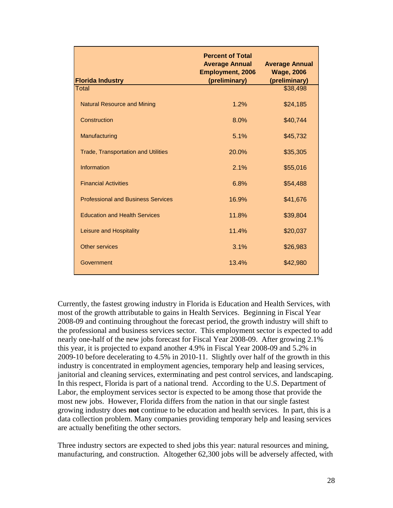| <b>Florida Industry</b>                    | <b>Percent of Total</b><br><b>Average Annual</b><br><b>Employment, 2006</b><br>(preliminary) | <b>Average Annual</b><br><b>Wage, 2006</b><br>(preliminary) |
|--------------------------------------------|----------------------------------------------------------------------------------------------|-------------------------------------------------------------|
| Total                                      |                                                                                              | \$38,498                                                    |
| <b>Natural Resource and Mining</b>         | 1.2%                                                                                         | \$24,185                                                    |
| Construction                               | 8.0%                                                                                         | \$40,744                                                    |
| Manufacturing                              | 5.1%                                                                                         | \$45,732                                                    |
| <b>Trade, Transportation and Utilities</b> | 20.0%                                                                                        | \$35,305                                                    |
| Information                                | 2.1%                                                                                         | \$55,016                                                    |
| <b>Financial Activities</b>                | 6.8%                                                                                         | \$54,488                                                    |
| <b>Professional and Business Services</b>  | 16.9%                                                                                        | \$41,676                                                    |
| <b>Education and Health Services</b>       | 11.8%                                                                                        | \$39,804                                                    |
| Leisure and Hospitality                    | 11.4%                                                                                        | \$20,037                                                    |
| Other services                             | 3.1%                                                                                         | \$26,983                                                    |
| Government                                 | 13.4%                                                                                        | \$42,980                                                    |

Currently, the fastest growing industry in Florida is Education and Health Services, with most of the growth attributable to gains in Health Services. Beginning in Fiscal Year 2008-09 and continuing throughout the forecast period, the growth industry will shift to the professional and business services sector. This employment sector is expected to add nearly one-half of the new jobs forecast for Fiscal Year 2008-09. After growing 2.1% this year, it is projected to expand another 4.9% in Fiscal Year 2008-09 and 5.2% in 2009-10 before decelerating to 4.5% in 2010-11. Slightly over half of the growth in this industry is concentrated in employment agencies, temporary help and leasing services, janitorial and cleaning services, exterminating and pest control services, and landscaping. In this respect, Florida is part of a national trend. According to the U.S. Department of Labor, the employment services sector is expected to be among those that provide the most new jobs. However, Florida differs from the nation in that our single fastest growing industry does **not** continue to be education and health services. In part, this is a data collection problem. Many companies providing temporary help and leasing services are actually benefiting the other sectors.

Three industry sectors are expected to shed jobs this year: natural resources and mining, manufacturing, and construction. Altogether 62,300 jobs will be adversely affected, with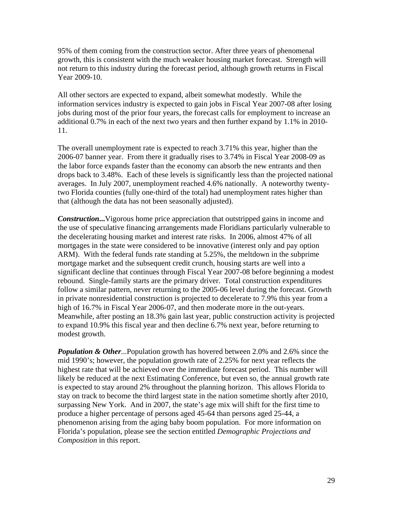95% of them coming from the construction sector. After three years of phenomenal growth, this is consistent with the much weaker housing market forecast. Strength will not return to this industry during the forecast period, although growth returns in Fiscal Year 2009-10.

All other sectors are expected to expand, albeit somewhat modestly. While the information services industry is expected to gain jobs in Fiscal Year 2007-08 after losing jobs during most of the prior four years, the forecast calls for employment to increase an additional 0.7% in each of the next two years and then further expand by 1.1% in 2010- 11.

The overall unemployment rate is expected to reach 3.71% this year, higher than the 2006-07 banner year. From there it gradually rises to 3.74% in Fiscal Year 2008-09 as the labor force expands faster than the economy can absorb the new entrants and then drops back to 3.48%. Each of these levels is significantly less than the projected national averages. In July 2007, unemployment reached 4.6% nationally. A noteworthy twentytwo Florida counties (fully one-third of the total) had unemployment rates higher than that (although the data has not been seasonally adjusted).

*Construction*... Vigorous home price appreciation that outstripped gains in income and the use of speculative financing arrangements made Floridians particularly vulnerable to the decelerating housing market and interest rate risks. In 2006, almost 47% of all mortgages in the state were considered to be innovative (interest only and pay option ARM). With the federal funds rate standing at 5.25%, the meltdown in the subprime mortgage market and the subsequent credit crunch, housing starts are well into a significant decline that continues through Fiscal Year 2007-08 before beginning a modest rebound. Single-family starts are the primary driver. Total construction expenditures follow a similar pattern, never returning to the 2005-06 level during the forecast. Growth in private nonresidential construction is projected to decelerate to 7.9% this year from a high of 16.7% in Fiscal Year 2006-07, and then moderate more in the out-years. Meanwhile, after posting an 18.3% gain last year, public construction activity is projected to expand 10.9% this fiscal year and then decline 6.7% next year, before returning to modest growth.

*Population & Other...Population growth has hovered between 2.0% and 2.6% since the* mid 1990's; however, the population growth rate of 2.25% for next year reflects the highest rate that will be achieved over the immediate forecast period. This number will likely be reduced at the next Estimating Conference, but even so, the annual growth rate is expected to stay around 2% throughout the planning horizon. This allows Florida to stay on track to become the third largest state in the nation sometime shortly after 2010, surpassing New York. And in 2007, the state's age mix will shift for the first time to produce a higher percentage of persons aged 45-64 than persons aged 25-44, a phenomenon arising from the aging baby boom population. For more information on Florida's population, please see the section entitled *Demographic Projections and Composition* in this report.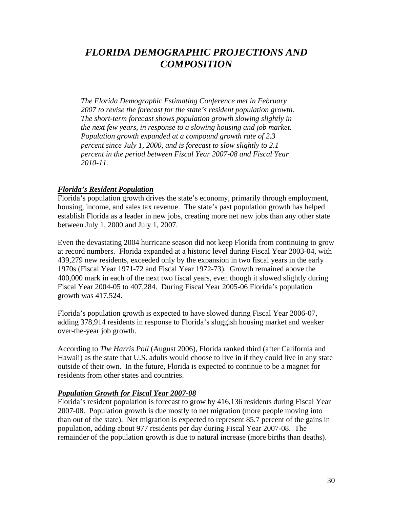# *FLORIDA DEMOGRAPHIC PROJECTIONS AND COMPOSITION*

*The Florida Demographic Estimating Conference met in February 2007 to revise the forecast for the state's resident population growth. The short-term forecast shows population growth slowing slightly in the next few years, in response to a slowing housing and job market. Population growth expanded at a compound growth rate of 2.3 percent since July 1, 2000, and is forecast to slow slightly to 2.1 percent in the period between Fiscal Year 2007-08 and Fiscal Year 2010-11.* 

#### *Florida's Resident Population*

Florida's population growth drives the state's economy, primarily through employment, housing, income, and sales tax revenue. The state's past population growth has helped establish Florida as a leader in new jobs, creating more net new jobs than any other state between July 1, 2000 and July 1, 2007.

Even the devastating 2004 hurricane season did not keep Florida from continuing to grow at record numbers. Florida expanded at a historic level during Fiscal Year 2003-04, with 439,279 new residents, exceeded only by the expansion in two fiscal years in the early 1970s (Fiscal Year 1971-72 and Fiscal Year 1972-73). Growth remained above the 400,000 mark in each of the next two fiscal years, even though it slowed slightly during Fiscal Year 2004-05 to 407,284. During Fiscal Year 2005-06 Florida's population growth was 417,524.

Florida's population growth is expected to have slowed during Fiscal Year 2006-07, adding 378,914 residents in response to Florida's sluggish housing market and weaker over-the-year job growth.

According to *The Harris Poll* (August 2006), Florida ranked third (after California and Hawaii) as the state that U.S. adults would choose to live in if they could live in any state outside of their own. In the future, Florida is expected to continue to be a magnet for residents from other states and countries.

### *Population Growth for Fiscal Year 2007-08*

Florida's resident population is forecast to grow by 416,136 residents during Fiscal Year 2007-08. Population growth is due mostly to net migration (more people moving into than out of the state). Net migration is expected to represent 85.7 percent of the gains in population, adding about 977 residents per day during Fiscal Year 2007-08. The remainder of the population growth is due to natural increase (more births than deaths).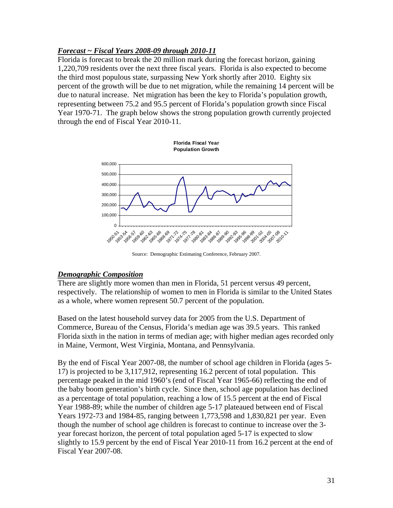### *Forecast ~ Fiscal Years 2008-09 through 2010-11*

Florida is forecast to break the 20 million mark during the forecast horizon, gaining 1,220,709 residents over the next three fiscal years. Florida is also expected to become the third most populous state, surpassing New York shortly after 2010. Eighty six percent of the growth will be due to net migration, while the remaining 14 percent will be due to natural increase. Net migration has been the key to Florida's population growth, representing between 75.2 and 95.5 percent of Florida's population growth since Fiscal Year 1970-71. The graph below shows the strong population growth currently projected through the end of Fiscal Year 2010-11.



Source: Demographic Estimating Conference, February 2007.

### *Demographic Composition*

There are slightly more women than men in Florida, 51 percent versus 49 percent, respectively. The relationship of women to men in Florida is similar to the United States as a whole, where women represent 50.7 percent of the population.

Based on the latest household survey data for 2005 from the U.S. Department of Commerce, Bureau of the Census, Florida's median age was 39.5 years. This ranked Florida sixth in the nation in terms of median age; with higher median ages recorded only in Maine, Vermont, West Virginia, Montana, and Pennsylvania.

By the end of Fiscal Year 2007-08, the number of school age children in Florida (ages 5- 17) is projected to be 3,117,912, representing 16.2 percent of total population. This percentage peaked in the mid 1960's (end of Fiscal Year 1965-66) reflecting the end of the baby boom generation's birth cycle. Since then, school age population has declined as a percentage of total population, reaching a low of 15.5 percent at the end of Fiscal Year 1988-89; while the number of children age 5-17 plateaued between end of Fiscal Years 1972-73 and 1984-85, ranging between 1,773,598 and 1,830,821 per year. Even though the number of school age children is forecast to continue to increase over the 3 year forecast horizon, the percent of total population aged 5-17 is expected to slow slightly to 15.9 percent by the end of Fiscal Year 2010-11 from 16.2 percent at the end of Fiscal Year 2007-08.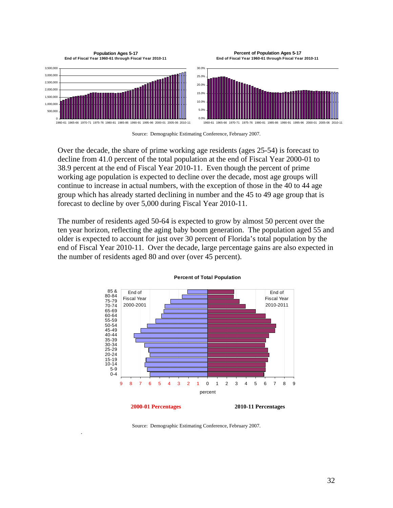

Source: Demographic Estimating Conference, February 2007.

Over the decade, the share of prime working age residents (ages 25-54) is forecast to decline from 41.0 percent of the total population at the end of Fiscal Year 2000-01 to 38.9 percent at the end of Fiscal Year 2010-11. Even though the percent of prime working age population is expected to decline over the decade, most age groups will continue to increase in actual numbers, with the exception of those in the 40 to 44 age group which has already started declining in number and the 45 to 49 age group that is forecast to decline by over 5,000 during Fiscal Year 2010-11.

The number of residents aged 50-64 is expected to grow by almost 50 percent over the ten year horizon, reflecting the aging baby boom generation. The population aged 55 and older is expected to account for just over 30 percent of Florida's total population by the end of Fiscal Year 2010-11. Over the decade, large percentage gains are also expected in the number of residents aged 80 and over (over 45 percent).



#### **Percent of Total Population**

Source: Demographic Estimating Conference, February 2007.

.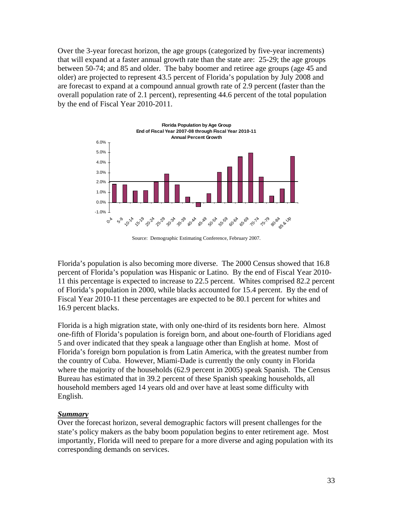Over the 3-year forecast horizon, the age groups (categorized by five-year increments) that will expand at a faster annual growth rate than the state are: 25-29; the age groups between 50-74; and 85 and older. The baby boomer and retiree age groups (age 45 and older) are projected to represent 43.5 percent of Florida's population by July 2008 and are forecast to expand at a compound annual growth rate of 2.9 percent (faster than the overall population rate of 2.1 percent), representing 44.6 percent of the total population by the end of Fiscal Year 2010-2011.



Source: Demographic Estimating Conference, February 2007.

Florida's population is also becoming more diverse. The 2000 Census showed that 16.8 percent of Florida's population was Hispanic or Latino. By the end of Fiscal Year 2010- 11 this percentage is expected to increase to 22.5 percent. Whites comprised 82.2 percent of Florida's population in 2000, while blacks accounted for 15.4 percent. By the end of Fiscal Year 2010-11 these percentages are expected to be 80.1 percent for whites and 16.9 percent blacks.

Florida is a high migration state, with only one-third of its residents born here. Almost one-fifth of Florida's population is foreign born, and about one-fourth of Floridians aged 5 and over indicated that they speak a language other than English at home. Most of Florida's foreign born population is from Latin America, with the greatest number from the country of Cuba. However, Miami-Dade is currently the only county in Florida where the majority of the households (62.9 percent in 2005) speak Spanish. The Census Bureau has estimated that in 39.2 percent of these Spanish speaking households, all household members aged 14 years old and over have at least some difficulty with English.

#### *Summary*

Over the forecast horizon, several demographic factors will present challenges for the state's policy makers as the baby boom population begins to enter retirement age. Most importantly, Florida will need to prepare for a more diverse and aging population with its corresponding demands on services.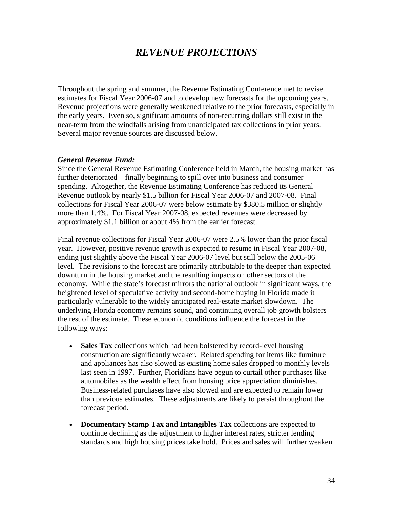# *REVENUE PROJECTIONS*

Throughout the spring and summer, the Revenue Estimating Conference met to revise estimates for Fiscal Year 2006-07 and to develop new forecasts for the upcoming years. Revenue projections were generally weakened relative to the prior forecasts, especially in the early years. Even so, significant amounts of non-recurring dollars still exist in the near-term from the windfalls arising from unanticipated tax collections in prior years. Several major revenue sources are discussed below.

#### *General Revenue Fund:*

Since the General Revenue Estimating Conference held in March, the housing market has further deteriorated – finally beginning to spill over into business and consumer spending. Altogether, the Revenue Estimating Conference has reduced its General Revenue outlook by nearly \$1.5 billion for Fiscal Year 2006-07 and 2007-08. Final collections for Fiscal Year 2006-07 were below estimate by \$380.5 million or slightly more than 1.4%. For Fiscal Year 2007-08, expected revenues were decreased by approximately \$1.1 billion or about 4% from the earlier forecast.

Final revenue collections for Fiscal Year 2006-07 were 2.5% lower than the prior fiscal year. However, positive revenue growth is expected to resume in Fiscal Year 2007-08, ending just slightly above the Fiscal Year 2006-07 level but still below the 2005-06 level. The revisions to the forecast are primarily attributable to the deeper than expected downturn in the housing market and the resulting impacts on other sectors of the economy. While the state's forecast mirrors the national outlook in significant ways, the heightened level of speculative activity and second-home buying in Florida made it particularly vulnerable to the widely anticipated real-estate market slowdown. The underlying Florida economy remains sound, and continuing overall job growth bolsters the rest of the estimate. These economic conditions influence the forecast in the following ways:

- Sales Tax collections which had been bolstered by record-level housing construction are significantly weaker. Related spending for items like furniture and appliances has also slowed as existing home sales dropped to monthly levels last seen in 1997. Further, Floridians have begun to curtail other purchases like automobiles as the wealth effect from housing price appreciation diminishes. Business-related purchases have also slowed and are expected to remain lower than previous estimates. These adjustments are likely to persist throughout the forecast period.
- **Documentary Stamp Tax and Intangibles Tax** collections are expected to continue declining as the adjustment to higher interest rates, stricter lending standards and high housing prices take hold. Prices and sales will further weaken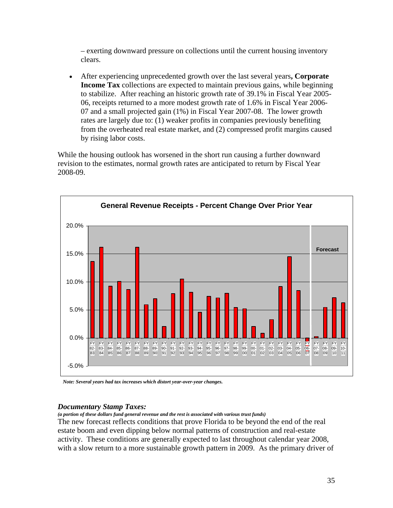– exerting downward pressure on collections until the current housing inventory clears.

• After experiencing unprecedented growth over the last several years**, Corporate Income Tax** collections are expected to maintain previous gains, while beginning to stabilize. After reaching an historic growth rate of 39.1% in Fiscal Year 2005- 06, receipts returned to a more modest growth rate of 1.6% in Fiscal Year 2006- 07 and a small projected gain (1%) in Fiscal Year 2007-08. The lower growth rates are largely due to: (1) weaker profits in companies previously benefiting from the overheated real estate market, and (2) compressed profit margins caused by rising labor costs.

While the housing outlook has worsened in the short run causing a further downward revision to the estimates, normal growth rates are anticipated to return by Fiscal Year 2008-09.



 *Note: Several years had tax increases which distort year-over-year changes.* 

#### *Documentary Stamp Taxes:*

*(a portion of these dollars fund general revenue and the rest is associated with various trust funds)* 

The new forecast reflects conditions that prove Florida to be beyond the end of the real estate boom and even dipping below normal patterns of construction and real-estate activity. These conditions are generally expected to last throughout calendar year 2008, with a slow return to a more sustainable growth pattern in 2009. As the primary driver of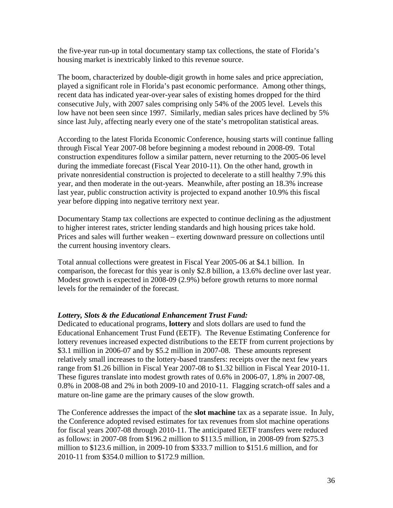the five-year run-up in total documentary stamp tax collections, the state of Florida's housing market is inextricably linked to this revenue source.

The boom, characterized by double-digit growth in home sales and price appreciation, played a significant role in Florida's past economic performance. Among other things, recent data has indicated year-over-year sales of existing homes dropped for the third consecutive July, with 2007 sales comprising only 54% of the 2005 level. Levels this low have not been seen since 1997. Similarly, median sales prices have declined by 5% since last July, affecting nearly every one of the state's metropolitan statistical areas.

According to the latest Florida Economic Conference, housing starts will continue falling through Fiscal Year 2007-08 before beginning a modest rebound in 2008-09. Total construction expenditures follow a similar pattern, never returning to the 2005-06 level during the immediate forecast (Fiscal Year 2010-11). On the other hand, growth in private nonresidential construction is projected to decelerate to a still healthy 7.9% this year, and then moderate in the out-years. Meanwhile, after posting an 18.3% increase last year, public construction activity is projected to expand another 10.9% this fiscal year before dipping into negative territory next year.

Documentary Stamp tax collections are expected to continue declining as the adjustment to higher interest rates, stricter lending standards and high housing prices take hold. Prices and sales will further weaken – exerting downward pressure on collections until the current housing inventory clears.

Total annual collections were greatest in Fiscal Year 2005-06 at \$4.1 billion. In comparison, the forecast for this year is only \$2.8 billion, a 13.6% decline over last year. Modest growth is expected in 2008-09 (2.9%) before growth returns to more normal levels for the remainder of the forecast.

### *Lottery, Slots & the Educational Enhancement Trust Fund:*

Dedicated to educational programs, **lottery** and slots dollars are used to fund the Educational Enhancement Trust Fund (EETF). The Revenue Estimating Conference for lottery revenues increased expected distributions to the EETF from current projections by \$3.1 million in 2006-07 and by \$5.2 million in 2007-08. These amounts represent relatively small increases to the lottery-based transfers: receipts over the next few years range from \$1.26 billion in Fiscal Year 2007-08 to \$1.32 billion in Fiscal Year 2010-11. These figures translate into modest growth rates of 0.6% in 2006-07, 1.8% in 2007-08, 0.8% in 2008-08 and 2% in both 2009-10 and 2010-11. Flagging scratch-off sales and a mature on-line game are the primary causes of the slow growth.

The Conference addresses the impact of the **slot machine** tax as a separate issue. In July, the Conference adopted revised estimates for tax revenues from slot machine operations for fiscal years 2007-08 through 2010-11. The anticipated EETF transfers were reduced as follows: in 2007-08 from \$196.2 million to \$113.5 million, in 2008-09 from \$275.3 million to \$123.6 million, in 2009-10 from \$333.7 million to \$151.6 million, and for 2010-11 from \$354.0 million to \$172.9 million.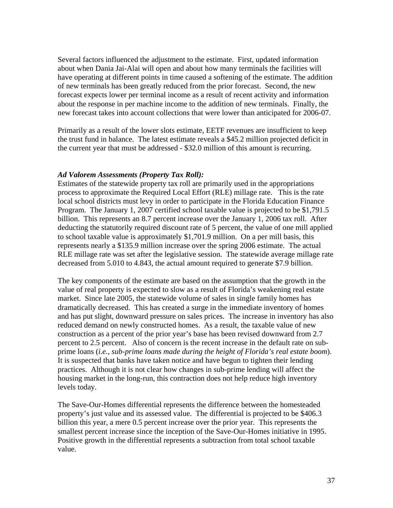Several factors influenced the adjustment to the estimate. First, updated information about when Dania Jai-Alai will open and about how many terminals the facilities will have operating at different points in time caused a softening of the estimate. The addition of new terminals has been greatly reduced from the prior forecast. Second, the new forecast expects lower per terminal income as a result of recent activity and information about the response in per machine income to the addition of new terminals. Finally, the new forecast takes into account collections that were lower than anticipated for 2006-07.

Primarily as a result of the lower slots estimate, EETF revenues are insufficient to keep the trust fund in balance. The latest estimate reveals a \$45.2 million projected deficit in the current year that must be addressed - \$32.0 million of this amount is recurring.

#### *Ad Valorem Assessments (Property Tax Roll):*

Estimates of the statewide property tax roll are primarily used in the appropriations process to approximate the Required Local Effort (RLE) millage rate. This is the rate local school districts must levy in order to participate in the Florida Education Finance Program. The January 1, 2007 certified school taxable value is projected to be \$1,791.5 billion. This represents an 8.7 percent increase over the January 1, 2006 tax roll. After deducting the statutorily required discount rate of 5 percent, the value of one mill applied to school taxable value is approximately \$1,701.9 million. On a per mill basis, this represents nearly a \$135.9 million increase over the spring 2006 estimate. The actual RLE millage rate was set after the legislative session. The statewide average millage rate decreased from 5.010 to 4.843, the actual amount required to generate \$7.9 billion.

The key components of the estimate are based on the assumption that the growth in the value of real property is expected to slow as a result of Florida's weakening real estate market. Since late 2005, the statewide volume of sales in single family homes has dramatically decreased. This has created a surge in the immediate inventory of homes and has put slight, downward pressure on sales prices. The increase in inventory has also reduced demand on newly constructed homes. As a result, the taxable value of new construction as a percent of the prior year's base has been revised downward from 2.7 percent to 2.5 percent. Also of concern is the recent increase in the default rate on subprime loans (*i.e., sub-prime loans made during the height of Florida's real estate boom*). It is suspected that banks have taken notice and have begun to tighten their lending practices. Although it is not clear how changes in sub-prime lending will affect the housing market in the long-run, this contraction does not help reduce high inventory levels today.

The Save-Our-Homes differential represents the difference between the homesteaded property's just value and its assessed value. The differential is projected to be \$406.3 billion this year, a mere 0.5 percent increase over the prior year. This represents the smallest percent increase since the inception of the Save-Our-Homes initiative in 1995. Positive growth in the differential represents a subtraction from total school taxable value.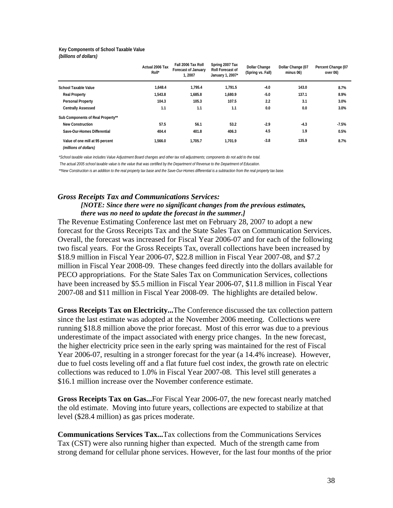#### **Key Components of School Taxable Value** *(billions of dollars)*

|                                                          | Actual 2006 Tax<br>Roll* | Fall 2006 Tax Roll<br><b>Forecast of January</b><br>1.2007 | Spring 2007 Tax<br><b>Roll Forecast of</b><br>January 1, 2007* | <b>Dollar Change</b><br>(Spring vs. Fall) | Dollar Change (07<br>minus 06) | Percent Change (07<br>over 06) |
|----------------------------------------------------------|--------------------------|------------------------------------------------------------|----------------------------------------------------------------|-------------------------------------------|--------------------------------|--------------------------------|
| <b>School Taxable Value</b>                              | 1.648.4                  | 1.795.4                                                    | 1.791.5                                                        | $-4.0$                                    | 143.0                          | 8.7%                           |
| <b>Real Property</b>                                     | 1,543.8                  | 1,685.8                                                    | 1,680.9                                                        | $-5.0$                                    | 137.1                          | 8.9%                           |
| <b>Personal Property</b>                                 | 104.3                    | 105.3                                                      | 107.5                                                          | 2.2                                       | 3.1                            | 3.0%                           |
| <b>Centrally Assessed</b>                                | 1.1                      | 1.1                                                        | 1.1                                                            | 0.0                                       | 0.0                            | 3.0%                           |
| Sub Components of Real Property**                        |                          |                                                            |                                                                |                                           |                                |                                |
| <b>New Construction</b>                                  | 57.5                     | 56.1                                                       | 53.2                                                           | $-2.9$                                    | $-4.3$                         | $-7.5%$                        |
| Save-Our-Homes Differential                              | 404.4                    | 401.8                                                      | 406.3                                                          | 4.5                                       | 1.9                            | 0.5%                           |
| Value of one mill at 95 percent<br>(millions of dollars) | 1,566.0                  | 1,705.7                                                    | 1.701.9                                                        | $-3.8$                                    | 135.9                          | 8.7%                           |

*\*School taxable value includes Value Adjustment Board changes and other tax roll adjustments; components do not add to the total.*

 *The actual 2005 school taxable value is the value that was certified by the Department of Revenue to the Department of Education.*

*\*\*New Construction is an addition to the real property tax base and the Save-Our-Homes differential is a subtraction from the real property tax base.*

#### *Gross Receipts Tax and Communications Services: [NOTE: Since there were no significant changes from the previous estimates, there was no need to update the forecast in the summer.]*

The Revenue Estimating Conference last met on February 28, 2007 to adopt a new forecast for the Gross Receipts Tax and the State Sales Tax on Communication Services. Overall, the forecast was increased for Fiscal Year 2006-07 and for each of the following two fiscal years. For the Gross Receipts Tax, overall collections have been increased by \$18.9 million in Fiscal Year 2006-07, \$22.8 million in Fiscal Year 2007-08, and \$7.2 million in Fiscal Year 2008-09. These changes feed directly into the dollars available for PECO appropriations. For the State Sales Tax on Communication Services, collections have been increased by \$5.5 million in Fiscal Year 2006-07, \$11.8 million in Fiscal Year 2007-08 and \$11 million in Fiscal Year 2008-09. The highlights are detailed below.

**Gross Receipts Tax on Electricity...**The Conference discussed the tax collection pattern since the last estimate was adopted at the November 2006 meeting. Collections were running \$18.8 million above the prior forecast. Most of this error was due to a previous underestimate of the impact associated with energy price changes. In the new forecast, the higher electricity price seen in the early spring was maintained for the rest of Fiscal Year 2006-07, resulting in a stronger forecast for the year (a 14.4% increase). However, due to fuel costs leveling off and a flat future fuel cost index, the growth rate on electric collections was reduced to 1.0% in Fiscal Year 2007-08. This level still generates a \$16.1 million increase over the November conference estimate.

**Gross Receipts Tax on Gas...**For Fiscal Year 2006-07, the new forecast nearly matched the old estimate. Moving into future years, collections are expected to stabilize at that level (\$28.4 million) as gas prices moderate.

**Communications Services Tax...**Tax collections from the Communications Services Tax (CST) were also running higher than expected. Much of the strength came from strong demand for cellular phone services. However, for the last four months of the prior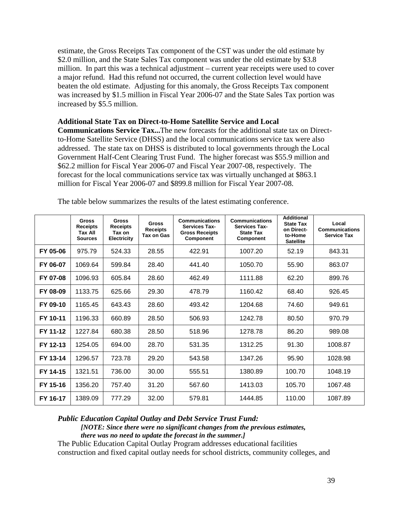estimate, the Gross Receipts Tax component of the CST was under the old estimate by \$2.0 million, and the State Sales Tax component was under the old estimate by \$3.8 million. In part this was a technical adjustment – current year receipts were used to cover a major refund. Had this refund not occurred, the current collection level would have beaten the old estimate. Adjusting for this anomaly, the Gross Receipts Tax component was increased by \$1.5 million in Fiscal Year 2006-07 and the State Sales Tax portion was increased by \$5.5 million.

#### **Additional State Tax on Direct-to-Home Satellite Service and Local**

**Communications Service Tax...**The new forecasts for the additional state tax on Directto-Home Satellite Service (DHSS) and the local communications service tax were also addressed. The state tax on DHSS is distributed to local governments through the Local Government Half-Cent Clearing Trust Fund. The higher forecast was \$55.9 million and \$62.2 million for Fiscal Year 2006-07 and Fiscal Year 2007-08, respectively. The forecast for the local communications service tax was virtually unchanged at \$863.1 million for Fiscal Year 2006-07 and \$899.8 million for Fiscal Year 2007-08.

|          | <b>Gross</b><br><b>Receipts</b><br>Tax All<br><b>Sources</b> | <b>Gross</b><br><b>Receipts</b><br>Tax on<br><b>Electricity</b> | <b>Gross</b><br><b>Receipts</b><br>Tax on Gas | <b>Communications</b><br><b>Services Tax-</b><br><b>Gross Receipts</b><br>Component | <b>Communications</b><br><b>Services Tax-</b><br><b>State Tax</b><br>Component | <b>Additional</b><br><b>State Tax</b><br>on Direct-<br>to-Home<br><b>Satellite</b> | Local<br><b>Communications</b><br><b>Service Tax</b> |
|----------|--------------------------------------------------------------|-----------------------------------------------------------------|-----------------------------------------------|-------------------------------------------------------------------------------------|--------------------------------------------------------------------------------|------------------------------------------------------------------------------------|------------------------------------------------------|
| FY 05-06 | 975.79                                                       | 524.33                                                          | 28.55                                         | 422.91                                                                              | 1007.20                                                                        | 52.19                                                                              | 843.31                                               |
| FY 06-07 | 1069.64                                                      | 599.84                                                          | 28.40                                         | 441.40                                                                              | 1050.70                                                                        | 55.90                                                                              | 863.07                                               |
| FY 07-08 | 1096.93                                                      | 605.84                                                          | 28.60                                         | 462.49                                                                              | 1111.88                                                                        | 62.20                                                                              | 899.76                                               |
| FY 08-09 | 1133.75                                                      | 625.66                                                          | 29.30                                         | 478.79                                                                              | 1160.42                                                                        | 68.40                                                                              | 926.45                                               |
| FY 09-10 | 1165.45                                                      | 643.43                                                          | 28.60                                         | 493.42                                                                              | 1204.68                                                                        | 74.60                                                                              | 949.61                                               |
| FY 10-11 | 1196.33                                                      | 660.89                                                          | 28.50                                         | 506.93                                                                              | 1242.78                                                                        | 80.50                                                                              | 970.79                                               |
| FY 11-12 | 1227.84                                                      | 680.38                                                          | 28.50                                         | 518.96                                                                              | 1278.78                                                                        | 86.20                                                                              | 989.08                                               |
| FY 12-13 | 1254.05                                                      | 694.00                                                          | 28.70                                         | 531.35                                                                              | 1312.25                                                                        | 91.30                                                                              | 1008.87                                              |
| FY 13-14 | 1296.57                                                      | 723.78                                                          | 29.20                                         | 543.58                                                                              | 1347.26                                                                        | 95.90                                                                              | 1028.98                                              |
| FY 14-15 | 1321.51                                                      | 736.00                                                          | 30.00                                         | 555.51                                                                              | 1380.89                                                                        | 100.70                                                                             | 1048.19                                              |
| FY 15-16 | 1356.20                                                      | 757.40                                                          | 31.20                                         | 567.60                                                                              | 1413.03                                                                        | 105.70                                                                             | 1067.48                                              |
| FY 16-17 | 1389.09                                                      | 777.29                                                          | 32.00                                         | 579.81                                                                              | 1444.85                                                                        | 110.00                                                                             | 1087.89                                              |

The table below summarizes the results of the latest estimating conference.

#### *Public Education Capital Outlay and Debt Service Trust Fund:*

*[NOTE: Since there were no significant changes from the previous estimates, there was no need to update the forecast in the summer.]* 

The Public Education Capital Outlay Program addresses educational facilities construction and fixed capital outlay needs for school districts, community colleges, and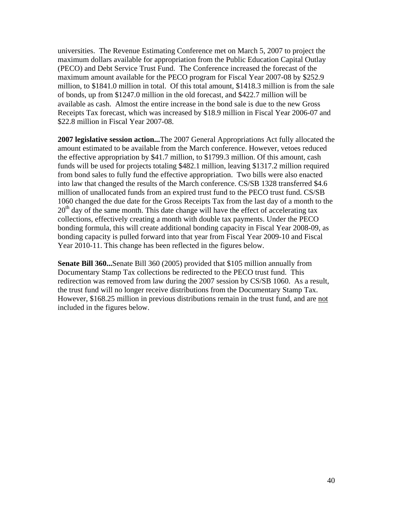universities. The Revenue Estimating Conference met on March 5, 2007 to project the maximum dollars available for appropriation from the Public Education Capital Outlay (PECO) and Debt Service Trust Fund. The Conference increased the forecast of the maximum amount available for the PECO program for Fiscal Year 2007-08 by \$252.9 million, to \$1841.0 million in total. Of this total amount, \$1418.3 million is from the sale of bonds, up from \$1247.0 million in the old forecast, and \$422.7 million will be available as cash. Almost the entire increase in the bond sale is due to the new Gross Receipts Tax forecast, which was increased by \$18.9 million in Fiscal Year 2006-07 and \$22.8 million in Fiscal Year 2007-08.

**2007 legislative session action...**The 2007 General Appropriations Act fully allocated the amount estimated to be available from the March conference. However, vetoes reduced the effective appropriation by \$41.7 million, to \$1799.3 million. Of this amount, cash funds will be used for projects totaling \$482.1 million, leaving \$1317.2 million required from bond sales to fully fund the effective appropriation. Two bills were also enacted into law that changed the results of the March conference. CS/SB 1328 transferred \$4.6 million of unallocated funds from an expired trust fund to the PECO trust fund. CS/SB 1060 changed the due date for the Gross Receipts Tax from the last day of a month to the  $20<sup>th</sup>$  day of the same month. This date change will have the effect of accelerating tax collections, effectively creating a month with double tax payments. Under the PECO bonding formula, this will create additional bonding capacity in Fiscal Year 2008-09, as bonding capacity is pulled forward into that year from Fiscal Year 2009-10 and Fiscal Year 2010-11. This change has been reflected in the figures below.

**Senate Bill 360...**Senate Bill 360 (2005) provided that \$105 million annually from Documentary Stamp Tax collections be redirected to the PECO trust fund. This redirection was removed from law during the 2007 session by CS/SB 1060. As a result, the trust fund will no longer receive distributions from the Documentary Stamp Tax. However, \$168.25 million in previous distributions remain in the trust fund, and are not included in the figures below.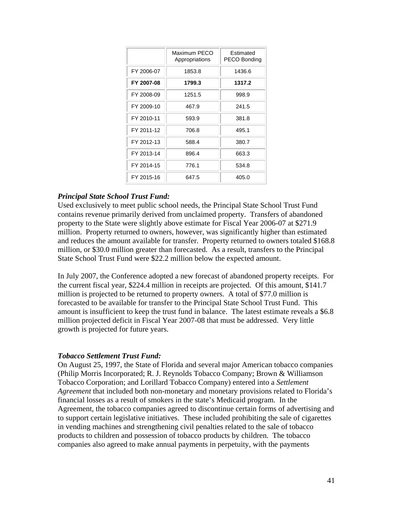|            | Maximum PECO<br>Appropriations | Estimated<br>PECO Bonding |
|------------|--------------------------------|---------------------------|
| FY 2006-07 | 1853.8                         | 1436.6                    |
| FY 2007-08 | 1799.3                         | 1317.2                    |
| FY 2008-09 | 1251.5                         | 998.9                     |
| FY 2009-10 | 467.9                          | 241.5                     |
| FY 2010-11 | 593.9                          | 381.8                     |
| FY 2011-12 | 706.8                          | 495.1                     |
| FY 2012-13 | 588.4                          | 380.7                     |
| FY 2013-14 | 896.4                          | 663.3                     |
| FY 2014-15 | 776.1                          | 534.8                     |
| FY 2015-16 | 647.5                          | 405.0                     |

#### *Principal State School Trust Fund:*

Used exclusively to meet public school needs, the Principal State School Trust Fund contains revenue primarily derived from unclaimed property. Transfers of abandoned property to the State were slightly above estimate for Fiscal Year 2006-07 at \$271.9 million. Property returned to owners, however, was significantly higher than estimated and reduces the amount available for transfer. Property returned to owners totaled \$168.8 million, or \$30.0 million greater than forecasted. As a result, transfers to the Principal State School Trust Fund were \$22.2 million below the expected amount.

In July 2007, the Conference adopted a new forecast of abandoned property receipts. For the current fiscal year, \$224.4 million in receipts are projected. Of this amount, \$141.7 million is projected to be returned to property owners. A total of \$77.0 million is forecasted to be available for transfer to the Principal State School Trust Fund. This amount is insufficient to keep the trust fund in balance. The latest estimate reveals a \$6.8 million projected deficit in Fiscal Year 2007-08 that must be addressed. Very little growth is projected for future years.

#### *Tobacco Settlement Trust Fund:*

On August 25, 1997, the State of Florida and several major American tobacco companies (Philip Morris Incorporated; R. J. Reynolds Tobacco Company; Brown & Williamson Tobacco Corporation; and Lorillard Tobacco Company) entered into a *Settlement Agreement* that included both non-monetary and monetary provisions related to Florida's financial losses as a result of smokers in the state's Medicaid program. In the Agreement, the tobacco companies agreed to discontinue certain forms of advertising and to support certain legislative initiatives. These included prohibiting the sale of cigarettes in vending machines and strengthening civil penalties related to the sale of tobacco products to children and possession of tobacco products by children. The tobacco companies also agreed to make annual payments in perpetuity, with the payments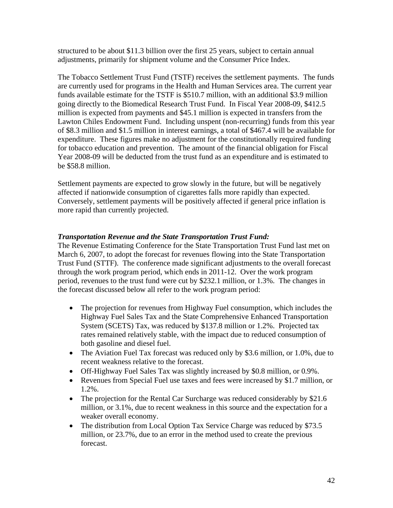structured to be about \$11.3 billion over the first 25 years, subject to certain annual adjustments, primarily for shipment volume and the Consumer Price Index.

The Tobacco Settlement Trust Fund (TSTF) receives the settlement payments. The funds are currently used for programs in the Health and Human Services area. The current year funds available estimate for the TSTF is \$510.7 million, with an additional \$3.9 million going directly to the Biomedical Research Trust Fund. In Fiscal Year 2008-09, \$412.5 million is expected from payments and \$45.1 million is expected in transfers from the Lawton Chiles Endowment Fund. Including unspent (non-recurring) funds from this year of \$8.3 million and \$1.5 million in interest earnings, a total of \$467.4 will be available for expenditure. These figures make no adjustment for the constitutionally required funding for tobacco education and prevention. The amount of the financial obligation for Fiscal Year 2008-09 will be deducted from the trust fund as an expenditure and is estimated to be \$58.8 million.

Settlement payments are expected to grow slowly in the future, but will be negatively affected if nationwide consumption of cigarettes falls more rapidly than expected. Conversely, settlement payments will be positively affected if general price inflation is more rapid than currently projected.

### *Transportation Revenue and the State Transportation Trust Fund:*

The Revenue Estimating Conference for the State Transportation Trust Fund last met on March 6, 2007, to adopt the forecast for revenues flowing into the State Transportation Trust Fund (STTF). The conference made significant adjustments to the overall forecast through the work program period, which ends in 2011-12. Over the work program period, revenues to the trust fund were cut by \$232.1 million, or 1.3%. The changes in the forecast discussed below all refer to the work program period:

- The projection for revenues from Highway Fuel consumption, which includes the Highway Fuel Sales Tax and the State Comprehensive Enhanced Transportation System (SCETS) Tax, was reduced by \$137.8 million or 1.2%. Projected tax rates remained relatively stable, with the impact due to reduced consumption of both gasoline and diesel fuel.
- The Aviation Fuel Tax forecast was reduced only by \$3.6 million, or 1.0%, due to recent weakness relative to the forecast.
- Off-Highway Fuel Sales Tax was slightly increased by \$0.8 million, or 0.9%.
- Revenues from Special Fuel use taxes and fees were increased by \$1.7 million, or 1.2%.
- The projection for the Rental Car Surcharge was reduced considerably by \$21.6 million, or 3.1%, due to recent weakness in this source and the expectation for a weaker overall economy.
- The distribution from Local Option Tax Service Charge was reduced by \$73.5 million, or 23.7%, due to an error in the method used to create the previous forecast.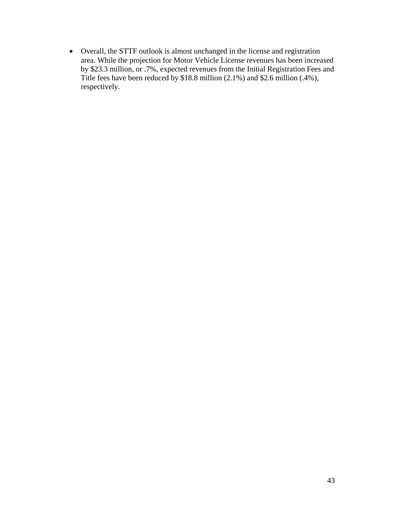• Overall, the STTF outlook is almost unchanged in the license and registration area. While the projection for Motor Vehicle License revenues has been increased by \$23.3 million, or .7%, expected revenues from the Initial Registration Fees and Title fees have been reduced by \$18.8 million (2.1%) and \$2.6 million (.4%), respectively.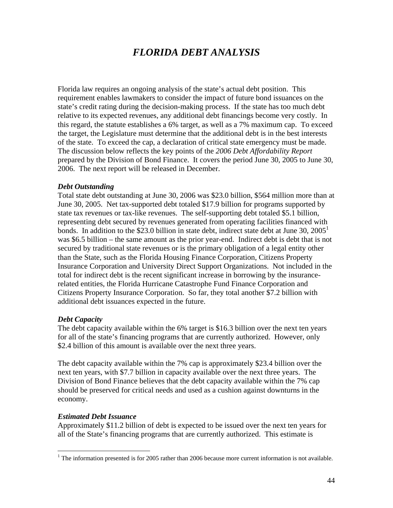# *FLORIDA DEBT ANALYSIS*

Florida law requires an ongoing analysis of the state's actual debt position. This requirement enables lawmakers to consider the impact of future bond issuances on the state's credit rating during the decision-making process. If the state has too much debt relative to its expected revenues, any additional debt financings become very costly. In this regard, the statute establishes a 6% target, as well as a 7% maximum cap. To exceed the target, the Legislature must determine that the additional debt is in the best interests of the state. To exceed the cap, a declaration of critical state emergency must be made. The discussion below reflects the key points of the *2006 Debt Affordability Report* prepared by the Division of Bond Finance. It covers the period June 30, 2005 to June 30, 2006. The next report will be released in December.

#### *Debt Outstanding*

Total state debt outstanding at June 30, 2006 was \$23.0 billion, \$564 million more than at June 30, 2005. Net tax-supported debt totaled \$17.9 billion for programs supported by state tax revenues or tax-like revenues. The self-supporting debt totaled \$5.1 billion, representing debt secured by revenues generated from operating facilities financed with bonds. In addition to the \$23.0 billion in state debt, indirect state debt at June 30,  $2005<sup>1</sup>$ was \$6.5 billion – the same amount as the prior year-end. Indirect debt is debt that is not secured by traditional state revenues or is the primary obligation of a legal entity other than the State, such as the Florida Housing Finance Corporation, Citizens Property Insurance Corporation and University Direct Support Organizations. Not included in the total for indirect debt is the recent significant increase in borrowing by the insurancerelated entities, the Florida Hurricane Catastrophe Fund Finance Corporation and Citizens Property Insurance Corporation. So far, they total another \$7.2 billion with additional debt issuances expected in the future.

#### *Debt Capacity*

The debt capacity available within the 6% target is \$16.3 billion over the next ten years for all of the state's financing programs that are currently authorized. However, only \$2.4 billion of this amount is available over the next three years.

The debt capacity available within the 7% cap is approximately \$23.4 billion over the next ten years, with \$7.7 billion in capacity available over the next three years. The Division of Bond Finance believes that the debt capacity available within the 7% cap should be preserved for critical needs and used as a cushion against downturns in the economy.

#### *Estimated Debt Issuance*

<u>.</u>

Approximately \$11.2 billion of debt is expected to be issued over the next ten years for all of the State's financing programs that are currently authorized. This estimate is

<sup>&</sup>lt;sup>1</sup> The information presented is for 2005 rather than 2006 because more current information is not available.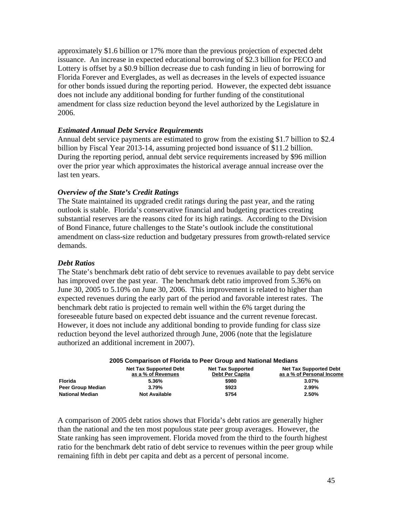approximately \$1.6 billion or 17% more than the previous projection of expected debt issuance. An increase in expected educational borrowing of \$2.3 billion for PECO and Lottery is offset by a \$0.9 billion decrease due to cash funding in lieu of borrowing for Florida Forever and Everglades, as well as decreases in the levels of expected issuance for other bonds issued during the reporting period. However, the expected debt issuance does not include any additional bonding for further funding of the constitutional amendment for class size reduction beyond the level authorized by the Legislature in 2006.

#### *Estimated Annual Debt Service Requirements*

Annual debt service payments are estimated to grow from the existing \$1.7 billion to \$2.4 billion by Fiscal Year 2013-14, assuming projected bond issuance of \$11.2 billion. During the reporting period, annual debt service requirements increased by \$96 million over the prior year which approximates the historical average annual increase over the last ten years.

#### *Overview of the State's Credit Ratings*

The State maintained its upgraded credit ratings during the past year, and the rating outlook is stable. Florida's conservative financial and budgeting practices creating substantial reserves are the reasons cited for its high ratings. According to the Division of Bond Finance, future challenges to the State's outlook include the constitutional amendment on class-size reduction and budgetary pressures from growth-related service demands.

#### *Debt Ratios*

The State's benchmark debt ratio of debt service to revenues available to pay debt service has improved over the past year.The benchmark debt ratio improved from 5.36% on June 30, 2005 to 5.10% on June 30, 2006. This improvement is related to higher than expected revenues during the early part of the period and favorable interest rates. The benchmark debt ratio is projected to remain well within the 6% target during the foreseeable future based on expected debt issuance and the current revenue forecast. However, it does not include any additional bonding to provide funding for class size reduction beyond the level authorized through June, 2006 (note that the legislature authorized an additional increment in 2007).

#### **2005 Comparison of Florida to Peer Group and National Medians**

|                        | <b>Net Tax Supported Debt</b><br>as a % of Revenues | <b>Net Tax Supported</b><br><b>Debt Per Capita</b> | <b>Net Tax Supported Debt</b><br>as a % of Personal Income |
|------------------------|-----------------------------------------------------|----------------------------------------------------|------------------------------------------------------------|
| Florida                | 5.36%                                               | \$980                                              | $3.07\%$                                                   |
| Peer Group Median      | 3.79%                                               | \$923                                              | 2.99%                                                      |
| <b>National Median</b> | <b>Not Available</b>                                | \$754                                              | 2.50%                                                      |

A comparison of 2005 debt ratios shows that Florida's debt ratios are generally higher than the national and the ten most populous state peer group averages. However, the State ranking has seen improvement. Florida moved from the third to the fourth highest ratio for the benchmark debt ratio of debt service to revenues within the peer group while remaining fifth in debt per capita and debt as a percent of personal income.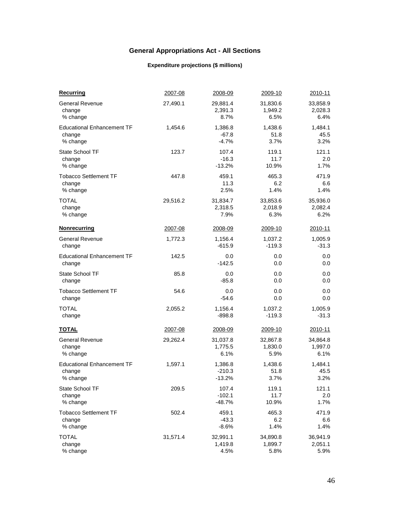# **General Appropriations Act - All Sections**

#### **Expenditure projections (\$ millions)**

| <b>Recurring</b>                  | 2007-08  | 2008-09  | 2009-10  | 2010-11  |
|-----------------------------------|----------|----------|----------|----------|
| <b>General Revenue</b>            | 27,490.1 | 29,881.4 | 31,830.6 | 33,858.9 |
| change                            |          | 2,391.3  | 1,949.2  | 2,028.3  |
| % change                          |          | 8.7%     | 6.5%     | 6.4%     |
| <b>Educational Enhancement TF</b> | 1.454.6  | 1,386.8  | 1,438.6  | 1,484.1  |
| change                            |          | $-67.8$  | 51.8     | 45.5     |
| % change                          |          | $-4.7%$  | 3.7%     | 3.2%     |
| State School TF                   | 123.7    | 107.4    | 119.1    | 121.1    |
| change                            |          | $-16.3$  | 11.7     | 2.0      |
| % change                          |          | $-13.2%$ | 10.9%    | 1.7%     |
| <b>Tobacco Settlement TF</b>      | 447.8    | 459.1    | 465.3    | 471.9    |
| change                            |          | 11.3     | 6.2      | 6.6      |
| % change                          |          | 2.5%     | 1.4%     | 1.4%     |
| TOTAL                             | 29,516.2 | 31,834.7 | 33,853.6 | 35,936.0 |
| change                            |          | 2,318.5  | 2,018.9  | 2,082.4  |
| % change                          |          | 7.9%     | 6.3%     | 6.2%     |
| <b>Nonrecurring</b>               | 2007-08  | 2008-09  | 2009-10  | 2010-11  |
| <b>General Revenue</b>            | 1,772.3  | 1,156.4  | 1,037.2  | 1,005.9  |
| change                            |          | $-615.9$ | $-119.3$ | $-31.3$  |
| <b>Educational Enhancement TF</b> | 142.5    | 0.0      | 0.0      | 0.0      |
| change                            |          | -142.5   | 0.0      | 0.0      |
| <b>State School TF</b>            | 85.8     | 0.0      | 0.0      | 0.0      |
| change                            |          | $-85.8$  | 0.0      | 0.0      |
| <b>Tobacco Settlement TF</b>      | 54.6     | 0.0      | 0.0      | 0.0      |
| change                            |          | $-54.6$  | 0.0      | 0.0      |
| TOTAL                             | 2,055.2  | 1,156.4  | 1,037.2  | 1,005.9  |
| change                            |          | $-898.8$ | $-119.3$ | $-31.3$  |
| <u>TOTAL</u>                      | 2007-08  | 2008-09  | 2009-10  | 2010-11  |
| <b>General Revenue</b>            | 29,262.4 | 31,037.8 | 32,867.8 | 34,864.8 |
| change                            |          | 1,775.5  | 1,830.0  | 1,997.0  |
| % change                          |          | 6.1%     | 5.9%     | 6.1%     |
| <b>Educational Enhancement TF</b> | 1,597.1  | 1,386.8  | 1,438.6  | 1,484.1  |
| change                            |          | -210.3   | 51.8     | 45.5     |
| % change                          |          | $-13.2%$ | 3.7%     | 3.2%     |
| State School TF                   | 209.5    | 107.4    | 119.1    | 121.1    |
| change                            |          | $-102.1$ | 11.7     | 2.0      |
| % change                          |          | $-48.7%$ | 10.9%    | 1.7%     |
| <b>Tobacco Settlement TF</b>      | 502.4    | 459.1    | 465.3    | 471.9    |
| change                            |          | $-43.3$  | 6.2      | 6.6      |
| % change                          |          | $-8.6%$  | 1.4%     | 1.4%     |
| <b>TOTAL</b>                      | 31,571.4 | 32,991.1 | 34,890.8 | 36,941.9 |
| change                            |          | 1,419.8  | 1,899.7  | 2,051.1  |
| % change                          |          | 4.5%     | 5.8%     | 5.9%     |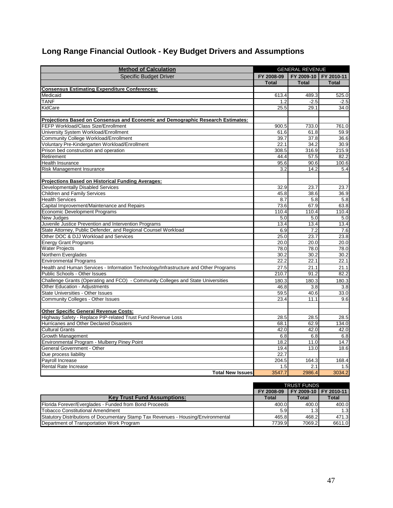# **Long Range Financial Outlook - Key Budget Drivers and Assumptions**

| <b>Method of Calculation</b>                                                         | <b>GENERAL REVENUE</b> |              |                       |
|--------------------------------------------------------------------------------------|------------------------|--------------|-----------------------|
| <b>Specific Budget Driver</b>                                                        | FY 2008-09             |              | FY 2009-10 FY 2010-11 |
|                                                                                      | <b>Total</b>           | <b>Total</b> | <b>Total</b>          |
| <b>Consensus Estimating Expenditure Conferences:</b>                                 |                        |              |                       |
| Medicaid                                                                             | 613.4                  | 489.3        | 525.0                 |
| <b>TANF</b>                                                                          | 1.2                    | $-2.5$       | $-2.5$                |
| KidCare                                                                              | 25.5                   | 29.1         | 34.0                  |
|                                                                                      |                        |              |                       |
| Projections Based on Consensus and Economic and Demographic Research Estimates:      |                        |              |                       |
| FEFP Workload/Class Size/Enrollment                                                  | 900.5                  | 733.0        | 761.0                 |
| University System Workload/Enrollment                                                | 61.6                   | 61.8         | 59.9                  |
| Community College Workload/Enrollment                                                | 39.7                   | 37.8         | 36.6                  |
| Voluntary Pre-Kindergarten Workload/Enrollment                                       | 22.1                   | 34.2         | 30.9                  |
| Prison bed construction and operation                                                | 308.5                  | 316.9        | 215.9                 |
| Retirement                                                                           | 44.4                   | 57.5         | 82.2                  |
| <b>Health Insurance</b>                                                              | 95.6                   | 90.6         | 100.6                 |
| Risk Management Insurance                                                            | 3.2                    | 14.2         | 5.4                   |
|                                                                                      |                        |              |                       |
| Projections Based on Historical Funding Averages:                                    |                        |              |                       |
| Developmentally Disabled Services                                                    | 32.9                   | 23.7         | 23.7                  |
| <b>Children and Family Services</b>                                                  | 45.8                   | 38.6         | 36.9                  |
| <b>Health Services</b>                                                               | 8.7                    | 5.8          | 5.8                   |
| Capital Improvement/Maintenance and Repairs                                          | 73.6                   | 67.9         | 63.8                  |
| Economic Development Programs                                                        | 110.4                  | 110.4        | 110.4                 |
| <b>New Judges</b>                                                                    | 5.0                    | 5.0          | 5.0                   |
| Juvenile Justice Prevention and Intervention Programs                                | 13.4                   | 13.4         | 13.4                  |
| State Attorney, Public Defender, and Regional Counsel Workload                       | 6.9                    | 7.2          | 7.6                   |
| Other DOC & DJJ Workload and Services                                                | 25.0                   | 23.7         | 23.8                  |
| <b>Energy Grant Programs</b>                                                         | 20.0                   | 20.0         | 20.0                  |
| <b>Water Projects</b>                                                                | 78.0                   | 78.0         | 78.0                  |
| Northern Everglades                                                                  | 30.2                   | 30.2         | 30.2                  |
| <b>Environmental Programs</b>                                                        | 22.2                   | 22.1         | 22.1                  |
| Health and Human Services - Information Technology/Infrastructure and Other Programs | 27.5                   | 21.1         | 21.1                  |
| Public Schools - Other Issues                                                        | 210.7                  | 91.2         | 82.2                  |
| Challenge Grants (Operating and FCO) - Community Colleges and State Universities     | 180.3                  | 180.3        | 180.3                 |
| Other Education - Adjustments                                                        | 46.8                   | 3.8          | 3.8                   |
| <b>State Universities - Other Issues</b>                                             | 59.5                   | 40.6         | 33.0                  |
| Community Colleges - Other Issues                                                    | 23.4                   | 11.1         | 9.6                   |
|                                                                                      |                        |              |                       |
| <b>Other Specific General Revenue Costs:</b>                                         |                        |              |                       |
| Highway Safety - Replace PIP-related Trust Fund Revenue Loss                         | 28.5                   | 28.5         | 28.5                  |
| Hurricanes and Other Declared Disasters                                              | 68.1                   | 62.9         | 134.0                 |
| <b>Cultural Grants</b>                                                               | 42.0                   | 42.0         | 42.0                  |
| Growth Management                                                                    | 6.8                    | 6.8          | 6.8                   |
| Environmental Program - Mulberry Piney Point                                         | 18.2                   | 11.0         | 14.7                  |
| General Government - Other                                                           | 19.4                   | 13.0         | 18.6                  |
| Due process liability                                                                | 22.7                   |              |                       |
| Payroll Increase                                                                     | 204.5                  | 164.3        | 168.4                 |
| <b>Rental Rate Increase</b>                                                          | 1.5                    | 2.1          | 1.5                   |
| <b>Total New Issues</b>                                                              | 3547.7                 | 2986.4       | 3034.2                |

|                                                                                   |            | <b>TRUST FUNDS</b>    |        |
|-----------------------------------------------------------------------------------|------------|-----------------------|--------|
|                                                                                   | FY 2008-09 | FY 2009-10 FY 2010-11 |        |
| <b>Key Trust Fund Assumptions:</b>                                                | Total      | Total                 | Total  |
| Florida Forever/Everglades - Funded from Bond Proceeds                            | 400.0      | 400.0                 | 400.0  |
| <b>Tobacco Constitutional Amendment</b>                                           | 5.9        | 1.3                   | 1.3    |
| Statutory Distributions of Documentary Stamp Tax Revenues - Housing/Environmental | 465.8      | 468.2                 | 471.3  |
| Department of Transportation Work Program                                         | 7739.9     | 7069.2                | 6611.0 |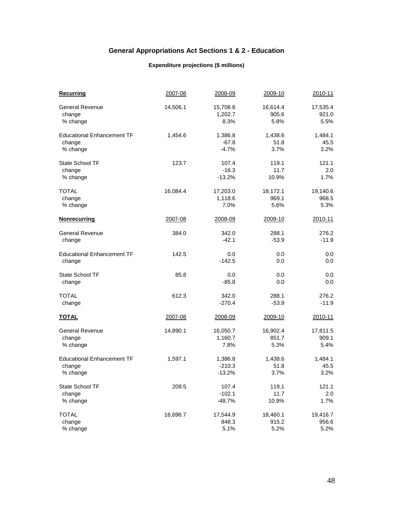### **General Appropriations Act Sections 1 & 2 - Education**

#### **Expenditure projections (\$ millions)**

| <b>Recurring</b>                  | 2007-08  | 2008-09  | 2009-10  | 2010-11  |
|-----------------------------------|----------|----------|----------|----------|
| <b>General Revenue</b>            | 14,506.1 | 15,708.8 | 16,614.4 | 17,535.4 |
| change                            |          | 1,202.7  | 905.6    | 921.0    |
| % change                          |          | 8.3%     | 5.8%     | 5.5%     |
| <b>Educational Enhancement TF</b> | 1,454.6  | 1,386.8  | 1,438.6  | 1,484.1  |
| change                            |          | $-67.8$  | 51.8     | 45.5     |
| % change                          |          | $-4.7%$  | 3.7%     | 3.2%     |
| State School TF                   | 123.7    | 107.4    | 119.1    | 121.1    |
| change                            |          | $-16.3$  | 11.7     | 2.0      |
| % change                          |          | $-13.2%$ | 10.9%    | 1.7%     |
| <b>TOTAL</b>                      | 16,084.4 | 17,203.0 | 18,172.1 | 19,140.6 |
| change                            |          | 1,118.6  | 969.1    | 968.5    |
| % change                          |          | 7.0%     | 5.6%     | 5.3%     |
| <b>Nonrecurring</b>               | 2007-08  | 2008-09  | 2009-10  | 2010-11  |
| <b>General Revenue</b>            | 384.0    | 342.0    | 288.1    | 276.2    |
| change                            |          | $-42.1$  | $-53.9$  | $-11.9$  |
| <b>Educational Enhancement TF</b> | 142.5    | 0.0      | 0.0      | 0.0      |
| change                            |          | $-142.5$ | 0.0      | 0.0      |
| State School TF                   | 85.8     | 0.0      | 0.0      | 0.0      |
| change                            |          | $-85.8$  | 0.0      | 0.0      |
| <b>TOTAL</b>                      | 612.3    | 342.0    | 288.1    | 276.2    |
| change                            |          | $-270.4$ | $-53.9$  | $-11.9$  |
| <u>TOTAL</u>                      | 2007-08  | 2008-09  | 2009-10  | 2010-11  |
| <b>General Revenue</b>            | 14,890.1 | 16,050.7 | 16,902.4 | 17,811.5 |
| change                            |          | 1,160.7  | 851.7    | 909.1    |
| % change                          |          | 7.8%     | 5.3%     | 5.4%     |
| <b>Educational Enhancement TF</b> | 1,597.1  | 1,386.8  | 1,438.6  | 1,484.1  |
| change                            |          | $-210.3$ | 51.8     | 45.5     |
| % change                          |          | $-13.2%$ | 3.7%     | 3.2%     |
| State School TF                   | 209.5    | 107.4    | 119.1    | 121.1    |
| change                            |          | $-102.1$ | 11.7     | 2.0      |
| % change                          |          | $-48.7%$ | 10.9%    | 1.7%     |
| <b>TOTAL</b>                      | 16,696.7 | 17,544.9 | 18,460.1 | 19,416.7 |
| change                            |          | 848.3    | 915.2    | 956.6    |
| % change                          |          | 5.1%     | 5.2%     | 5.2%     |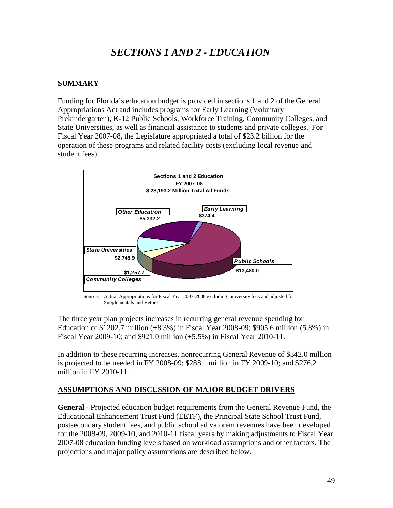# *SECTIONS 1 AND 2 - EDUCATION*

# **SUMMARY**

Funding for Florida's education budget is provided in sections 1 and 2 of the General Appropriations Act and includes programs for Early Learning (Voluntary Prekindergarten), K-12 Public Schools, Workforce Training, Community Colleges, and State Universities, as well as financial assistance to students and private colleges. For Fiscal Year 2007-08, the Legislature appropriated a total of \$23.2 billion for the operation of these programs and related facility costs (excluding local revenue and student fees).



 Source: Actual Appropriations for Fiscal Year 2007-2008 excluding university fees and adjusted for Supplementals and Vetoes

The three year plan projects increases in recurring general revenue spending for Education of \$1202.7 million (+8.3%) in Fiscal Year 2008-09; \$905.6 million (5.8%) in Fiscal Year 2009-10; and \$921.0 million (+5.5%) in Fiscal Year 2010-11.

In addition to these recurring increases, nonrecurring General Revenue of \$342.0 million is projected to be needed in FY 2008-09; \$288.1 million in FY 2009-10; and \$276.2 million in FY 2010-11.

# **ASSUMPTIONS AND DISCUSSION OF MAJOR BUDGET DRIVERS**

**General** - Projected education budget requirements from the General Revenue Fund, the Educational Enhancement Trust Fund (EETF), the Principal State School Trust Fund, postsecondary student fees, and public school ad valorem revenues have been developed for the 2008-09, 2009-10, and 2010-11 fiscal years by making adjustments to Fiscal Year 2007-08 education funding levels based on workload assumptions and other factors. The projections and major policy assumptions are described below.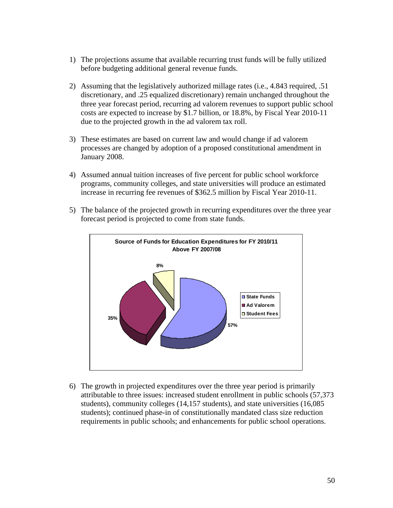- 1) The projections assume that available recurring trust funds will be fully utilized before budgeting additional general revenue funds.
- 2) Assuming that the legislatively authorized millage rates (i.e., 4.843 required, .51 discretionary, and .25 equalized discretionary) remain unchanged throughout the three year forecast period, recurring ad valorem revenues to support public school costs are expected to increase by \$1.7 billion, or 18.8%, by Fiscal Year 2010-11 due to the projected growth in the ad valorem tax roll.
- 3) These estimates are based on current law and would change if ad valorem processes are changed by adoption of a proposed constitutional amendment in January 2008.
- 4) Assumed annual tuition increases of five percent for public school workforce programs, community colleges, and state universities will produce an estimated increase in recurring fee revenues of \$362.5 million by Fiscal Year 2010-11.
- 5) The balance of the projected growth in recurring expenditures over the three year forecast period is projected to come from state funds.



6) The growth in projected expenditures over the three year period is primarily attributable to three issues: increased student enrollment in public schools (57,373 students), community colleges (14,157 students), and state universities (16,085 students); continued phase-in of constitutionally mandated class size reduction requirements in public schools; and enhancements for public school operations.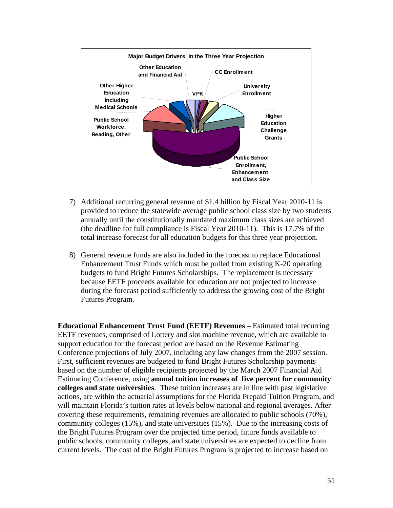

- 7) Additional recurring general revenue of \$1.4 billion by Fiscal Year 2010-11 is provided to reduce the statewide average public school class size by two students annually until the constitutionally mandated maximum class sizes are achieved (the deadline for full compliance is Fiscal Year 2010-11). This is 17.7% of the total increase forecast for all education budgets for this three year projection.
- 8) General revenue funds are also included in the forecast to replace Educational Enhancement Trust Funds which must be pulled from existing K-20 operating budgets to fund Bright Futures Scholarships. The replacement is necessary because EETF proceeds available for education are not projected to increase during the forecast period sufficiently to address the growing cost of the Bright Futures Program.

**Educational Enhancement Trust Fund (EETF) Revenues – Estimated total recurring** EETF revenues, comprised of Lottery and slot machine revenue, which are available to support education for the forecast period are based on the Revenue Estimating Conference projections of July 2007, including any law changes from the 2007 session. First, sufficient revenues are budgeted to fund Bright Futures Scholarship payments based on the number of eligible recipients projected by the March 2007 Financial Aid Estimating Conference, using **annual tuition increases of five percent for community colleges and state universities**. These tuition increases are in line with past legislative actions, are within the actuarial assumptions for the Florida Prepaid Tuition Program, and will maintain Florida's tuition rates at levels below national and regional averages. After covering these requirements, remaining revenues are allocated to public schools (70%), community colleges (15%), and state universities (15%). Due to the increasing costs of the Bright Futures Program over the projected time period, future funds available to public schools, community colleges, and state universities are expected to decline from current levels. The cost of the Bright Futures Program is projected to increase based on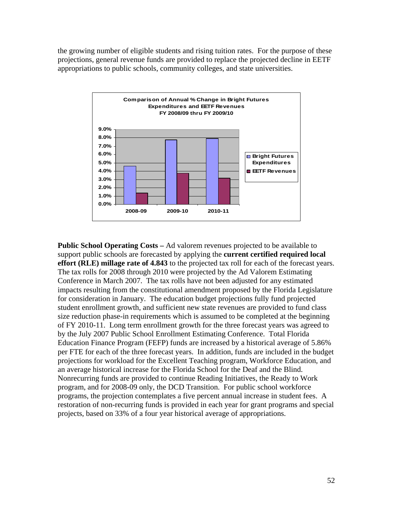the growing number of eligible students and rising tuition rates. For the purpose of these projections, general revenue funds are provided to replace the projected decline in EETF appropriations to public schools, community colleges, and state universities.



**Public School Operating Costs –** Ad valorem revenues projected to be available to support public schools are forecasted by applying the **current certified required local effort (RLE) millage rate of 4.843** to the projected tax roll for each of the forecast years. The tax rolls for 2008 through 2010 were projected by the Ad Valorem Estimating Conference in March 2007. The tax rolls have not been adjusted for any estimated impacts resulting from the constitutional amendment proposed by the Florida Legislature for consideration in January. The education budget projections fully fund projected student enrollment growth, and sufficient new state revenues are provided to fund class size reduction phase-in requirements which is assumed to be completed at the beginning of FY 2010-11. Long term enrollment growth for the three forecast years was agreed to by the July 2007 Public School Enrollment Estimating Conference. Total Florida Education Finance Program (FEFP) funds are increased by a historical average of 5.86% per FTE for each of the three forecast years. In addition, funds are included in the budget projections for workload for the Excellent Teaching program, Workforce Education, and an average historical increase for the Florida School for the Deaf and the Blind. Nonrecurring funds are provided to continue Reading Initiatives, the Ready to Work program, and for 2008-09 only, the DCD Transition. For public school workforce programs, the projection contemplates a five percent annual increase in student fees. A restoration of non-recurring funds is provided in each year for grant programs and special projects, based on 33% of a four year historical average of appropriations.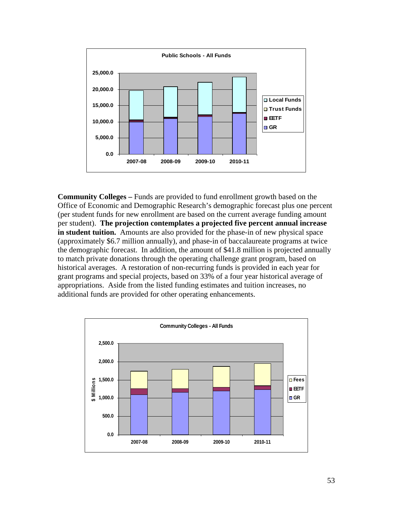

**Community Colleges –** Funds are provided to fund enrollment growth based on the Office of Economic and Demographic Research's demographic forecast plus one percent (per student funds for new enrollment are based on the current average funding amount per student). **The projection contemplates a projected five percent annual increase in student tuition.** Amounts are also provided for the phase-in of new physical space (approximately \$6.7 million annually), and phase-in of baccalaureate programs at twice the demographic forecast. In addition, the amount of \$41.8 million is projected annually to match private donations through the operating challenge grant program, based on historical averages. A restoration of non-recurring funds is provided in each year for grant programs and special projects, based on 33% of a four year historical average of appropriations. Aside from the listed funding estimates and tuition increases, no additional funds are provided for other operating enhancements.

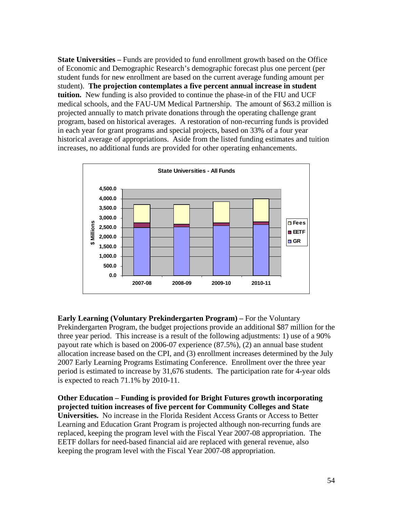**State Universities – Funds are provided to fund enrollment growth based on the Office** of Economic and Demographic Research's demographic forecast plus one percent (per student funds for new enrollment are based on the current average funding amount per student). **The projection contemplates a five percent annual increase in student tuition.** New funding is also provided to continue the phase-in of the FIU and UCF medical schools, and the FAU-UM Medical Partnership. The amount of \$63.2 million is projected annually to match private donations through the operating challenge grant program, based on historical averages. A restoration of non-recurring funds is provided in each year for grant programs and special projects, based on 33% of a four year historical average of appropriations. Aside from the listed funding estimates and tuition increases, no additional funds are provided for other operating enhancements.



**Early Learning (Voluntary Prekindergarten Program) –** For the Voluntary Prekindergarten Program, the budget projections provide an additional \$87 million for the three year period. This increase is a result of the following adjustments: 1) use of a 90% payout rate which is based on 2006-07 experience (87.5%), (2) an annual base student allocation increase based on the CPI, and (3) enrollment increases determined by the July 2007 Early Learning Programs Estimating Conference. Enrollment over the three year period is estimated to increase by 31,676 students. The participation rate for 4-year olds is expected to reach 71.1% by 2010-11.

**Other Education – Funding is provided for Bright Futures growth incorporating projected tuition increases of five percent for Community Colleges and State Universities.** No increase in the Florida Resident Access Grants or Access to Better Learning and Education Grant Program is projected although non-recurring funds are replaced, keeping the program level with the Fiscal Year 2007-08 appropriation. The EETF dollars for need-based financial aid are replaced with general revenue, also keeping the program level with the Fiscal Year 2007-08 appropriation.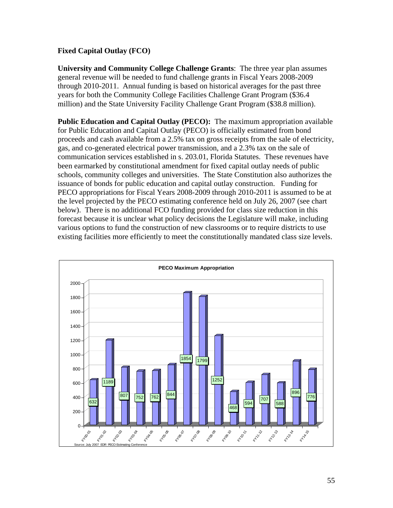## **Fixed Capital Outlay (FCO)**

**University and Community College Challenge Grants**: The three year plan assumes general revenue will be needed to fund challenge grants in Fiscal Years 2008-2009 through 2010-2011. Annual funding is based on historical averages for the past three years for both the Community College Facilities Challenge Grant Program (\$36.4 million) and the State University Facility Challenge Grant Program (\$38.8 million).

**Public Education and Capital Outlay (PECO):** The maximum appropriation available for Public Education and Capital Outlay (PECO) is officially estimated from bond proceeds and cash available from a 2.5% tax on gross receipts from the sale of electricity, gas, and co-generated electrical power transmission, and a 2.3% tax on the sale of communication services established in s. 203.01, Florida Statutes. These revenues have been earmarked by constitutional amendment for fixed capital outlay needs of public schools, community colleges and universities. The State Constitution also authorizes the issuance of bonds for public education and capital outlay construction. Funding for PECO appropriations for Fiscal Years 2008-2009 through 2010-2011 is assumed to be at the level projected by the PECO estimating conference held on July 26, 2007 (see chart below). There is no additional FCO funding provided for class size reduction in this forecast because it is unclear what policy decisions the Legislature will make, including various options to fund the construction of new classrooms or to require districts to use existing facilities more efficiently to meet the constitutionally mandated class size levels.

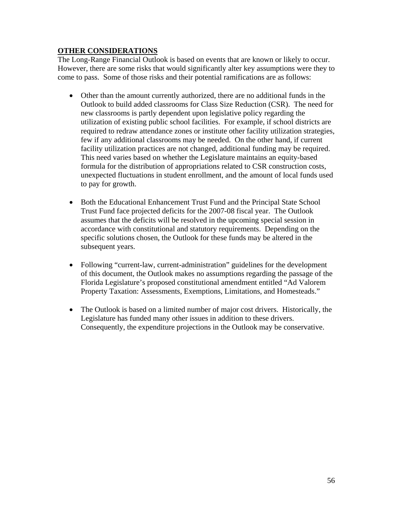### **OTHER CONSIDERATIONS**

The Long-Range Financial Outlook is based on events that are known or likely to occur. However, there are some risks that would significantly alter key assumptions were they to come to pass. Some of those risks and their potential ramifications are as follows:

- Other than the amount currently authorized, there are no additional funds in the Outlook to build added classrooms for Class Size Reduction (CSR). The need for new classrooms is partly dependent upon legislative policy regarding the utilization of existing public school facilities. For example, if school districts are required to redraw attendance zones or institute other facility utilization strategies, few if any additional classrooms may be needed. On the other hand, if current facility utilization practices are not changed, additional funding may be required. This need varies based on whether the Legislature maintains an equity-based formula for the distribution of appropriations related to CSR construction costs, unexpected fluctuations in student enrollment, and the amount of local funds used to pay for growth.
- Both the Educational Enhancement Trust Fund and the Principal State School Trust Fund face projected deficits for the 2007-08 fiscal year. The Outlook assumes that the deficits will be resolved in the upcoming special session in accordance with constitutional and statutory requirements. Depending on the specific solutions chosen, the Outlook for these funds may be altered in the subsequent years.
- Following "current-law, current-administration" guidelines for the development of this document, the Outlook makes no assumptions regarding the passage of the Florida Legislature's proposed constitutional amendment entitled "Ad Valorem Property Taxation: Assessments, Exemptions, Limitations, and Homesteads."
- The Outlook is based on a limited number of major cost drivers. Historically, the Legislature has funded many other issues in addition to these drivers. Consequently, the expenditure projections in the Outlook may be conservative.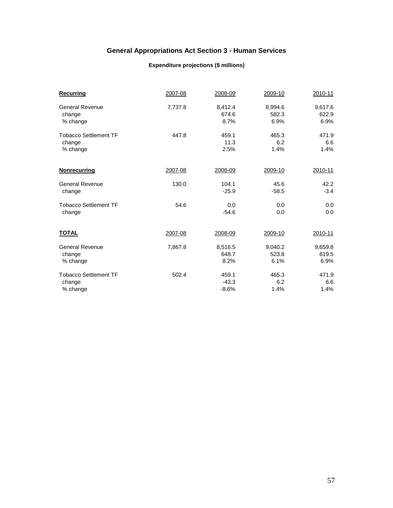# **General Appropriations Act Section 3 - Human Services**

#### **Expenditure projections (\$ millions)**

| Recurring                    | 2007-08 | 2008-09 | 2009-10 | 2010-11 |
|------------------------------|---------|---------|---------|---------|
| <b>General Revenue</b>       | 7,737.8 | 8,412.4 | 8,994.6 | 9,617.6 |
| change                       |         | 674.6   | 582.3   | 622.9   |
| % change                     |         | 8.7%    | 6.9%    | 6.9%    |
| <b>Tobacco Settlement TF</b> | 447.8   | 459.1   | 465.3   | 471.9   |
| change                       |         | 11.3    | 6.2     | 6.6     |
| % change                     |         | 2.5%    | 1.4%    | 1.4%    |
| <b>Nonrecurring</b>          | 2007-08 | 2008-09 | 2009-10 | 2010-11 |
| <b>General Revenue</b>       | 130.0   | 104.1   | 45.6    | 42.2    |
| change                       |         | $-25.9$ | $-58.5$ | $-3.4$  |
| <b>Tobacco Settlement TF</b> | 54.6    | 0.0     | 0.0     | 0.0     |
| change                       |         | $-54.6$ | 0.0     | 0.0     |
| <b>TOTAL</b>                 | 2007-08 | 2008-09 | 2009-10 | 2010-11 |
| <b>General Revenue</b>       | 7,867.8 | 8,516.5 | 9,040.2 | 9,659.8 |
| change                       |         | 648.7   | 523.8   | 619.5   |
| % change                     |         | 8.2%    | 6.1%    | 6.9%    |
| <b>Tobacco Settlement TF</b> | 502.4   | 459.1   | 465.3   | 471.9   |
| change                       |         | $-43.3$ | 6.2     | 6.6     |
| % change                     |         | $-8.6%$ | 1.4%    | 1.4%    |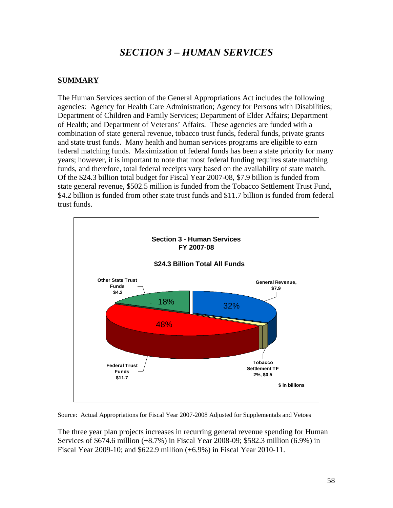# *SECTION 3 – HUMAN SERVICES*

#### **SUMMARY**

The Human Services section of the General Appropriations Act includes the following agencies: Agency for Health Care Administration; Agency for Persons with Disabilities; Department of Children and Family Services; Department of Elder Affairs; Department of Health; and Department of Veterans' Affairs. These agencies are funded with a combination of state general revenue, tobacco trust funds, federal funds, private grants and state trust funds. Many health and human services programs are eligible to earn federal matching funds. Maximization of federal funds has been a state priority for many years; however, it is important to note that most federal funding requires state matching funds, and therefore, total federal receipts vary based on the availability of state match. Of the \$24.3 billion total budget for Fiscal Year 2007-08, \$7.9 billion is funded from state general revenue, \$502.5 million is funded from the Tobacco Settlement Trust Fund, \$4.2 billion is funded from other state trust funds and \$11.7 billion is funded from federal trust funds.



Source: Actual Appropriations for Fiscal Year 2007-2008 Adjusted for Supplementals and Vetoes

The three year plan projects increases in recurring general revenue spending for Human Services of \$674.6 million (+8.7%) in Fiscal Year 2008-09; \$582.3 million (6.9%) in Fiscal Year 2009-10; and \$622.9 million (+6.9%) in Fiscal Year 2010-11.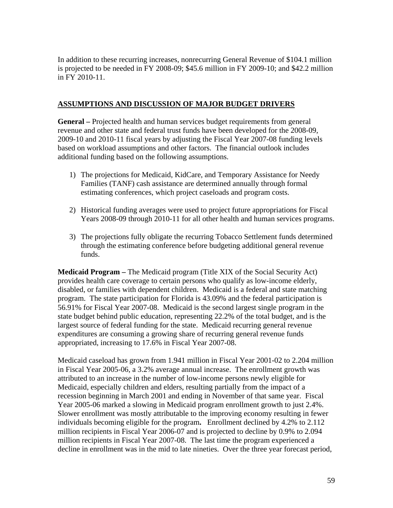In addition to these recurring increases, nonrecurring General Revenue of \$104.1 million is projected to be needed in FY 2008-09; \$45.6 million in FY 2009-10; and \$42.2 million in FY 2010-11.

#### **ASSUMPTIONS AND DISCUSSION OF MAJOR BUDGET DRIVERS**

**General –** Projected health and human services budget requirements from general revenue and other state and federal trust funds have been developed for the 2008-09, 2009-10 and 2010-11 fiscal years by adjusting the Fiscal Year 2007-08 funding levels based on workload assumptions and other factors. The financial outlook includes additional funding based on the following assumptions.

- 1) The projections for Medicaid, KidCare, and Temporary Assistance for Needy Families (TANF) cash assistance are determined annually through formal estimating conferences, which project caseloads and program costs.
- 2) Historical funding averages were used to project future appropriations for Fiscal Years 2008-09 through 2010-11 for all other health and human services programs.
- 3) The projections fully obligate the recurring Tobacco Settlement funds determined through the estimating conference before budgeting additional general revenue funds.

**Medicaid Program –** The Medicaid program (Title XIX of the Social Security Act) provides health care coverage to certain persons who qualify as low-income elderly, disabled, or families with dependent children. Medicaid is a federal and state matching program. The state participation for Florida is 43.09% and the federal participation is 56.91% for Fiscal Year 2007-08. Medicaid is the second largest single program in the state budget behind public education, representing 22.2% of the total budget, and is the largest source of federal funding for the state. Medicaid recurring general revenue expenditures are consuming a growing share of recurring general revenue funds appropriated, increasing to 17.6% in Fiscal Year 2007-08.

Medicaid caseload has grown from 1.941 million in Fiscal Year 2001-02 to 2.204 million in Fiscal Year 2005-06, a 3.2% average annual increase. The enrollment growth was attributed to an increase in the number of low-income persons newly eligible for Medicaid, especially children and elders, resulting partially from the impact of a recession beginning in March 2001 and ending in November of that same year. Fiscal Year 2005-06 marked a slowing in Medicaid program enrollment growth to just 2.4%. Slower enrollment was mostly attributable to the improving economy resulting in fewer individuals becoming eligible for the program**.** Enrollment declined by 4.2% to 2.112 million recipients in Fiscal Year 2006-07 and is projected to decline by 0.9% to 2.094 million recipients in Fiscal Year 2007-08. The last time the program experienced a decline in enrollment was in the mid to late nineties. Over the three year forecast period,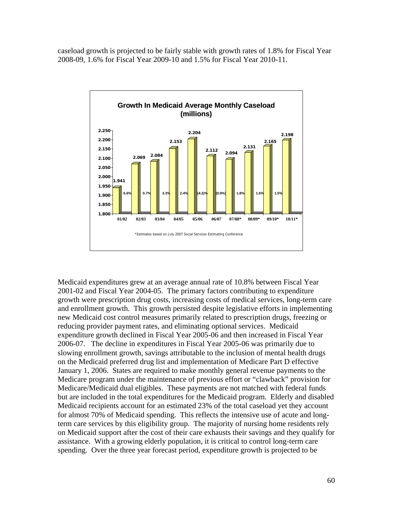caseload growth is projected to be fairly stable with growth rates of 1.8% for Fiscal Year 2008-09, 1.6% for Fiscal Year 2009-10 and 1.5% for Fiscal Year 2010-11.



Medicaid expenditures grew at an average annual rate of 10.8% between Fiscal Year 2001-02 and Fiscal Year 2004-05. The primary factors contributing to expenditure growth were prescription drug costs, increasing costs of medical services, long-term care and enrollment growth. This growth persisted despite legislative efforts in implementing new Medicaid cost control measures primarily related to prescription drugs, freezing or reducing provider payment rates, and eliminating optional services. Medicaid expenditure growth declined in Fiscal Year 2005-06 and then increased in Fiscal Year 2006-07. The decline in expenditures in Fiscal Year 2005-06 was primarily due to slowing enrollment growth, savings attributable to the inclusion of mental health drugs on the Medicaid preferred drug list and implementation of Medicare Part D effective January 1, 2006. States are required to make monthly general revenue payments to the Medicare program under the maintenance of previous effort or "clawback" provision for Medicare/Medicaid dual eligibles. These payments are not matched with federal funds but are included in the total expenditures for the Medicaid program. Elderly and disabled Medicaid recipients account for an estimated 23% of the total caseload yet they account for almost 70% of Medicaid spending. This reflects the intensive use of acute and longterm care services by this eligibility group. The majority of nursing home residents rely on Medicaid support after the cost of their care exhausts their savings and they qualify for assistance. With a growing elderly population, it is critical to control long-term care spending. Over the three year forecast period, expenditure growth is projected to be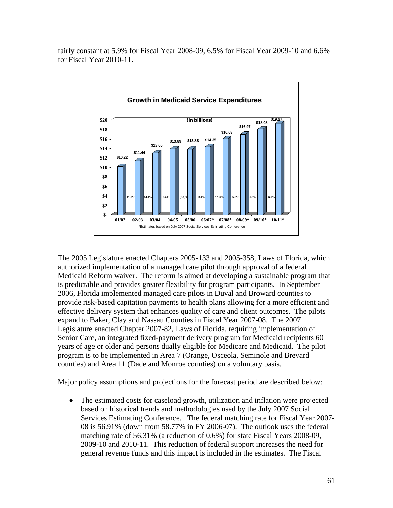fairly constant at 5.9% for Fiscal Year 2008-09, 6.5% for Fiscal Year 2009-10 and 6.6% for Fiscal Year 2010-11.



The 2005 Legislature enacted Chapters 2005-133 and 2005-358, Laws of Florida, which authorized implementation of a managed care pilot through approval of a federal Medicaid Reform waiver. The reform is aimed at developing a sustainable program that is predictable and provides greater flexibility for program participants. In September 2006, Florida implemented managed care pilots in Duval and Broward counties to provide risk-based capitation payments to health plans allowing for a more efficient and effective delivery system that enhances quality of care and client outcomes. The pilots expand to Baker, Clay and Nassau Counties in Fiscal Year 2007-08. The 2007 Legislature enacted Chapter 2007-82, Laws of Florida, requiring implementation of Senior Care, an integrated fixed-payment delivery program for Medicaid recipients 60 years of age or older and persons dually eligible for Medicare and Medicaid. The pilot program is to be implemented in Area 7 (Orange, Osceola, Seminole and Brevard counties) and Area 11 (Dade and Monroe counties) on a voluntary basis.

Major policy assumptions and projections for the forecast period are described below:

• The estimated costs for caseload growth, utilization and inflation were projected based on historical trends and methodologies used by the July 2007 Social Services Estimating Conference. The federal matching rate for Fiscal Year 2007- 08 is 56.91% (down from 58.77% in FY 2006-07). The outlook uses the federal matching rate of 56.31% (a reduction of 0.6%) for state Fiscal Years 2008-09, 2009-10 and 2010-11. This reduction of federal support increases the need for general revenue funds and this impact is included in the estimates. The Fiscal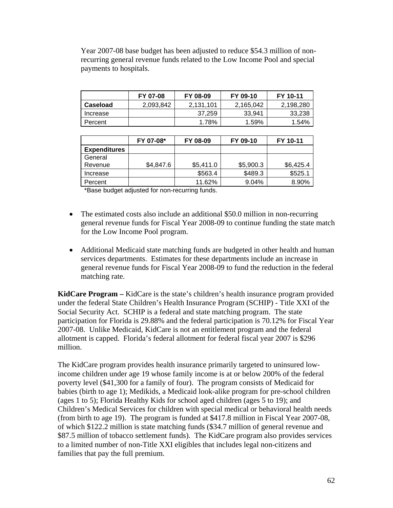Year 2007-08 base budget has been adjusted to reduce \$54.3 million of nonrecurring general revenue funds related to the Low Income Pool and special payments to hospitals.

|          | FY 07-08  | FY 08-09  | FY 09-10  | FY 10-11  |
|----------|-----------|-----------|-----------|-----------|
| Caseload | 2,093,842 | 2,131,101 | 2.165.042 | 2.198.280 |
| Increase |           | 37.259    | 33.941    | 33,238    |
| Percent  |           | 1.78%     | 1.59%     | 1.54%     |

|                     | FY 07-08* | FY 08-09  | FY 09-10  | FY 10-11  |
|---------------------|-----------|-----------|-----------|-----------|
| <b>Expenditures</b> |           |           |           |           |
| General             |           |           |           |           |
| Revenue             | \$4,847.6 | \$5,411.0 | \$5,900.3 | \$6,425.4 |
| Increase            |           | \$563.4   | \$489.3   | \$525.1   |
| Percent             |           | 11.62%    | 9.04%     | 8.90%     |

\*Base budget adjusted for non-recurring funds.

- The estimated costs also include an additional \$50.0 million in non-recurring general revenue funds for Fiscal Year 2008-09 to continue funding the state match for the Low Income Pool program.
- Additional Medicaid state matching funds are budgeted in other health and human services departments. Estimates for these departments include an increase in general revenue funds for Fiscal Year 2008-09 to fund the reduction in the federal matching rate.

**KidCare Program –** KidCare is the state's children's health insurance program provided under the federal State Children's Health Insurance Program (SCHIP) - Title XXI of the Social Security Act. SCHIP is a federal and state matching program. The state participation for Florida is 29.88% and the federal participation is 70.12% for Fiscal Year 2007-08. Unlike Medicaid, KidCare is not an entitlement program and the federal allotment is capped. Florida's federal allotment for federal fiscal year 2007 is \$296 million.

The KidCare program provides health insurance primarily targeted to uninsured lowincome children under age 19 whose family income is at or below 200% of the federal poverty level (\$41,300 for a family of four). The program consists of Medicaid for babies (birth to age 1); Medikids, a Medicaid look-alike program for pre-school children (ages 1 to 5); Florida Healthy Kids for school aged children (ages 5 to 19); and Children's Medical Services for children with special medical or behavioral health needs (from birth to age 19). The program is funded at \$417.8 million in Fiscal Year 2007-08, of which \$122.2 million is state matching funds (\$34.7 million of general revenue and \$87.5 million of tobacco settlement funds). The KidCare program also provides services to a limited number of non-Title XXI eligibles that includes legal non-citizens and families that pay the full premium.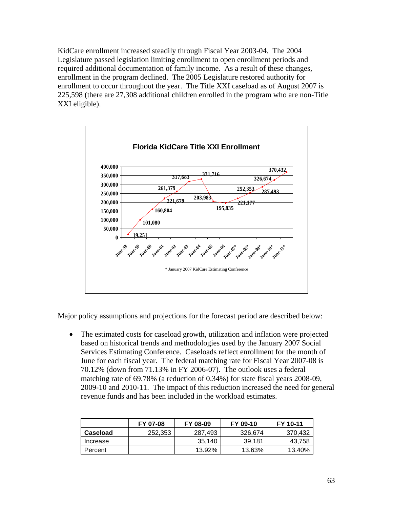KidCare enrollment increased steadily through Fiscal Year 2003-04. The 2004 Legislature passed legislation limiting enrollment to open enrollment periods and required additional documentation of family income. As a result of these changes, enrollment in the program declined. The 2005 Legislature restored authority for enrollment to occur throughout the year. The Title XXI caseload as of August 2007 is 225,598 (there are 27,308 additional children enrolled in the program who are non-Title XXI eligible).



Major policy assumptions and projections for the forecast period are described below:

• The estimated costs for caseload growth, utilization and inflation were projected based on historical trends and methodologies used by the January 2007 Social Services Estimating Conference. Caseloads reflect enrollment for the month of June for each fiscal year. The federal matching rate for Fiscal Year 2007-08 is 70.12% (down from 71.13% in FY 2006-07). The outlook uses a federal matching rate of 69.78% (a reduction of 0.34%) for state fiscal years 2008-09, 2009-10 and 2010-11. The impact of this reduction increased the need for general revenue funds and has been included in the workload estimates.

|          | FY 07-08 | FY 08-09 | FY 09-10 | FY 10-11 |
|----------|----------|----------|----------|----------|
| Caseload | 252,353  | 287.493  | 326.674  | 370.432  |
| Increase |          | 35,140   | 39.181   | 43.758   |
| Percent  |          | 13.92%   | 13.63%   | 13.40%   |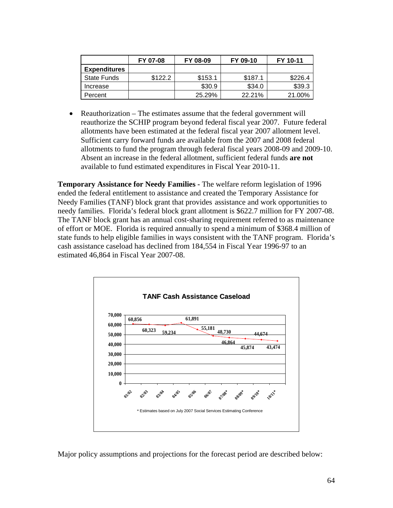|                     | FY 07-08 | FY 08-09 | FY 09-10 | FY 10-11 |
|---------------------|----------|----------|----------|----------|
| <b>Expenditures</b> |          |          |          |          |
| <b>State Funds</b>  | \$122.2  | \$153.1  | \$187.1  | \$226.4  |
| Increase            |          | \$30.9   | \$34.0   | \$39.3   |
| Percent             |          | 25.29%   | 22.21%   | 21.00%   |

• Reauthorization – The estimates assume that the federal government will reauthorize the SCHIP program beyond federal fiscal year 2007. Future federal allotments have been estimated at the federal fiscal year 2007 allotment level. Sufficient carry forward funds are available from the 2007 and 2008 federal allotments to fund the program through federal fiscal years 2008-09 and 2009-10. Absent an increase in the federal allotment, sufficient federal funds **are not** available to fund estimated expenditures in Fiscal Year 2010-11.

**Temporary Assistance for Needy Families -** The welfare reform legislation of 1996 ended the federal entitlement to assistance and created the Temporary Assistance for Needy Families (TANF) block grant that provides assistance and work opportunities to needy families. Florida's federal block grant allotment is \$622.7 million for FY 2007-08. The TANF block grant has an annual cost-sharing requirement referred to as maintenance of effort or MOE. Florida is required annually to spend a minimum of \$368.4 million of state funds to help eligible families in ways consistent with the TANF program. Florida's cash assistance caseload has declined from 184,554 in Fiscal Year 1996-97 to an estimated 46,864 in Fiscal Year 2007-08.



Major policy assumptions and projections for the forecast period are described below: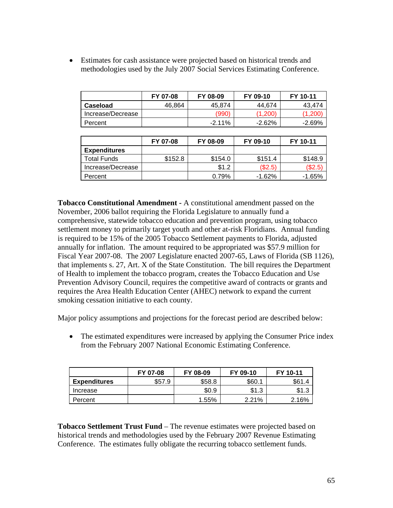• Estimates for cash assistance were projected based on historical trends and methodologies used by the July 2007 Social Services Estimating Conference.

|                   | FY 07-08 | FY 08-09 | FY 09-10  | FY 10-11  |
|-------------------|----------|----------|-----------|-----------|
| Caseload          | 46,864   | 45.874   | 44.674    | 43.474    |
| Increase/Decrease |          | '990`    | (1,200)   | (1,200    |
| Percent           |          | $-2.11%$ | $-2.62\%$ | $-2.69\%$ |

|                     | FY 07-08 | FY 08-09 | FY 09-10  | FY 10-11 |
|---------------------|----------|----------|-----------|----------|
| <b>Expenditures</b> |          |          |           |          |
| <b>Total Funds</b>  | \$152.8  | \$154.0  | \$151.4   | \$148.9  |
| Increase/Decrease   |          | \$1.2    | (\$2.5)   | (\$2.5)  |
| Percent             |          | 0.79%    | $-1.62\%$ | $-1.65%$ |

**Tobacco Constitutional Amendment -** A constitutional amendment passed on the November, 2006 ballot requiring the Florida Legislature to annually fund a comprehensive, statewide tobacco education and prevention program, using tobacco settlement money to primarily target youth and other at-risk Floridians. Annual funding is required to be 15% of the 2005 Tobacco Settlement payments to Florida, adjusted annually for inflation. The amount required to be appropriated was \$57.9 million for Fiscal Year 2007-08. The 2007 Legislature enacted 2007-65, Laws of Florida (SB 1126), that implements s. 27, Art. X of the State Constitution. The bill requires the Department of Health to implement the tobacco program, creates the Tobacco Education and Use Prevention Advisory Council, requires the competitive award of contracts or grants and requires the Area Health Education Center (AHEC) network to expand the current smoking cessation initiative to each county.

Major policy assumptions and projections for the forecast period are described below:

• The estimated expenditures were increased by applying the Consumer Price index from the February 2007 National Economic Estimating Conference.

|                     | FY 07-08 | FY 08-09 | FY 09-10 | FY 10-11 |
|---------------------|----------|----------|----------|----------|
| <b>Expenditures</b> | \$57.9   | \$58.8   | \$60.1   | \$61.4   |
| Increase            |          | \$0.9    | \$1.3    | \$1.3    |
| Percent             |          | 1.55%    | 2.21%    | 2.16%    |

**Tobacco Settlement Trust Fund** – The revenue estimates were projected based on historical trends and methodologies used by the February 2007 Revenue Estimating Conference. The estimates fully obligate the recurring tobacco settlement funds.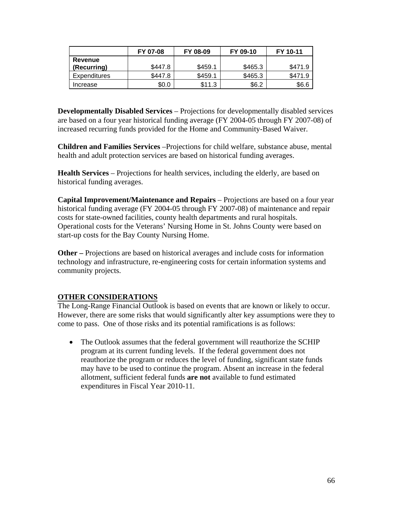|                     | FY 07-08 | FY 08-09 | FY 09-10 | FY 10-11 |
|---------------------|----------|----------|----------|----------|
| Revenue             |          |          |          |          |
| (Recurring)         | \$447.8  | \$459.1  | \$465.3  | \$471.9  |
| <b>Expenditures</b> | \$447.8  | \$459.1  | \$465.3  | \$471.9  |
| Increase            | \$0.0    | \$11.3   | \$6.2    | \$6.6    |

**Developmentally Disabled Services** – Projections for developmentally disabled services are based on a four year historical funding average (FY 2004-05 through FY 2007-08) of increased recurring funds provided for the Home and Community-Based Waiver.

**Children and Families Services** –Projections for child welfare, substance abuse, mental health and adult protection services are based on historical funding averages.

**Health Services** – Projections for health services, including the elderly, are based on historical funding averages.

**Capital Improvement/Maintenance and Repairs** – Projections are based on a four year historical funding average (FY 2004-05 through FY 2007-08) of maintenance and repair costs for state-owned facilities, county health departments and rural hospitals. Operational costs for the Veterans' Nursing Home in St. Johns County were based on start-up costs for the Bay County Nursing Home.

**Other –** Projections are based on historical averages and include costs for information technology and infrastructure, re-engineering costs for certain information systems and community projects.

### **OTHER CONSIDERATIONS**

The Long-Range Financial Outlook is based on events that are known or likely to occur. However, there are some risks that would significantly alter key assumptions were they to come to pass. One of those risks and its potential ramifications is as follows:

• The Outlook assumes that the federal government will reauthorize the SCHIP program at its current funding levels. If the federal government does not reauthorize the program or reduces the level of funding, significant state funds may have to be used to continue the program. Absent an increase in the federal allotment, sufficient federal funds **are not** available to fund estimated expenditures in Fiscal Year 2010-11.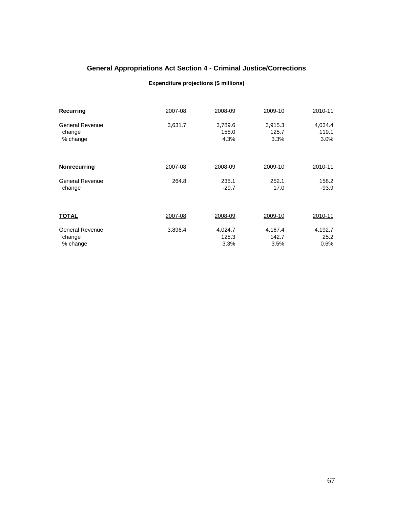# **General Appropriations Act Section 4 - Criminal Justice/Corrections**

### **Expenditure projections (\$ millions)**

| <b>Recurring</b>       | 2007-08 | 2008-09 | 2009-10 | 2010-11 |
|------------------------|---------|---------|---------|---------|
| <b>General Revenue</b> | 3,631.7 | 3,789.6 | 3,915.3 | 4,034.4 |
| change                 |         | 158.0   | 125.7   | 119.1   |
| % change               |         | 4.3%    | 3.3%    | 3.0%    |
| Nonrecurring           | 2007-08 | 2008-09 | 2009-10 | 2010-11 |
| <b>General Revenue</b> | 264.8   | 235.1   | 252.1   | 158.2   |
| change                 |         | $-29.7$ | 17.0    | $-93.9$ |
| <b>TOTAL</b>           | 2007-08 | 2008-09 | 2009-10 | 2010-11 |
| <b>General Revenue</b> | 3,896.4 | 4,024.7 | 4,167.4 | 4,192.7 |
| change                 |         | 128.3   | 142.7   | 25.2    |
| % change               |         | 3.3%    | 3.5%    | 0.6%    |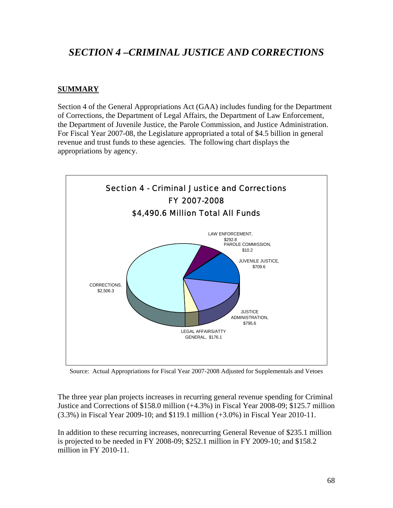# *SECTION 4 –CRIMINAL JUSTICE AND CORRECTIONS*

## **SUMMARY**

Section 4 of the General Appropriations Act (GAA) includes funding for the Department of Corrections, the Department of Legal Affairs, the Department of Law Enforcement, the Department of Juvenile Justice, the Parole Commission, and Justice Administration. For Fiscal Year 2007-08, the Legislature appropriated a total of \$4.5 billion in general revenue and trust funds to these agencies. The following chart displays the appropriations by agency.



Source: Actual Appropriations for Fiscal Year 2007-2008 Adjusted for Supplementals and Vetoes

The three year plan projects increases in recurring general revenue spending for Criminal Justice and Corrections of \$158.0 million (+4.3%) in Fiscal Year 2008-09; \$125.7 million (3.3%) in Fiscal Year 2009-10; and \$119.1 million (+3.0%) in Fiscal Year 2010-11.

In addition to these recurring increases, nonrecurring General Revenue of \$235.1 million is projected to be needed in FY 2008-09; \$252.1 million in FY 2009-10; and \$158.2 million in FY 2010-11.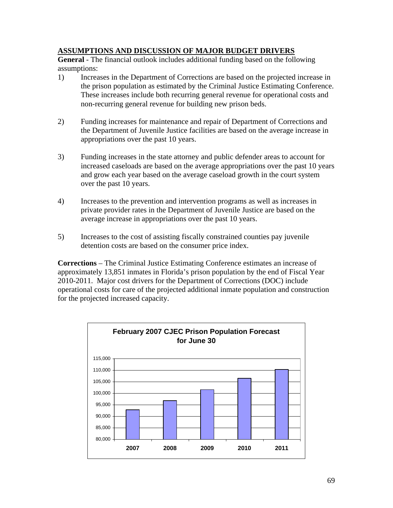### **ASSUMPTIONS AND DISCUSSION OF MAJOR BUDGET DRIVERS**

**General** - The financial outlook includes additional funding based on the following assumptions:

- 1) Increases in the Department of Corrections are based on the projected increase in the prison population as estimated by the Criminal Justice Estimating Conference. These increases include both recurring general revenue for operational costs and non-recurring general revenue for building new prison beds.
- 2) Funding increases for maintenance and repair of Department of Corrections and the Department of Juvenile Justice facilities are based on the average increase in appropriations over the past 10 years.
- 3) Funding increases in the state attorney and public defender areas to account for increased caseloads are based on the average appropriations over the past 10 years and grow each year based on the average caseload growth in the court system over the past 10 years.
- 4) Increases to the prevention and intervention programs as well as increases in private provider rates in the Department of Juvenile Justice are based on the average increase in appropriations over the past 10 years.
- 5) Increases to the cost of assisting fiscally constrained counties pay juvenile detention costs are based on the consumer price index.

**Corrections** – The Criminal Justice Estimating Conference estimates an increase of approximately 13,851 inmates in Florida's prison population by the end of Fiscal Year 2010-2011. Major cost drivers for the Department of Corrections (DOC) include operational costs for care of the projected additional inmate population and construction for the projected increased capacity.

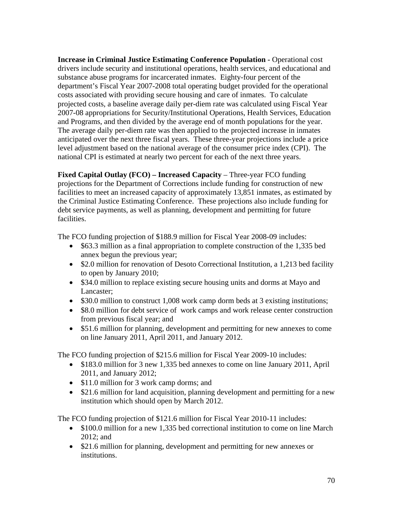**Increase in Criminal Justice Estimating Conference Population - Operational cost** drivers include security and institutional operations, health services, and educational and substance abuse programs for incarcerated inmates. Eighty-four percent of the department's Fiscal Year 2007-2008 total operating budget provided for the operational costs associated with providing secure housing and care of inmates. To calculate projected costs, a baseline average daily per-diem rate was calculated using Fiscal Year 2007-08 appropriations for Security/Institutional Operations, Health Services, Education and Programs, and then divided by the average end of month populations for the year. The average daily per-diem rate was then applied to the projected increase in inmates anticipated over the next three fiscal years. These three-year projections include a price level adjustment based on the national average of the consumer price index (CPI). The national CPI is estimated at nearly two percent for each of the next three years.

**Fixed Capital Outlay (FCO) – Increased Capacity** – Three-year FCO funding projections for the Department of Corrections include funding for construction of new facilities to meet an increased capacity of approximately 13,851 inmates, as estimated by the Criminal Justice Estimating Conference. These projections also include funding for debt service payments, as well as planning, development and permitting for future facilities.

The FCO funding projection of \$188.9 million for Fiscal Year 2008-09 includes:

- \$63.3 million as a final appropriation to complete construction of the 1,335 bed annex begun the previous year;
- \$2.0 million for renovation of Desoto Correctional Institution, a 1,213 bed facility to open by January 2010;
- \$34.0 million to replace existing secure housing units and dorms at Mayo and Lancaster;
- \$30.0 million to construct 1,008 work camp dorm beds at 3 existing institutions;
- \$8.0 million for debt service of work camps and work release center construction from previous fiscal year; and
- \$51.6 million for planning, development and permitting for new annexes to come on line January 2011, April 2011, and January 2012.

The FCO funding projection of \$215.6 million for Fiscal Year 2009-10 includes:

- \$183.0 million for 3 new 1,335 bed annexes to come on line January 2011, April 2011, and January 2012;
- \$11.0 million for 3 work camp dorms; and
- \$21.6 million for land acquisition, planning development and permitting for a new institution which should open by March 2012.

The FCO funding projection of \$121.6 million for Fiscal Year 2010-11 includes:

- \$100.0 million for a new 1.335 bed correctional institution to come on line March 2012; and
- \$21.6 million for planning, development and permitting for new annexes or institutions.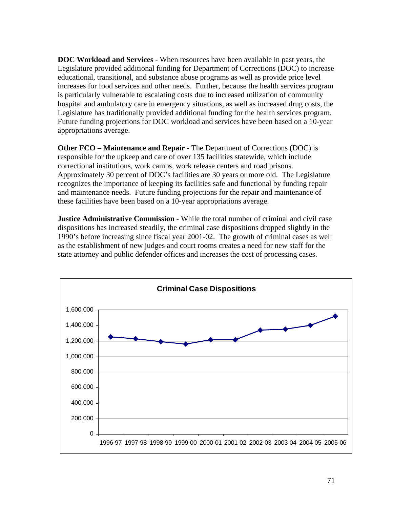**DOC Workload and Services** - When resources have been available in past years, the Legislature provided additional funding for Department of Corrections (DOC) to increase educational, transitional, and substance abuse programs as well as provide price level increases for food services and other needs. Further, because the health services program is particularly vulnerable to escalating costs due to increased utilization of community hospital and ambulatory care in emergency situations, as well as increased drug costs, the Legislature has traditionally provided additional funding for the health services program. Future funding projections for DOC workload and services have been based on a 10-year appropriations average.

**Other FCO – Maintenance and Repair -** The Department of Corrections (DOC) is responsible for the upkeep and care of over 135 facilities statewide, which include correctional institutions, work camps, work release centers and road prisons. Approximately 30 percent of DOC's facilities are 30 years or more old. The Legislature recognizes the importance of keeping its facilities safe and functional by funding repair and maintenance needs. Future funding projections for the repair and maintenance of these facilities have been based on a 10-year appropriations average.

**Justice Administrative Commission -** While the total number of criminal and civil case dispositions has increased steadily, the criminal case dispositions dropped slightly in the 1990's before increasing since fiscal year 2001-02. The growth of criminal cases as well as the establishment of new judges and court rooms creates a need for new staff for the state attorney and public defender offices and increases the cost of processing cases.

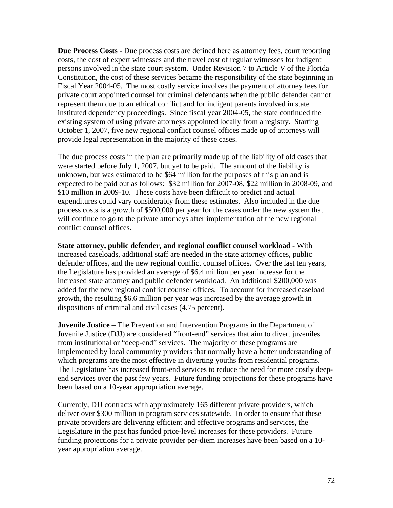**Due Process Costs -** Due process costs are defined here as attorney fees, court reporting costs, the cost of expert witnesses and the travel cost of regular witnesses for indigent persons involved in the state court system. Under Revision 7 to Article V of the Florida Constitution, the cost of these services became the responsibility of the state beginning in Fiscal Year 2004-05. The most costly service involves the payment of attorney fees for private court appointed counsel for criminal defendants when the public defender cannot represent them due to an ethical conflict and for indigent parents involved in state instituted dependency proceedings. Since fiscal year 2004-05, the state continued the existing system of using private attorneys appointed locally from a registry. Starting October 1, 2007, five new regional conflict counsel offices made up of attorneys will provide legal representation in the majority of these cases.

The due process costs in the plan are primarily made up of the liability of old cases that were started before July 1, 2007, but yet to be paid. The amount of the liability is unknown, but was estimated to be \$64 million for the purposes of this plan and is expected to be paid out as follows: \$32 million for 2007-08, \$22 million in 2008-09, and \$10 million in 2009-10. These costs have been difficult to predict and actual expenditures could vary considerably from these estimates. Also included in the due process costs is a growth of \$500,000 per year for the cases under the new system that will continue to go to the private attorneys after implementation of the new regional conflict counsel offices.

**State attorney, public defender, and regional conflict counsel workload -** With increased caseloads, additional staff are needed in the state attorney offices, public defender offices, and the new regional conflict counsel offices. Over the last ten years, the Legislature has provided an average of \$6.4 million per year increase for the increased state attorney and public defender workload. An additional \$200,000 was added for the new regional conflict counsel offices. To account for increased caseload growth, the resulting \$6.6 million per year was increased by the average growth in dispositions of criminal and civil cases (4.75 percent).

**Juvenile Justice** – The Prevention and Intervention Programs in the Department of Juvenile Justice (DJJ) are considered "front-end" services that aim to divert juveniles from institutional or "deep-end" services. The majority of these programs are implemented by local community providers that normally have a better understanding of which programs are the most effective in diverting youths from residential programs. The Legislature has increased front-end services to reduce the need for more costly deepend services over the past few years. Future funding projections for these programs have been based on a 10-year appropriation average.

Currently, DJJ contracts with approximately 165 different private providers, which deliver over \$300 million in program services statewide. In order to ensure that these private providers are delivering efficient and effective programs and services, the Legislature in the past has funded price-level increases for these providers. Future funding projections for a private provider per-diem increases have been based on a 10 year appropriation average.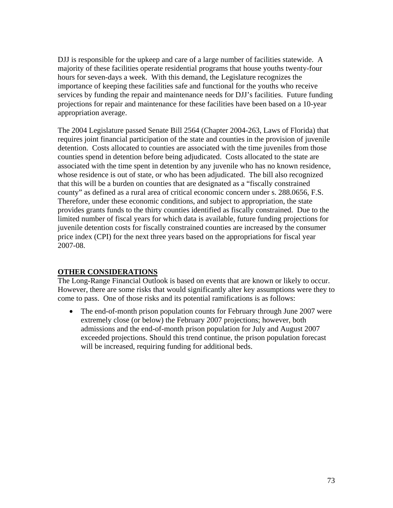DJJ is responsible for the upkeep and care of a large number of facilities statewide. A majority of these facilities operate residential programs that house youths twenty-four hours for seven-days a week. With this demand, the Legislature recognizes the importance of keeping these facilities safe and functional for the youths who receive services by funding the repair and maintenance needs for DJJ's facilities. Future funding projections for repair and maintenance for these facilities have been based on a 10-year appropriation average.

The 2004 Legislature passed Senate Bill 2564 (Chapter 2004-263, Laws of Florida) that requires joint financial participation of the state and counties in the provision of juvenile detention. Costs allocated to counties are associated with the time juveniles from those counties spend in detention before being adjudicated. Costs allocated to the state are associated with the time spent in detention by any juvenile who has no known residence, whose residence is out of state, or who has been adjudicated. The bill also recognized that this will be a burden on counties that are designated as a "fiscally constrained county" as defined as a rural area of critical economic concern under s. 288.0656, F.S. Therefore, under these economic conditions, and subject to appropriation, the state provides grants funds to the thirty counties identified as fiscally constrained. Due to the limited number of fiscal years for which data is available, future funding projections for juvenile detention costs for fiscally constrained counties are increased by the consumer price index (CPI) for the next three years based on the appropriations for fiscal year 2007-08.

# **OTHER CONSIDERATIONS**

The Long-Range Financial Outlook is based on events that are known or likely to occur. However, there are some risks that would significantly alter key assumptions were they to come to pass. One of those risks and its potential ramifications is as follows:

• The end-of-month prison population counts for February through June 2007 were extremely close (or below) the February 2007 projections; however, both admissions and the end-of-month prison population for July and August 2007 exceeded projections. Should this trend continue, the prison population forecast will be increased, requiring funding for additional beds.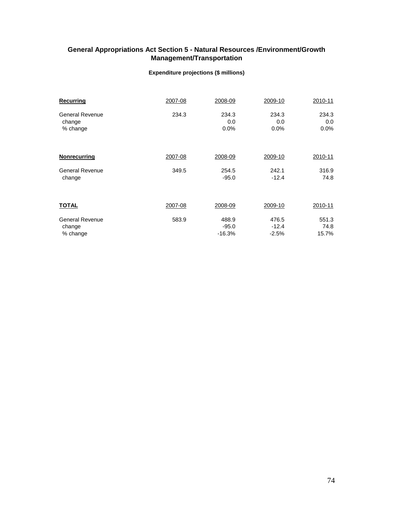# **General Appropriations Act Section 5 - Natural Resources /Environment/Growth Management/Transportation**

### **Expenditure projections (\$ millions)**

| Recurring              | 2007-08 | 2008-09  | 2009-10 | 2010-11 |
|------------------------|---------|----------|---------|---------|
| <b>General Revenue</b> | 234.3   | 234.3    | 234.3   | 234.3   |
| change                 |         | 0.0      | 0.0     | 0.0     |
| % change               |         | 0.0%     | 0.0%    | 0.0%    |
| <b>Nonrecurring</b>    | 2007-08 | 2008-09  | 2009-10 | 2010-11 |
| <b>General Revenue</b> | 349.5   | 254.5    | 242.1   | 316.9   |
| change                 |         | $-95.0$  | $-12.4$ | 74.8    |
| <b>TOTAL</b>           | 2007-08 | 2008-09  | 2009-10 | 2010-11 |
| <b>General Revenue</b> | 583.9   | 488.9    | 476.5   | 551.3   |
| change                 |         | $-95.0$  | $-12.4$ | 74.8    |
| % change               |         | $-16.3%$ | $-2.5%$ | 15.7%   |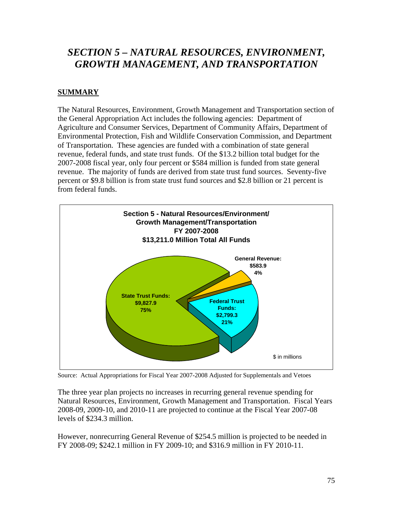# *SECTION 5 – NATURAL RESOURCES, ENVIRONMENT, GROWTH MANAGEMENT, AND TRANSPORTATION*

# **SUMMARY**

The Natural Resources, Environment, Growth Management and Transportation section of the General Appropriation Act includes the following agencies: Department of Agriculture and Consumer Services, Department of Community Affairs, Department of Environmental Protection, Fish and Wildlife Conservation Commission, and Department of Transportation. These agencies are funded with a combination of state general revenue, federal funds, and state trust funds. Of the \$13.2 billion total budget for the 2007-2008 fiscal year, only four percent or \$584 million is funded from state general revenue. The majority of funds are derived from state trust fund sources. Seventy-five percent or \$9.8 billion is from state trust fund sources and \$2.8 billion or 21 percent is from federal funds.



Source: Actual Appropriations for Fiscal Year 2007-2008 Adjusted for Supplementals and Vetoes

The three year plan projects no increases in recurring general revenue spending for Natural Resources, Environment, Growth Management and Transportation. Fiscal Years 2008-09, 2009-10, and 2010-11 are projected to continue at the Fiscal Year 2007-08 levels of \$234.3 million.

However, nonrecurring General Revenue of \$254.5 million is projected to be needed in FY 2008-09; \$242.1 million in FY 2009-10; and \$316.9 million in FY 2010-11.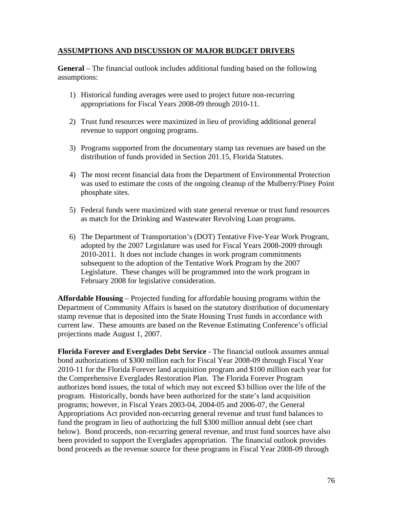### **ASSUMPTIONS AND DISCUSSION OF MAJOR BUDGET DRIVERS**

**General** – The financial outlook includes additional funding based on the following assumptions:

- 1) Historical funding averages were used to project future non-recurring appropriations for Fiscal Years 2008-09 through 2010-11.
- 2) Trust fund resources were maximized in lieu of providing additional general revenue to support ongoing programs.
- 3) Programs supported from the documentary stamp tax revenues are based on the distribution of funds provided in Section 201.15, Florida Statutes.
- 4) The most recent financial data from the Department of Environmental Protection was used to estimate the costs of the ongoing cleanup of the Mulberry/Piney Point phosphate sites.
- 5) Federal funds were maximized with state general revenue or trust fund resources as match for the Drinking and Wastewater Revolving Loan programs.
- 6) The Department of Transportation's (DOT) Tentative Five-Year Work Program, adopted by the 2007 Legislature was used for Fiscal Years 2008-2009 through 2010-2011. It does not include changes in work program commitments subsequent to the adoption of the Tentative Work Program by the 2007 Legislature. These changes will be programmed into the work program in February 2008 for legislative consideration.

**Affordable Housing** – Projected funding for affordable housing programs within the Department of Community Affairs is based on the statutory distribution of documentary stamp revenue that is deposited into the State Housing Trust funds in accordance with current law. These amounts are based on the Revenue Estimating Conference's official projections made August 1, 2007.

**Florida Forever and Everglades Debt Service** - The financial outlook assumes annual bond authorizations of \$300 million each for Fiscal Year 2008-09 through Fiscal Year 2010-11 for the Florida Forever land acquisition program and \$100 million each year for the Comprehensive Everglades Restoration Plan. The Florida Forever Program authorizes bond issues, the total of which may not exceed \$3 billion over the life of the program. Historically, bonds have been authorized for the state's land acquisition programs; however, in Fiscal Years 2003-04, 2004-05 and 2006-07, the General Appropriations Act provided non-recurring general revenue and trust fund balances to fund the program in lieu of authorizing the full \$300 million annual debt (see chart below). Bond proceeds, non-recurring general revenue, and trust fund sources have also been provided to support the Everglades appropriation. The financial outlook provides bond proceeds as the revenue source for these programs in Fiscal Year 2008-09 through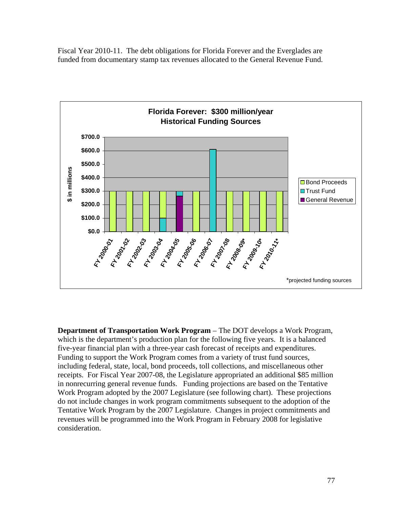Fiscal Year 2010-11. The debt obligations for Florida Forever and the Everglades are funded from documentary stamp tax revenues allocated to the General Revenue Fund.



**Department of Transportation Work Program** – The DOT develops a Work Program, which is the department's production plan for the following five years. It is a balanced five-year financial plan with a three-year cash forecast of receipts and expenditures. Funding to support the Work Program comes from a variety of trust fund sources, including federal, state, local, bond proceeds, toll collections, and miscellaneous other receipts. For Fiscal Year 2007-08, the Legislature appropriated an additional \$85 million in nonrecurring general revenue funds. Funding projections are based on the Tentative Work Program adopted by the 2007 Legislature (see following chart). These projections do not include changes in work program commitments subsequent to the adoption of the Tentative Work Program by the 2007 Legislature. Changes in project commitments and revenues will be programmed into the Work Program in February 2008 for legislative consideration.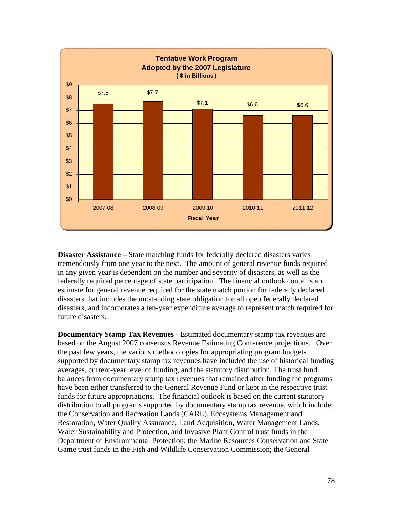

**Disaster Assistance** – State matching funds for federally declared disasters varies tremendously from one year to the next. The amount of general revenue funds required in any given year is dependent on the number and severity of disasters, as well as the federally required percentage of state participation. The financial outlook contains an estimate for general revenue required for the state match portion for federally declared disasters that includes the outstanding state obligation for all open federally declared disasters, and incorporates a ten-year expenditure average to represent match required for future disasters.

**Documentary Stamp Tax Revenues** - Estimated documentary stamp tax revenues are based on the August 2007 consensus Revenue Estimating Conference projections. Over the past few years, the various methodologies for appropriating program budgets supported by documentary stamp tax revenues have included the use of historical funding averages, current-year level of funding, and the statutory distribution. The trust fund balances from documentary stamp tax revenues that remained after funding the programs have been either transferred to the General Revenue Fund or kept in the respective trust funds for future appropriations. The financial outlook is based on the current statutory distribution to all programs supported by documentary stamp tax revenue, which include: the Conservation and Recreation Lands (CARL), Ecosystems Management and Restoration, Water Quality Assurance, Land Acquisition, Water Management Lands, Water Sustainability and Protection, and Invasive Plant Control trust funds in the Department of Environmental Protection; the Marine Resources Conservation and State Game trust funds in the Fish and Wildlife Conservation Commission; the General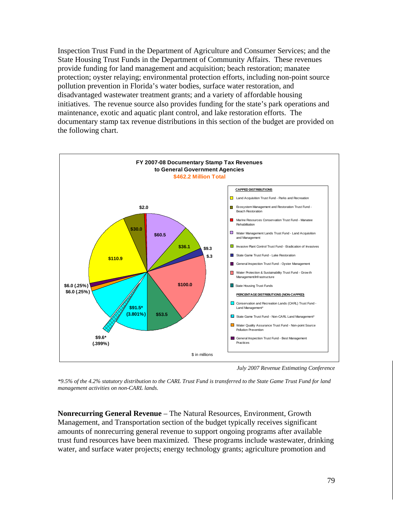Inspection Trust Fund in the Department of Agriculture and Consumer Services; and the State Housing Trust Funds in the Department of Community Affairs. These revenues provide funding for land management and acquisition; beach restoration; manatee protection; oyster relaying; environmental protection efforts, including non-point source pollution prevention in Florida's water bodies, surface water restoration, and disadvantaged wastewater treatment grants; and a variety of affordable housing initiatives. The revenue source also provides funding for the state's park operations and maintenance, exotic and aquatic plant control, and lake restoration efforts. The documentary stamp tax revenue distributions in this section of the budget are provided on the following chart.



*July 2007 Revenue Estimating Conference*

*\*9.5% of the 4.2% statutory distribution to the CARL Trust Fund is transferred to the State Game Trust Fund for land management activities on non-CARL lands.* 

**Nonrecurring General Revenue** – The Natural Resources, Environment, Growth Management, and Transportation section of the budget typically receives significant amounts of nonrecurring general revenue to support ongoing programs after available trust fund resources have been maximized. These programs include wastewater, drinking water, and surface water projects; energy technology grants; agriculture promotion and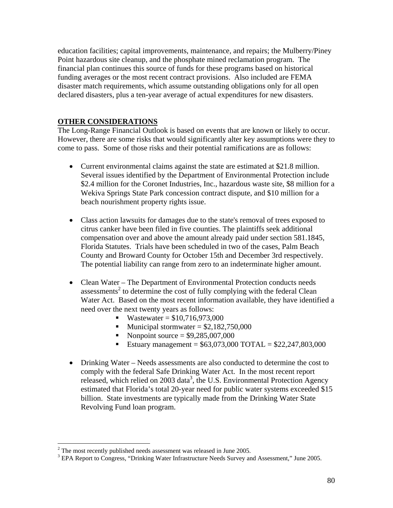education facilities; capital improvements, maintenance, and repairs; the Mulberry/Piney Point hazardous site cleanup, and the phosphate mined reclamation program. The financial plan continues this source of funds for these programs based on historical funding averages or the most recent contract provisions. Also included are FEMA disaster match requirements, which assume outstanding obligations only for all open declared disasters, plus a ten-year average of actual expenditures for new disasters.

## **OTHER CONSIDERATIONS**

The Long-Range Financial Outlook is based on events that are known or likely to occur. However, there are some risks that would significantly alter key assumptions were they to come to pass. Some of those risks and their potential ramifications are as follows:

- Current environmental claims against the state are estimated at \$21.8 million. Several issues identified by the Department of Environmental Protection include \$2.4 million for the Coronet Industries, Inc., hazardous waste site, \$8 million for a Wekiva Springs State Park concession contract dispute, and \$10 million for a beach nourishment property rights issue.
- Class action lawsuits for damages due to the state's removal of trees exposed to citrus canker have been filed in five counties. The plaintiffs seek additional compensation over and above the amount already paid under section 581.1845, Florida Statutes. Trials have been scheduled in two of the cases, Palm Beach County and Broward County for October 15th and December 3rd respectively. The potential liability can range from zero to an indeterminate higher amount.
- Clean Water The Department of Environmental Protection conducts needs  $assessments<sup>2</sup>$  to determine the cost of fully complying with the federal Clean Water Act. Based on the most recent information available, they have identified a need over the next twenty years as follows:
	- Wastewater =  $$10,716,973,000$
	- Municipal stormwater =  $$2,182,750,000$
	- Nonpoint source =  $$9,285,007,000$
	- Estuary management =  $$63,073,000$  TOTAL =  $$22,247,803,000$
- Drinking Water Needs assessments are also conducted to determine the cost to comply with the federal Safe Drinking Water Act. In the most recent report released, which relied on 2003 data<sup>3</sup>, the U.S. Environmental Protection Agency estimated that Florida's total 20-year need for public water systems exceeded \$15 billion. State investments are typically made from the Drinking Water State Revolving Fund loan program.

<sup>&</sup>lt;sup>2</sup> The most recently published needs assessment was released in June 2005.<br><sup>3</sup> EDA Benert to Congress, "Drinking Weter Infrestmeture Needs Survey on

<sup>&</sup>lt;sup>3</sup> EPA Report to Congress, "Drinking Water Infrastructure Needs Survey and Assessment," June 2005.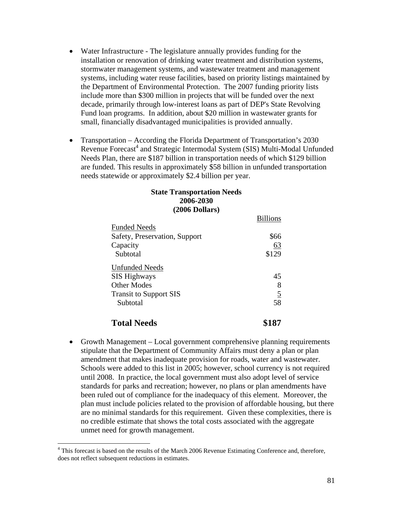- Water Infrastructure The legislature annually provides funding for the installation or renovation of drinking water treatment and distribution systems, stormwater management systems, and wastewater treatment and management systems, including water reuse facilities, based on priority listings maintained by the Department of Environmental Protection. The 2007 funding priority lists include more than \$300 million in projects that will be funded over the next decade, primarily through low-interest loans as part of DEP's State Revolving Fund loan programs. In addition, about \$20 million in wastewater grants for small, financially disadvantaged municipalities is provided annually.
- Transportation According the Florida Department of Transportation's 2030 Revenue Forecast<sup>4</sup> and Strategic Intermodal System (SIS) Multi-Modal Unfunded Needs Plan, there are \$187 billion in transportation needs of which \$129 billion are funded. This results in approximately \$58 billion in unfunded transportation needs statewide or approximately \$2.4 billion per year.

### **State Transportation Needs 2006-2030 (2006 Dollars)**

|                               | <b>Billions</b> |
|-------------------------------|-----------------|
| <b>Funded Needs</b>           |                 |
| Safety, Preservation, Support | \$66            |
| Capacity                      | 63              |
| Subtotal                      | \$129           |
| <b>Unfunded Needs</b>         |                 |
| <b>SIS Highways</b>           | 45              |
| Other Modes                   | 8               |
| <b>Transit to Support SIS</b> | $\overline{5}$  |
| Subtotal                      | 58              |
| <b>Total Needs</b>            |                 |

• Growth Management – Local government comprehensive planning requirements stipulate that the Department of Community Affairs must deny a plan or plan amendment that makes inadequate provision for roads, water and wastewater. Schools were added to this list in 2005; however, school currency is not required until 2008. In practice, the local government must also adopt level of service standards for parks and recreation; however, no plans or plan amendments have been ruled out of compliance for the inadequacy of this element. Moreover, the plan must include policies related to the provision of affordable housing, but there are no minimal standards for this requirement. Given these complexities, there is no credible estimate that shows the total costs associated with the aggregate unmet need for growth management.

1

<sup>&</sup>lt;sup>4</sup> This forecast is based on the results of the March 2006 Revenue Estimating Conference and, therefore, does not reflect subsequent reductions in estimates.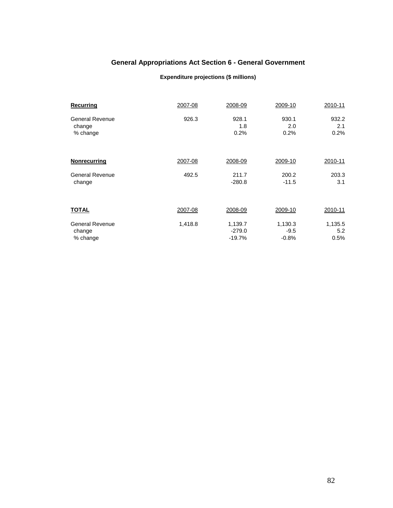# **General Appropriations Act Section 6 - General Government**

#### **Expenditure projections (\$ millions)**

| Recurring              | 2007-08 | 2008-09  | 2009-10 | 2010-11 |
|------------------------|---------|----------|---------|---------|
| <b>General Revenue</b> | 926.3   | 928.1    | 930.1   | 932.2   |
| change                 |         | 1.8      | 2.0     | 2.1     |
| % change               |         | 0.2%     | 0.2%    | 0.2%    |
| <b>Nonrecurring</b>    | 2007-08 | 2008-09  | 2009-10 | 2010-11 |
| General Revenue        | 492.5   | 211.7    | 200.2   | 203.3   |
| change                 |         | $-280.8$ | $-11.5$ | 3.1     |
| <b>TOTAL</b>           | 2007-08 | 2008-09  | 2009-10 | 2010-11 |
| <b>General Revenue</b> | 1,418.8 | 1,139.7  | 1,130.3 | 1,135.5 |
| change                 |         | $-279.0$ | $-9.5$  | 5.2     |
| % change               |         | $-19.7%$ | $-0.8%$ | 0.5%    |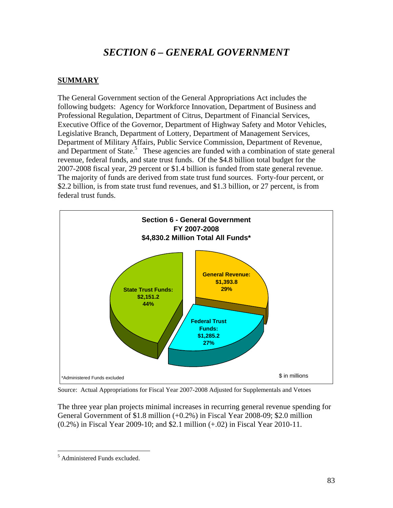# *SECTION 6 – GENERAL GOVERNMENT*

# **SUMMARY**

The General Government section of the General Appropriations Act includes the following budgets: Agency for Workforce Innovation, Department of Business and Professional Regulation, Department of Citrus, Department of Financial Services, Executive Office of the Governor, Department of Highway Safety and Motor Vehicles, Legislative Branch, Department of Lottery, Department of Management Services, Department of Military Affairs, Public Service Commission, Department of Revenue, and Department of State.<sup>5</sup> These agencies are funded with a combination of state general revenue, federal funds, and state trust funds. Of the \$4.8 billion total budget for the 2007-2008 fiscal year, 29 percent or \$1.4 billion is funded from state general revenue. The majority of funds are derived from state trust fund sources. Forty-four percent, or \$2.2 billion, is from state trust fund revenues, and \$1.3 billion, or 27 percent, is from federal trust funds.



Source: Actual Appropriations for Fiscal Year 2007-2008 Adjusted for Supplementals and Vetoes

The three year plan projects minimal increases in recurring general revenue spending for General Government of \$1.8 million (+0.2%) in Fiscal Year 2008-09; \$2.0 million (0.2%) in Fiscal Year 2009-10; and \$2.1 million (+.02) in Fiscal Year 2010-11.

 $\overline{a}$ 5 Administered Funds excluded.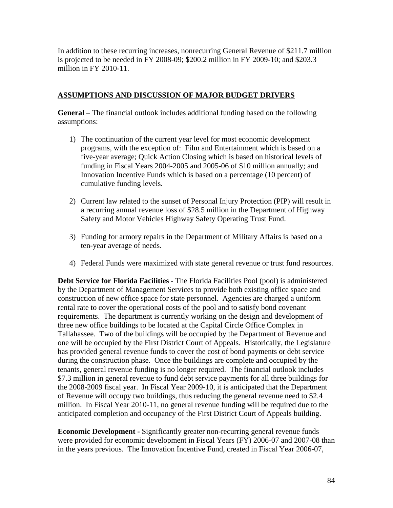In addition to these recurring increases, nonrecurring General Revenue of \$211.7 million is projected to be needed in FY 2008-09; \$200.2 million in FY 2009-10; and \$203.3 million in FY 2010-11.

### **ASSUMPTIONS AND DISCUSSION OF MAJOR BUDGET DRIVERS**

**General** – The financial outlook includes additional funding based on the following assumptions:

- 1) The continuation of the current year level for most economic development programs, with the exception of: Film and Entertainment which is based on a five-year average; Quick Action Closing which is based on historical levels of funding in Fiscal Years 2004-2005 and 2005-06 of \$10 million annually; and Innovation Incentive Funds which is based on a percentage (10 percent) of cumulative funding levels.
- 2) Current law related to the sunset of Personal Injury Protection (PIP) will result in a recurring annual revenue loss of \$28.5 million in the Department of Highway Safety and Motor Vehicles Highway Safety Operating Trust Fund.
- 3) Funding for armory repairs in the Department of Military Affairs is based on a ten-year average of needs.
- 4) Federal Funds were maximized with state general revenue or trust fund resources.

**Debt Service for Florida Facilities -** The Florida Facilities Pool (pool) is administered by the Department of Management Services to provide both existing office space and construction of new office space for state personnel. Agencies are charged a uniform rental rate to cover the operational costs of the pool and to satisfy bond covenant requirements. The department is currently working on the design and development of three new office buildings to be located at the Capital Circle Office Complex in Tallahassee. Two of the buildings will be occupied by the Department of Revenue and one will be occupied by the First District Court of Appeals. Historically, the Legislature has provided general revenue funds to cover the cost of bond payments or debt service during the construction phase. Once the buildings are complete and occupied by the tenants, general revenue funding is no longer required. The financial outlook includes \$7.3 million in general revenue to fund debt service payments for all three buildings for the 2008-2009 fiscal year. In Fiscal Year 2009-10, it is anticipated that the Department of Revenue will occupy two buildings, thus reducing the general revenue need to \$2.4 million. In Fiscal Year 2010-11, no general revenue funding will be required due to the anticipated completion and occupancy of the First District Court of Appeals building.

**Economic Development -** Significantly greater non-recurring general revenue funds were provided for economic development in Fiscal Years (FY) 2006-07 and 2007-08 than in the years previous. The Innovation Incentive Fund, created in Fiscal Year 2006-07,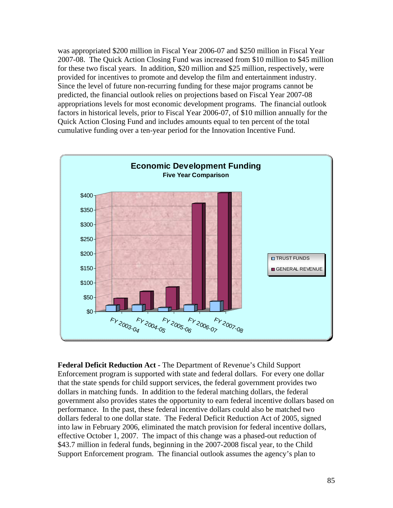was appropriated \$200 million in Fiscal Year 2006-07 and \$250 million in Fiscal Year 2007-08. The Quick Action Closing Fund was increased from \$10 million to \$45 million for these two fiscal years. In addition, \$20 million and \$25 million, respectively, were provided for incentives to promote and develop the film and entertainment industry. Since the level of future non-recurring funding for these major programs cannot be predicted, the financial outlook relies on projections based on Fiscal Year 2007-08 appropriations levels for most economic development programs. The financial outlook factors in historical levels, prior to Fiscal Year 2006-07, of \$10 million annually for the Quick Action Closing Fund and includes amounts equal to ten percent of the total cumulative funding over a ten-year period for the Innovation Incentive Fund.



**Federal Deficit Reduction Act -** The Department of Revenue's Child Support Enforcement program is supported with state and federal dollars. For every one dollar that the state spends for child support services, the federal government provides two dollars in matching funds. In addition to the federal matching dollars, the federal government also provides states the opportunity to earn federal incentive dollars based on performance. In the past, these federal incentive dollars could also be matched two dollars federal to one dollar state. The Federal Deficit Reduction Act of 2005, signed into law in February 2006, eliminated the match provision for federal incentive dollars, effective October 1, 2007. The impact of this change was a phased-out reduction of \$43.7 million in federal funds, beginning in the 2007-2008 fiscal year, to the Child Support Enforcement program. The financial outlook assumes the agency's plan to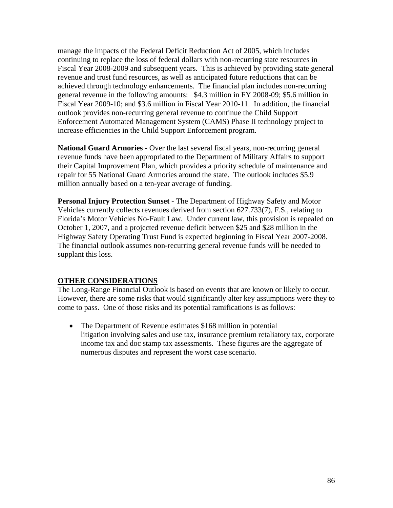manage the impacts of the Federal Deficit Reduction Act of 2005, which includes continuing to replace the loss of federal dollars with non-recurring state resources in Fiscal Year 2008-2009 and subsequent years. This is achieved by providing state general revenue and trust fund resources, as well as anticipated future reductions that can be achieved through technology enhancements. The financial plan includes non-recurring general revenue in the following amounts: \$4.3 million in FY 2008-09; \$5.6 million in Fiscal Year 2009-10; and \$3.6 million in Fiscal Year 2010-11. In addition, the financial outlook provides non-recurring general revenue to continue the Child Support Enforcement Automated Management System (CAMS) Phase II technology project to increase efficiencies in the Child Support Enforcement program.

**National Guard Armories -** Over the last several fiscal years, non-recurring general revenue funds have been appropriated to the Department of Military Affairs to support their Capital Improvement Plan, which provides a priority schedule of maintenance and repair for 55 National Guard Armories around the state. The outlook includes \$5.9 million annually based on a ten-year average of funding.

**Personal Injury Protection Sunset -** The Department of Highway Safety and Motor Vehicles currently collects revenues derived from section 627.733(7), F.S., relating to Florida's Motor Vehicles No-Fault Law. Under current law, this provision is repealed on October 1, 2007, and a projected revenue deficit between \$25 and \$28 million in the Highway Safety Operating Trust Fund is expected beginning in Fiscal Year 2007-2008. The financial outlook assumes non-recurring general revenue funds will be needed to supplant this loss.

## **OTHER CONSIDERATIONS**

The Long-Range Financial Outlook is based on events that are known or likely to occur. However, there are some risks that would significantly alter key assumptions were they to come to pass. One of those risks and its potential ramifications is as follows:

• The Department of Revenue estimates \$168 million in potential litigation involving sales and use tax, insurance premium retaliatory tax, corporate income tax and doc stamp tax assessments. These figures are the aggregate of numerous disputes and represent the worst case scenario.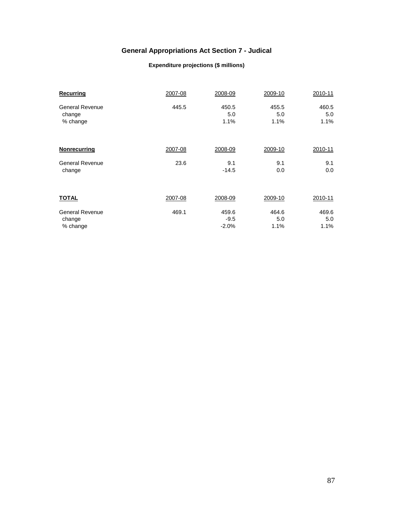# **General Appropriations Act Section 7 - Judical**

#### **Expenditure projections (\$ millions)**

| Recurring              | 2007-08 | 2008-09 | 2009-10 | 2010-11 |
|------------------------|---------|---------|---------|---------|
| <b>General Revenue</b> | 445.5   | 450.5   | 455.5   | 460.5   |
| change                 |         | 5.0     | 5.0     | 5.0     |
| % change               |         | 1.1%    | 1.1%    | 1.1%    |
| <b>Nonrecurring</b>    | 2007-08 | 2008-09 | 2009-10 | 2010-11 |
| <b>General Revenue</b> | 23.6    | 9.1     | 9.1     | 9.1     |
| change                 |         | $-14.5$ | 0.0     | 0.0     |
| <b>TOTAL</b>           | 2007-08 | 2008-09 | 2009-10 | 2010-11 |
| <b>General Revenue</b> | 469.1   | 459.6   | 464.6   | 469.6   |
| change                 |         | $-9.5$  | 5.0     | 5.0     |
| % change               |         | $-2.0%$ | 1.1%    | 1.1%    |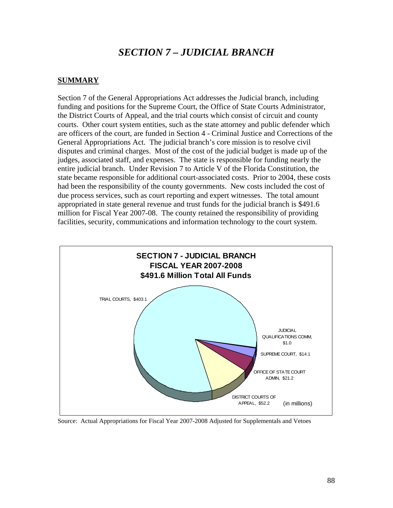# *SECTION 7 – JUDICIAL BRANCH*

#### **SUMMARY**

Section 7 of the General Appropriations Act addresses the Judicial branch, including funding and positions for the Supreme Court, the Office of State Courts Administrator, the District Courts of Appeal, and the trial courts which consist of circuit and county courts. Other court system entities, such as the state attorney and public defender which are officers of the court, are funded in Section 4 - Criminal Justice and Corrections of the General Appropriations Act. The judicial branch's core mission is to resolve civil disputes and criminal charges. Most of the cost of the judicial budget is made up of the judges, associated staff, and expenses. The state is responsible for funding nearly the entire judicial branch. Under Revision 7 to Article V of the Florida Constitution, the state became responsible for additional court-associated costs. Prior to 2004, these costs had been the responsibility of the county governments. New costs included the cost of due process services, such as court reporting and expert witnesses. The total amount appropriated in state general revenue and trust funds for the judicial branch is \$491.6 million for Fiscal Year 2007-08. The county retained the responsibility of providing facilities, security, communications and information technology to the court system.



Source: Actual Appropriations for Fiscal Year 2007-2008 Adjusted for Supplementals and Vetoes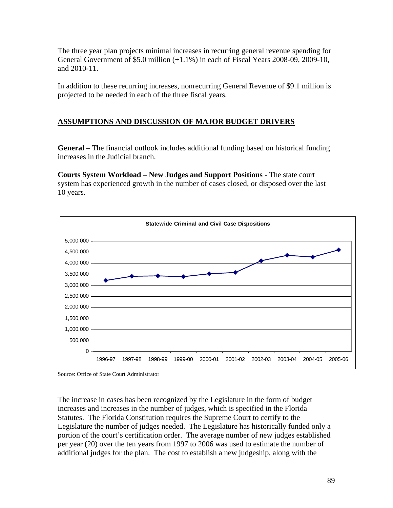The three year plan projects minimal increases in recurring general revenue spending for General Government of \$5.0 million (+1.1%) in each of Fiscal Years 2008-09, 2009-10, and 2010-11.

In addition to these recurring increases, nonrecurring General Revenue of \$9.1 million is projected to be needed in each of the three fiscal years.

# **ASSUMPTIONS AND DISCUSSION OF MAJOR BUDGET DRIVERS**

**General** – The financial outlook includes additional funding based on historical funding increases in the Judicial branch.

**Courts System Workload – New Judges and Support Positions -** The state court system has experienced growth in the number of cases closed, or disposed over the last 10 years.



Source: Office of State Court Administrator

The increase in cases has been recognized by the Legislature in the form of budget increases and increases in the number of judges, which is specified in the Florida Statutes. The Florida Constitution requires the Supreme Court to certify to the Legislature the number of judges needed. The Legislature has historically funded only a portion of the court's certification order. The average number of new judges established per year (20) over the ten years from 1997 to 2006 was used to estimate the number of additional judges for the plan. The cost to establish a new judgeship, along with the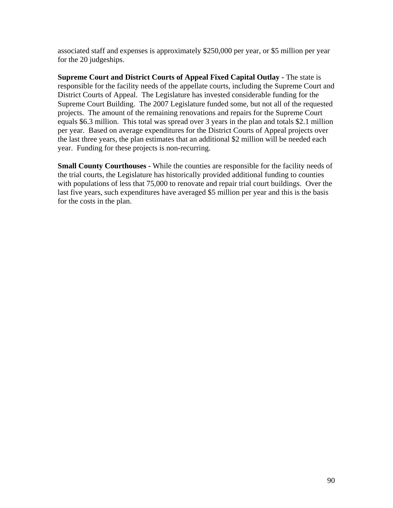associated staff and expenses is approximately \$250,000 per year, or \$5 million per year for the 20 judgeships.

**Supreme Court and District Courts of Appeal Fixed Capital Outlay - The state is** responsible for the facility needs of the appellate courts, including the Supreme Court and District Courts of Appeal. The Legislature has invested considerable funding for the Supreme Court Building. The 2007 Legislature funded some, but not all of the requested projects. The amount of the remaining renovations and repairs for the Supreme Court equals \$6.3 million. This total was spread over 3 years in the plan and totals \$2.1 million per year. Based on average expenditures for the District Courts of Appeal projects over the last three years, the plan estimates that an additional \$2 million will be needed each year. Funding for these projects is non-recurring.

**Small County Courthouses -** While the counties are responsible for the facility needs of the trial courts, the Legislature has historically provided additional funding to counties with populations of less that 75,000 to renovate and repair trial court buildings. Over the last five years, such expenditures have averaged \$5 million per year and this is the basis for the costs in the plan.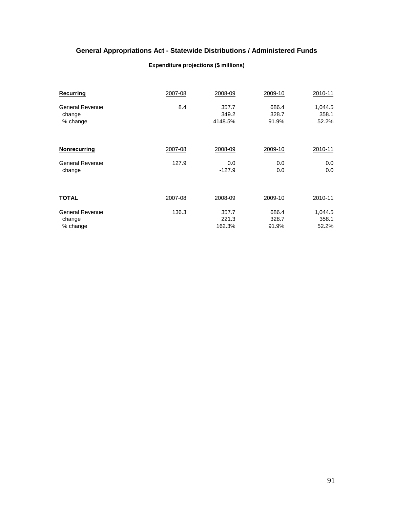# **General Appropriations Act - Statewide Distributions / Administered Funds**

#### **Expenditure projections (\$ millions)**

| Recurring              | 2007-08 | 2008-09  | 2009-10 | 2010-11 |
|------------------------|---------|----------|---------|---------|
| <b>General Revenue</b> | 8.4     | 357.7    | 686.4   | 1,044.5 |
| change                 |         | 349.2    | 328.7   | 358.1   |
| % change               |         | 4148.5%  | 91.9%   | 52.2%   |
| <b>Nonrecurring</b>    | 2007-08 | 2008-09  | 2009-10 | 2010-11 |
| General Revenue        | 127.9   | 0.0      | 0.0     | 0.0     |
| change                 |         | $-127.9$ | 0.0     | 0.0     |
| <b>TOTAL</b>           | 2007-08 | 2008-09  | 2009-10 | 2010-11 |
| <b>General Revenue</b> | 136.3   | 357.7    | 686.4   | 1,044.5 |
| change                 |         | 221.3    | 328.7   | 358.1   |
| % change               |         | 162.3%   | 91.9%   | 52.2%   |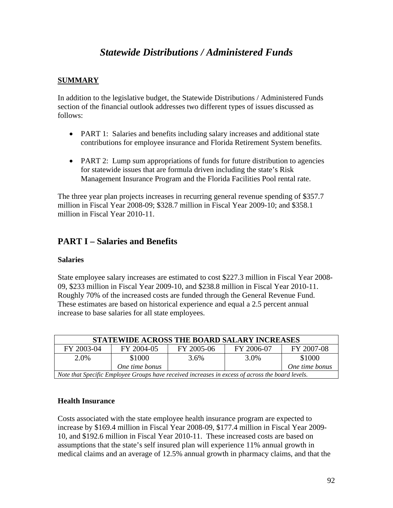# *Statewide Distributions / Administered Funds*

# **SUMMARY**

In addition to the legislative budget, the Statewide Distributions / Administered Funds section of the financial outlook addresses two different types of issues discussed as follows:

- PART 1: Salaries and benefits including salary increases and additional state contributions for employee insurance and Florida Retirement System benefits.
- PART 2: Lump sum appropriations of funds for future distribution to agencies for statewide issues that are formula driven including the state's Risk Management Insurance Program and the Florida Facilities Pool rental rate.

The three year plan projects increases in recurring general revenue spending of \$357.7 million in Fiscal Year 2008-09; \$328.7 million in Fiscal Year 2009-10; and \$358.1 million in Fiscal Year 2010-11.

# **PART I – Salaries and Benefits**

## **Salaries**

State employee salary increases are estimated to cost \$227.3 million in Fiscal Year 2008- 09, \$233 million in Fiscal Year 2009-10, and \$238.8 million in Fiscal Year 2010-11. Roughly 70% of the increased costs are funded through the General Revenue Fund. These estimates are based on historical experience and equal a 2.5 percent annual increase to base salaries for all state employees.

| STATEWIDE ACROSS THE BOARD SALARY INCREASES                                                      |                |            |            |                |
|--------------------------------------------------------------------------------------------------|----------------|------------|------------|----------------|
| FY 2003-04                                                                                       | FY 2004-05     | FY 2005-06 | FY 2006-07 | FY 2007-08     |
| 2.0%                                                                                             | \$1000         | 3.6%       | 3.0%       | \$1000         |
|                                                                                                  | One time bonus |            |            | One time bonus |
| Note that Specific Employee Groups have received increases in excess of across the board levels. |                |            |            |                |

## **Health Insurance**

Costs associated with the state employee health insurance program are expected to increase by \$169.4 million in Fiscal Year 2008-09, \$177.4 million in Fiscal Year 2009- 10, and \$192.6 million in Fiscal Year 2010-11. These increased costs are based on assumptions that the state's self insured plan will experience 11% annual growth in medical claims and an average of 12.5% annual growth in pharmacy claims, and that the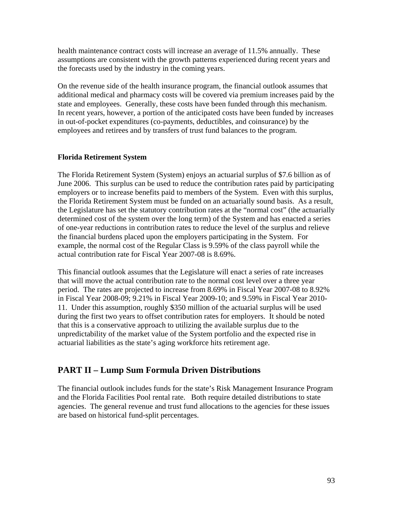health maintenance contract costs will increase an average of 11.5% annually. These assumptions are consistent with the growth patterns experienced during recent years and the forecasts used by the industry in the coming years.

On the revenue side of the health insurance program, the financial outlook assumes that additional medical and pharmacy costs will be covered via premium increases paid by the state and employees. Generally, these costs have been funded through this mechanism. In recent years, however, a portion of the anticipated costs have been funded by increases in out-of-pocket expenditures (co-payments, deductibles, and coinsurance) by the employees and retirees and by transfers of trust fund balances to the program.

## **Florida Retirement System**

The Florida Retirement System (System) enjoys an actuarial surplus of \$7.6 billion as of June 2006. This surplus can be used to reduce the contribution rates paid by participating employers or to increase benefits paid to members of the System. Even with this surplus, the Florida Retirement System must be funded on an actuarially sound basis. As a result, the Legislature has set the statutory contribution rates at the "normal cost" (the actuarially determined cost of the system over the long term) of the System and has enacted a series of one-year reductions in contribution rates to reduce the level of the surplus and relieve the financial burdens placed upon the employers participating in the System. For example, the normal cost of the Regular Class is 9.59% of the class payroll while the actual contribution rate for Fiscal Year 2007-08 is 8.69%.

This financial outlook assumes that the Legislature will enact a series of rate increases that will move the actual contribution rate to the normal cost level over a three year period. The rates are projected to increase from 8.69% in Fiscal Year 2007-08 to 8.92% in Fiscal Year 2008-09; 9.21% in Fiscal Year 2009-10; and 9.59% in Fiscal Year 2010- 11. Under this assumption, roughly \$350 million of the actuarial surplus will be used during the first two years to offset contribution rates for employers. It should be noted that this is a conservative approach to utilizing the available surplus due to the unpredictability of the market value of the System portfolio and the expected rise in actuarial liabilities as the state's aging workforce hits retirement age.

# **PART II – Lump Sum Formula Driven Distributions**

The financial outlook includes funds for the state's Risk Management Insurance Program and the Florida Facilities Pool rental rate. Both require detailed distributions to state agencies. The general revenue and trust fund allocations to the agencies for these issues are based on historical fund-split percentages.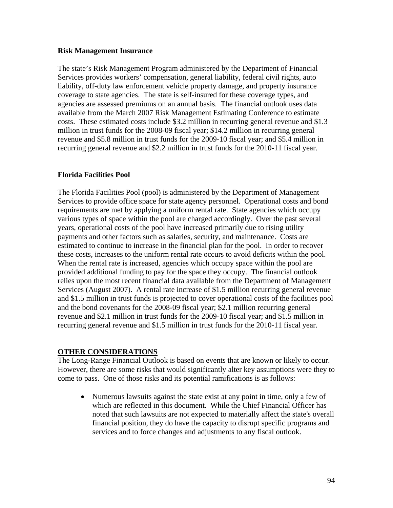#### **Risk Management Insurance**

The state's Risk Management Program administered by the Department of Financial Services provides workers' compensation, general liability, federal civil rights, auto liability, off-duty law enforcement vehicle property damage, and property insurance coverage to state agencies. The state is self-insured for these coverage types, and agencies are assessed premiums on an annual basis. The financial outlook uses data available from the March 2007 Risk Management Estimating Conference to estimate costs. These estimated costs include \$3.2 million in recurring general revenue and \$1.3 million in trust funds for the 2008-09 fiscal year; \$14.2 million in recurring general revenue and \$5.8 million in trust funds for the 2009-10 fiscal year; and \$5.4 million in recurring general revenue and \$2.2 million in trust funds for the 2010-11 fiscal year.

## **Florida Facilities Pool**

The Florida Facilities Pool (pool) is administered by the Department of Management Services to provide office space for state agency personnel. Operational costs and bond requirements are met by applying a uniform rental rate. State agencies which occupy various types of space within the pool are charged accordingly. Over the past several years, operational costs of the pool have increased primarily due to rising utility payments and other factors such as salaries, security, and maintenance. Costs are estimated to continue to increase in the financial plan for the pool. In order to recover these costs, increases to the uniform rental rate occurs to avoid deficits within the pool. When the rental rate is increased, agencies which occupy space within the pool are provided additional funding to pay for the space they occupy. The financial outlook relies upon the most recent financial data available from the Department of Management Services (August 2007). A rental rate increase of \$1.5 million recurring general revenue and \$1.5 million in trust funds is projected to cover operational costs of the facilities pool and the bond covenants for the 2008-09 fiscal year; \$2.1 million recurring general revenue and \$2.1 million in trust funds for the 2009-10 fiscal year; and \$1.5 million in recurring general revenue and \$1.5 million in trust funds for the 2010-11 fiscal year.

## **OTHER CONSIDERATIONS**

The Long-Range Financial Outlook is based on events that are known or likely to occur. However, there are some risks that would significantly alter key assumptions were they to come to pass. One of those risks and its potential ramifications is as follows:

• Numerous lawsuits against the state exist at any point in time, only a few of which are reflected in this document. While the Chief Financial Officer has noted that such lawsuits are not expected to materially affect the state's overall financial position, they do have the capacity to disrupt specific programs and services and to force changes and adjustments to any fiscal outlook.